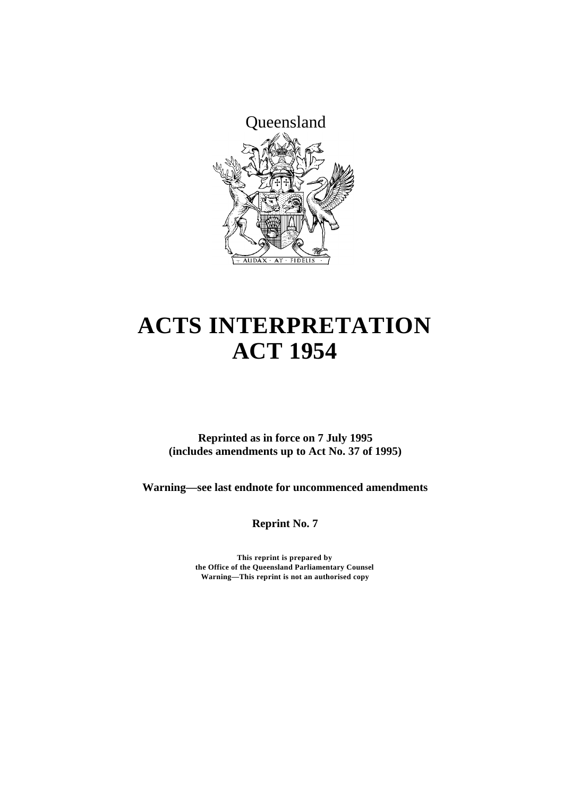

# **ACTS INTERPRETATION ACT 1954**

**Reprinted as in force on 7 July 1995 (includes amendments up to Act No. 37 of 1995)**

**Warning—see last endnote for uncommenced amendments**

**Reprint No. 7**

**This reprint is prepared by the Office of the Queensland Parliamentary Counsel Warning—This reprint is not an authorised copy**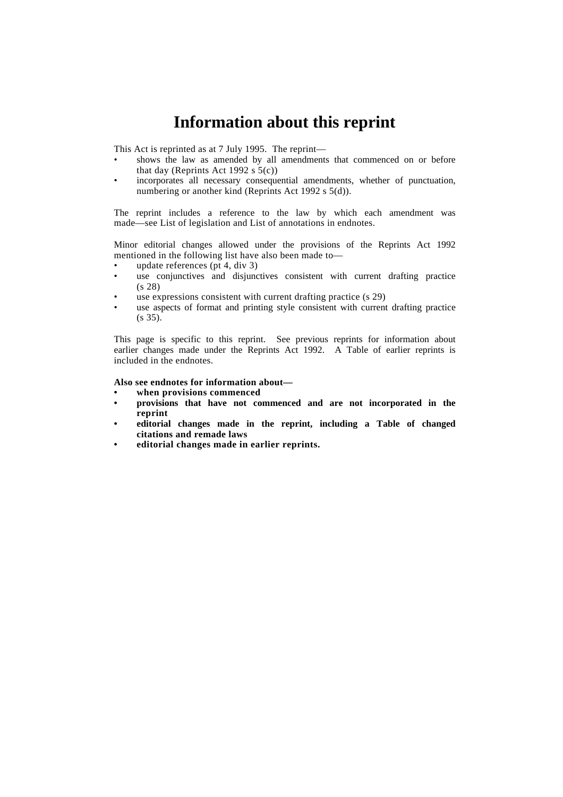## **Information about this reprint**

This Act is reprinted as at 7 July 1995. The reprint—

- shows the law as amended by all amendments that commenced on or before that day (Reprints Act 1992 s  $5(c)$ )
- incorporates all necessary consequential amendments, whether of punctuation, numbering or another kind (Reprints Act 1992 s 5(d)).

The reprint includes a reference to the law by which each amendment was made—see List of legislation and List of annotations in endnotes.

Minor editorial changes allowed under the provisions of the Reprints Act 1992 mentioned in the following list have also been made to—

- update references (pt 4, div 3)
- use conjunctives and disjunctives consistent with current drafting practice (s 28)
- use expressions consistent with current drafting practice (s 29)
- use aspects of format and printing style consistent with current drafting practice (s 35).

This page is specific to this reprint. See previous reprints for information about earlier changes made under the Reprints Act 1992. A Table of earlier reprints is included in the endnotes.

**Also see endnotes for information about—**

- **• when provisions commenced**
- **• provisions that have not commenced and are not incorporated in the reprint**
- **• editorial changes made in the reprint, including a Table of changed citations and remade laws**
- **• editorial changes made in earlier reprints.**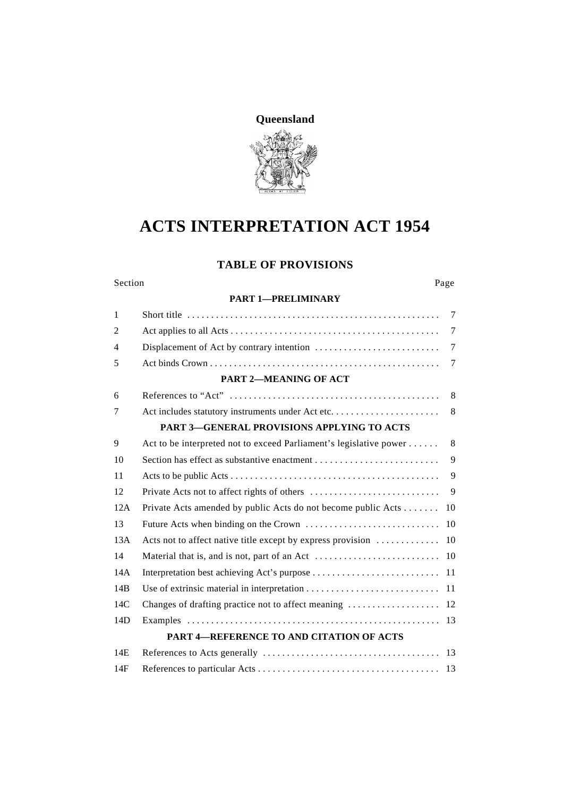

## **ACTS INTERPRETATION ACT 1954**

### **TABLE OF PROVISIONS**

Section Page

#### **PART 1—PRELIMINARY**

| $\mathbf{1}$   |                                                                    | $\tau$         |
|----------------|--------------------------------------------------------------------|----------------|
| $\overline{2}$ |                                                                    | 7              |
| $\overline{4}$ |                                                                    | $\overline{7}$ |
| 5              |                                                                    | 7              |
|                | PART 2-MEANING OF ACT                                              |                |
| 6              |                                                                    | 8              |
| 7              |                                                                    | 8              |
|                | <b>PART 3-GENERAL PROVISIONS APPLYING TO ACTS</b>                  |                |
| 9              | Act to be interpreted not to exceed Parliament's legislative power | 8              |
| 10             |                                                                    | 9              |
| 11             |                                                                    | 9              |
| 12             |                                                                    | 9              |
| 12A            | Private Acts amended by public Acts do not become public Acts      | 10             |
| 13             |                                                                    | 10             |
| 13A            | Acts not to affect native title except by express provision        | 10             |
| 14             |                                                                    | 10             |
| 14A            |                                                                    |                |
| 14B            |                                                                    | 11             |
| 14C            |                                                                    | 12             |
| 14D            |                                                                    |                |
|                | <b>PART 4-REFERENCE TO AND CITATION OF ACTS</b>                    |                |
| 14E            |                                                                    |                |
| 14F            |                                                                    |                |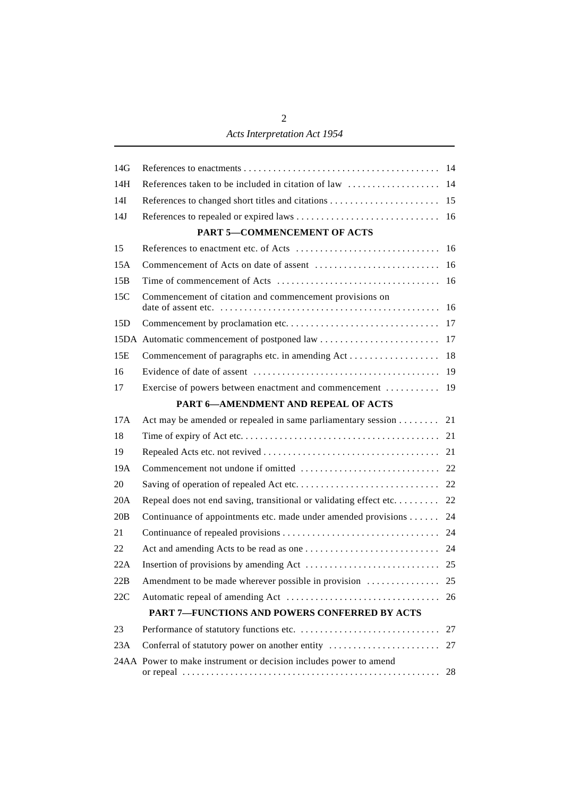### *Acts Interpretation Act 1954*

| 14G |                                                                   |    |
|-----|-------------------------------------------------------------------|----|
| 14H |                                                                   |    |
| 14I |                                                                   |    |
| 14J |                                                                   |    |
|     | PART 5-COMMENCEMENT OF ACTS                                       |    |
| 15  |                                                                   |    |
| 15A |                                                                   |    |
| 15B |                                                                   |    |
| 15C | Commencement of citation and commencement provisions on           |    |
| 15D |                                                                   |    |
|     |                                                                   |    |
| 15E |                                                                   |    |
| 16  |                                                                   |    |
| 17  | Exercise of powers between enactment and commencement             | 19 |
|     | <b>PART 6-AMENDMENT AND REPEAL OF ACTS</b>                        |    |
| 17A | Act may be amended or repealed in same parliamentary session 21   |    |
| 18  |                                                                   |    |
| 19  |                                                                   |    |
| 19A |                                                                   |    |
| 20  |                                                                   |    |
| 20A |                                                                   |    |
| 20B | Continuance of appointments etc. made under amended provisions 24 |    |
| 21  |                                                                   |    |
| 22  |                                                                   |    |
| 22A |                                                                   |    |
| 22B |                                                                   |    |
| 22C |                                                                   |    |
|     | <b>PART 7-FUNCTIONS AND POWERS CONFERRED BY ACTS</b>              |    |
| 23  |                                                                   | 27 |
| 23A | Conferral of statutory power on another entity                    | 27 |
|     | 24AA Power to make instrument or decision includes power to amend | 28 |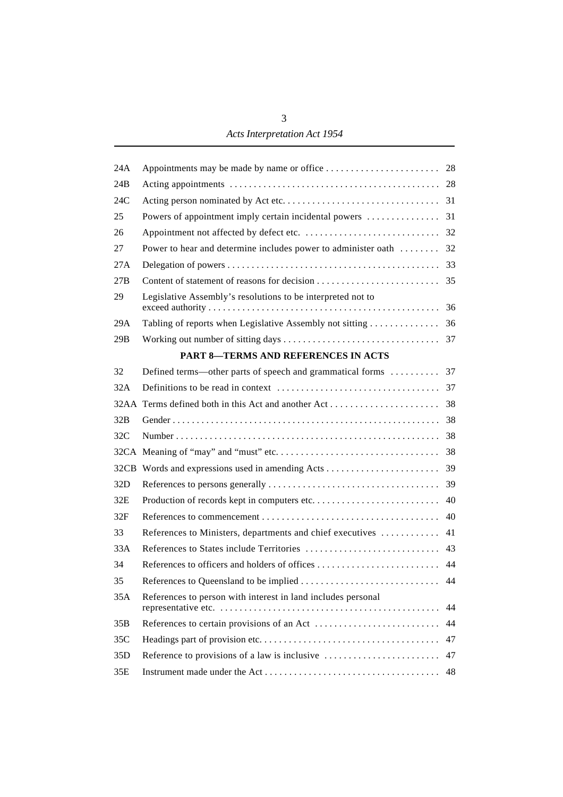| 24A |                                                                   |    |
|-----|-------------------------------------------------------------------|----|
| 24B |                                                                   |    |
| 24C |                                                                   |    |
| 25  |                                                                   |    |
| 26  |                                                                   |    |
| 27  | Power to hear and determine includes power to administer oath  32 |    |
| 27A |                                                                   |    |
| 27B |                                                                   |    |
| 29  | Legislative Assembly's resolutions to be interpreted not to       |    |
| 29A |                                                                   |    |
| 29B |                                                                   |    |
|     | <b>PART 8-TERMS AND REFERENCES IN ACTS</b>                        |    |
| 32  | Defined terms—other parts of speech and grammatical forms  37     |    |
| 32A |                                                                   |    |
|     |                                                                   |    |
| 32B |                                                                   |    |
| 32C |                                                                   |    |
|     |                                                                   |    |
|     |                                                                   |    |
| 32D |                                                                   |    |
| 32E |                                                                   |    |
| 32F |                                                                   |    |
| 33  | References to Ministers, departments and chief executives  41     |    |
| 33A |                                                                   |    |
| 34  |                                                                   |    |
| 35  |                                                                   |    |
| 35A | References to person with interest in land includes personal      | 44 |
| 35B |                                                                   | 44 |
| 35C |                                                                   | 47 |
| 35D | Reference to provisions of a law is inclusive                     | 47 |
| 35E |                                                                   | 48 |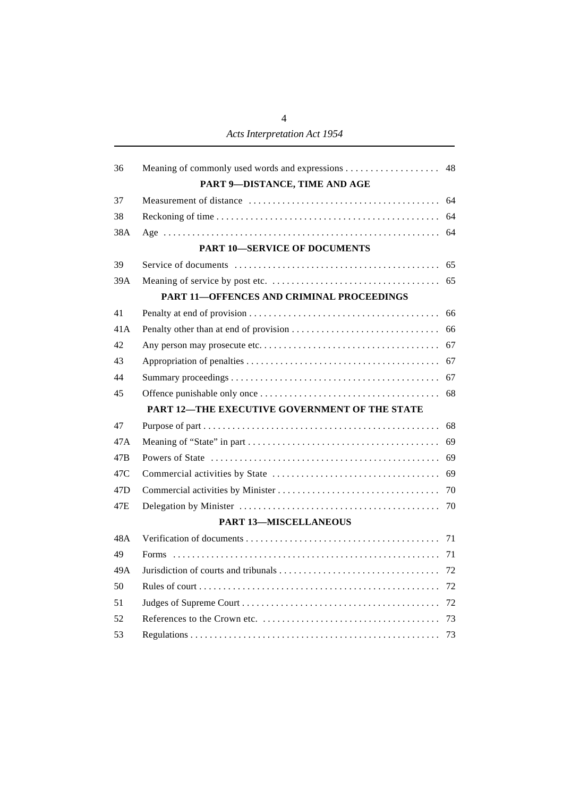| 36              | Meaning of commonly used words and expressions 48 |    |
|-----------------|---------------------------------------------------|----|
|                 | PART 9-DISTANCE, TIME AND AGE                     |    |
| 37              |                                                   |    |
| 38              |                                                   |    |
| 38A             |                                                   | 64 |
|                 | <b>PART 10-SERVICE OF DOCUMENTS</b>               |    |
| 39              |                                                   | 65 |
| 39A             |                                                   |    |
|                 | <b>PART 11-OFFENCES AND CRIMINAL PROCEEDINGS</b>  |    |
| 41              |                                                   | 66 |
| 41A             |                                                   |    |
| 42              |                                                   |    |
| 43              |                                                   | 67 |
| 44              |                                                   | 67 |
| 45              |                                                   | 68 |
|                 | PART 12-THE EXECUTIVE GOVERNMENT OF THE STATE     |    |
| 47              |                                                   | 68 |
| 47A             |                                                   | 69 |
| 47B             |                                                   | 69 |
| 47C             |                                                   | 69 |
| 47 <sub>D</sub> |                                                   | 70 |
| 47E             |                                                   | 70 |
|                 | <b>PART 13-MISCELLANEOUS</b>                      |    |
| 48A             |                                                   |    |
| 49              |                                                   |    |
| 49A             |                                                   |    |
| 50              |                                                   |    |
| 51              |                                                   |    |
| 52              |                                                   |    |
| 53              |                                                   | 73 |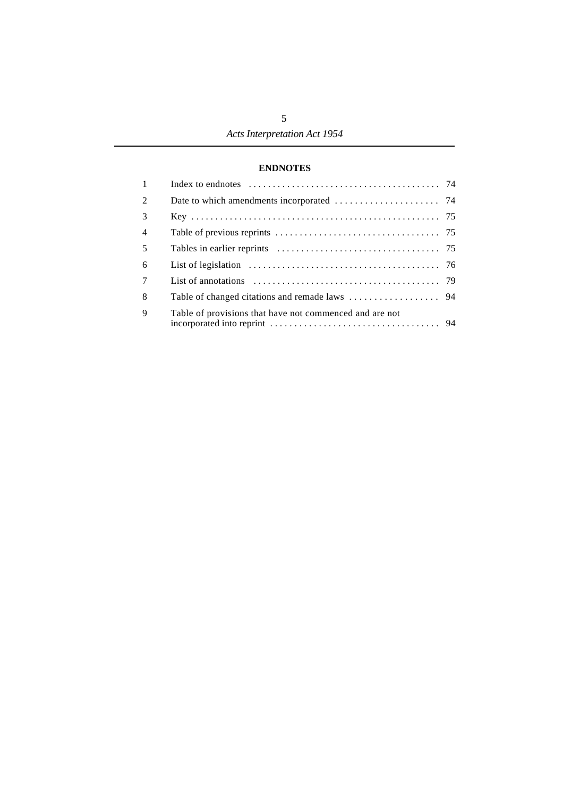#### **ENDNOTES**

| $\mathbf{1}$   |                                                         |  |
|----------------|---------------------------------------------------------|--|
| 2              |                                                         |  |
| $\mathcal{E}$  |                                                         |  |
| $\overline{4}$ |                                                         |  |
| $\overline{5}$ |                                                         |  |
| 6              |                                                         |  |
| $\overline{7}$ |                                                         |  |
| 8              |                                                         |  |
| $\mathbf{Q}$   | Table of provisions that have not commenced and are not |  |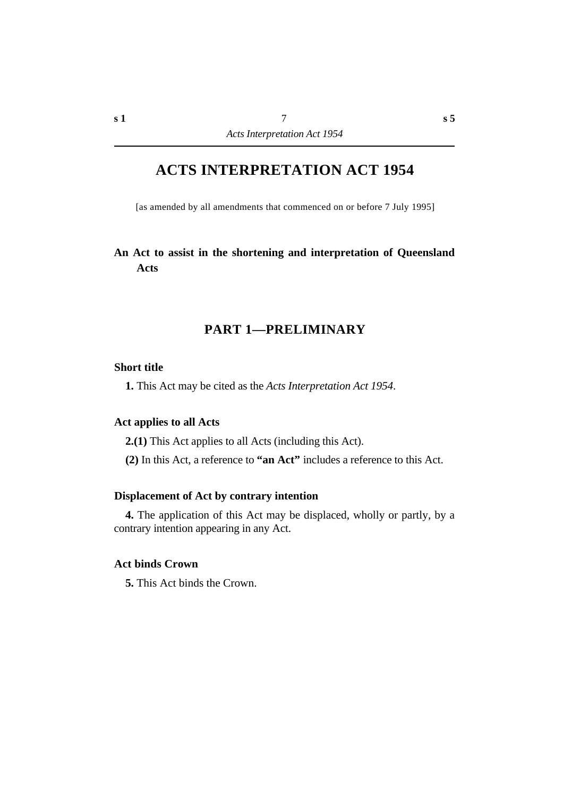## **ACTS INTERPRETATION ACT 1954**

[as amended by all amendments that commenced on or before 7 July 1995]

### **An Act to assist in the shortening and interpretation of Queensland Acts**

### **†PART 1—PRELIMINARY**

#### **˙Short title**

**1.** This Act may be cited as the *Acts Interpretation Act 1954*.

### **˙Act applies to all Acts**

**2.(1)** This Act applies to all Acts (including this Act).

**(2)** In this Act, a reference to **"an Act"** includes a reference to this Act.

#### **˙Displacement of Act by contrary intention**

**4.** The application of this Act may be displaced, wholly or partly, by a contrary intention appearing in any Act.

#### **˙Act binds Crown**

**5.** This Act binds the Crown.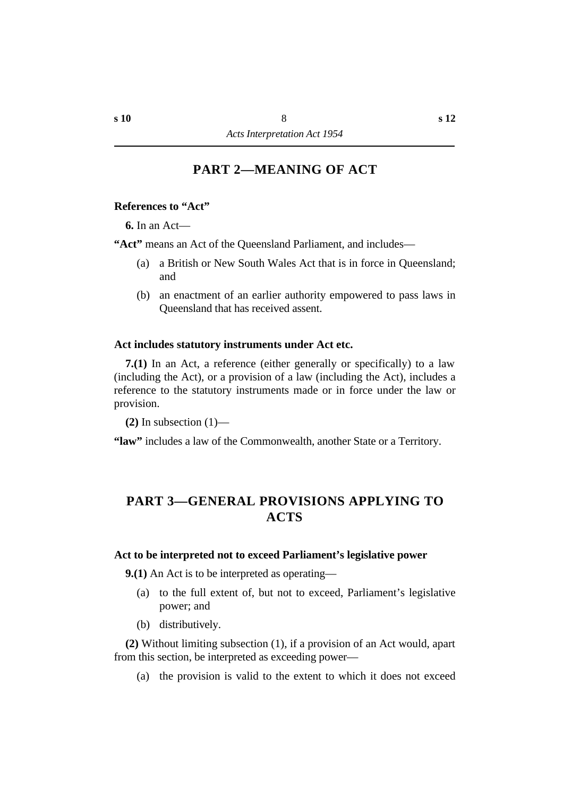### **†PART 2—MEANING OF ACT**

#### **˙References to "Act"**

**6.** In an Act—

**"Act"** means an Act of the Queensland Parliament, and includes—

- (a) a British or New South Wales Act that is in force in Queensland; and
- (b) an enactment of an earlier authority empowered to pass laws in Queensland that has received assent.

#### **˙Act includes statutory instruments under Act etc.**

**7.(1)** In an Act, a reference (either generally or specifically) to a law (including the Act), or a provision of a law (including the Act), includes a reference to the statutory instruments made or in force under the law or provision.

**(2)** In subsection (1)—

**"law"** includes a law of the Commonwealth, another State or a Territory.

### **†PART 3—GENERAL PROVISIONS APPLYING TO ACTS**

#### **˙Act to be interpreted not to exceed Parliament's legislative power**

**9.(1)** An Act is to be interpreted as operating—

- (a) to the full extent of, but not to exceed, Parliament's legislative power; and
- (b) distributively.

**(2)** Without limiting subsection (1), if a provision of an Act would, apart from this section, be interpreted as exceeding power—

(a) the provision is valid to the extent to which it does not exceed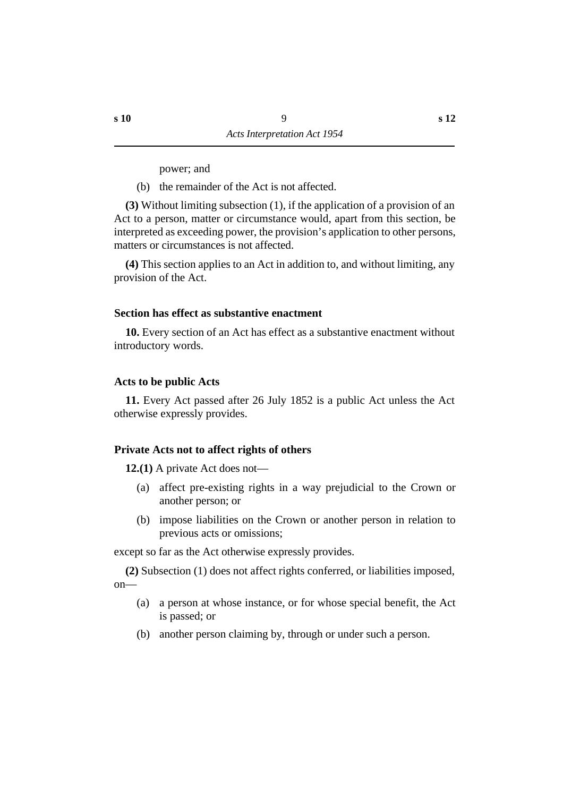power; and

(b) the remainder of the Act is not affected.

**(3)** Without limiting subsection (1), if the application of a provision of an Act to a person, matter or circumstance would, apart from this section, be interpreted as exceeding power, the provision's application to other persons, matters or circumstances is not affected.

**(4)** This section applies to an Act in addition to, and without limiting, any provision of the Act.

#### **˙Section has effect as substantive enactment**

**10.** Every section of an Act has effect as a substantive enactment without introductory words.

#### **˙Acts to be public Acts**

**11.** Every Act passed after 26 July 1852 is a public Act unless the Act otherwise expressly provides.

#### **˙Private Acts not to affect rights of others**

**12.(1)** A private Act does not—

- (a) affect pre-existing rights in a way prejudicial to the Crown or another person; or
- (b) impose liabilities on the Crown or another person in relation to previous acts or omissions;

except so far as the Act otherwise expressly provides.

**(2)** Subsection (1) does not affect rights conferred, or liabilities imposed, on—

- (a) a person at whose instance, or for whose special benefit, the Act is passed; or
- (b) another person claiming by, through or under such a person.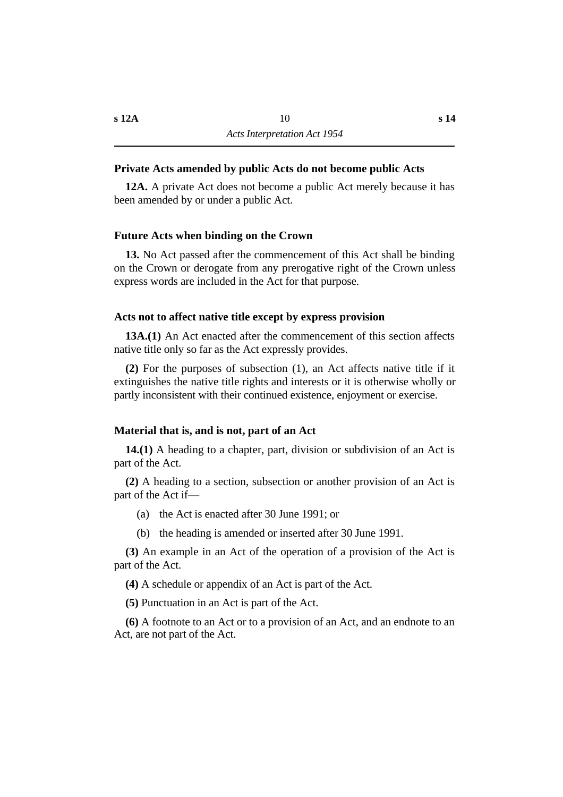#### **˙Private Acts amended by public Acts do not become public Acts**

**12A.** A private Act does not become a public Act merely because it has been amended by or under a public Act.

#### **˙Future Acts when binding on the Crown**

**13.** No Act passed after the commencement of this Act shall be binding on the Crown or derogate from any prerogative right of the Crown unless express words are included in the Act for that purpose.

#### **˙Acts not to affect native title except by express provision**

**13A.(1)** An Act enacted after the commencement of this section affects native title only so far as the Act expressly provides.

**(2)** For the purposes of subsection (1), an Act affects native title if it extinguishes the native title rights and interests or it is otherwise wholly or partly inconsistent with their continued existence, enjoyment or exercise.

#### **˙Material that is, and is not, part of an Act**

**14.(1)** A heading to a chapter, part, division or subdivision of an Act is part of the Act.

**(2)** A heading to a section, subsection or another provision of an Act is part of the Act if—

- (a) the Act is enacted after 30 June 1991; or
- (b) the heading is amended or inserted after 30 June 1991.

**(3)** An example in an Act of the operation of a provision of the Act is part of the Act.

**(4)** A schedule or appendix of an Act is part of the Act.

**(5)** Punctuation in an Act is part of the Act.

**(6)** A footnote to an Act or to a provision of an Act, and an endnote to an Act, are not part of the Act.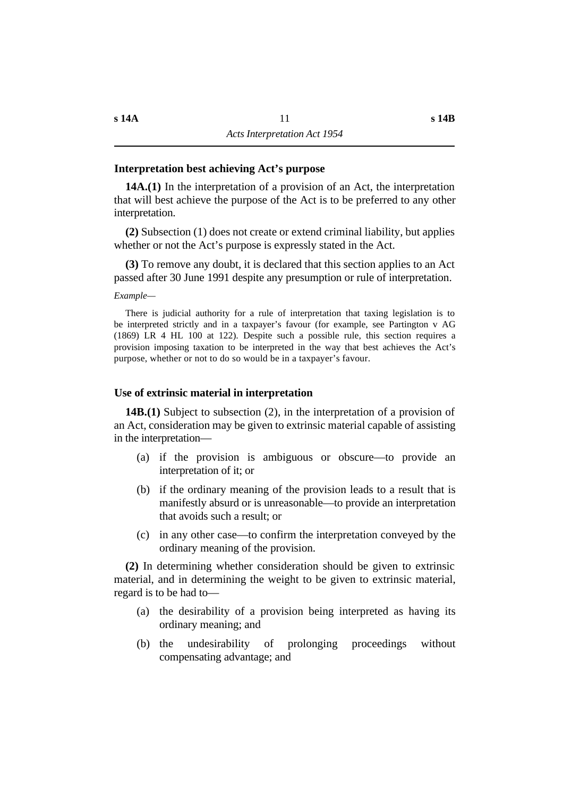#### **˙Interpretation best achieving Act's purpose**

**14A.(1)** In the interpretation of a provision of an Act, the interpretation that will best achieve the purpose of the Act is to be preferred to any other interpretation.

**(2)** Subsection (1) does not create or extend criminal liability, but applies whether or not the Act's purpose is expressly stated in the Act.

**(3)** To remove any doubt, it is declared that this section applies to an Act passed after 30 June 1991 despite any presumption or rule of interpretation.

*Example—*

There is judicial authority for a rule of interpretation that taxing legislation is to be interpreted strictly and in a taxpayer's favour (for example, see Partington v AG (1869) LR 4 HL 100 at 122). Despite such a possible rule, this section requires a provision imposing taxation to be interpreted in the way that best achieves the Act's purpose, whether or not to do so would be in a taxpayer's favour.

#### **˙Use of extrinsic material in interpretation**

**14B.(1)** Subject to subsection (2), in the interpretation of a provision of an Act, consideration may be given to extrinsic material capable of assisting in the interpretation—

- (a) if the provision is ambiguous or obscure—to provide an interpretation of it; or
- (b) if the ordinary meaning of the provision leads to a result that is manifestly absurd or is unreasonable—to provide an interpretation that avoids such a result; or
- (c) in any other case—to confirm the interpretation conveyed by the ordinary meaning of the provision.

**(2)** In determining whether consideration should be given to extrinsic material, and in determining the weight to be given to extrinsic material, regard is to be had to—

- (a) the desirability of a provision being interpreted as having its ordinary meaning; and
- (b) the undesirability of prolonging proceedings without compensating advantage; and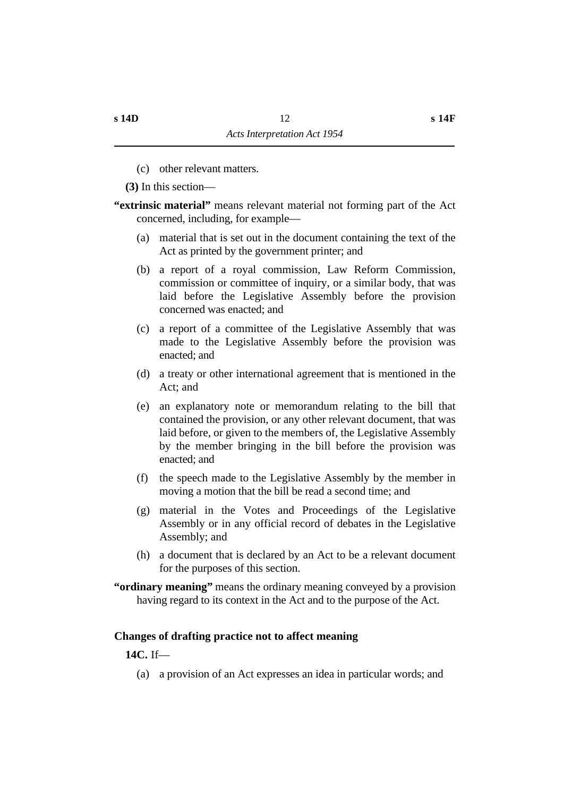- (c) other relevant matters.
- **(3)** In this section—
- **"extrinsic material"** means relevant material not forming part of the Act concerned, including, for example—
	- (a) material that is set out in the document containing the text of the Act as printed by the government printer; and
	- (b) a report of a royal commission, Law Reform Commission, commission or committee of inquiry, or a similar body, that was laid before the Legislative Assembly before the provision concerned was enacted; and
	- (c) a report of a committee of the Legislative Assembly that was made to the Legislative Assembly before the provision was enacted; and
	- (d) a treaty or other international agreement that is mentioned in the Act; and
	- (e) an explanatory note or memorandum relating to the bill that contained the provision, or any other relevant document, that was laid before, or given to the members of, the Legislative Assembly by the member bringing in the bill before the provision was enacted; and
	- (f) the speech made to the Legislative Assembly by the member in moving a motion that the bill be read a second time; and
	- (g) material in the Votes and Proceedings of the Legislative Assembly or in any official record of debates in the Legislative Assembly; and
	- (h) a document that is declared by an Act to be a relevant document for the purposes of this section.
- **"ordinary meaning"** means the ordinary meaning conveyed by a provision having regard to its context in the Act and to the purpose of the Act.

### **˙Changes of drafting practice not to affect meaning**

### **14C.** If—

(a) a provision of an Act expresses an idea in particular words; and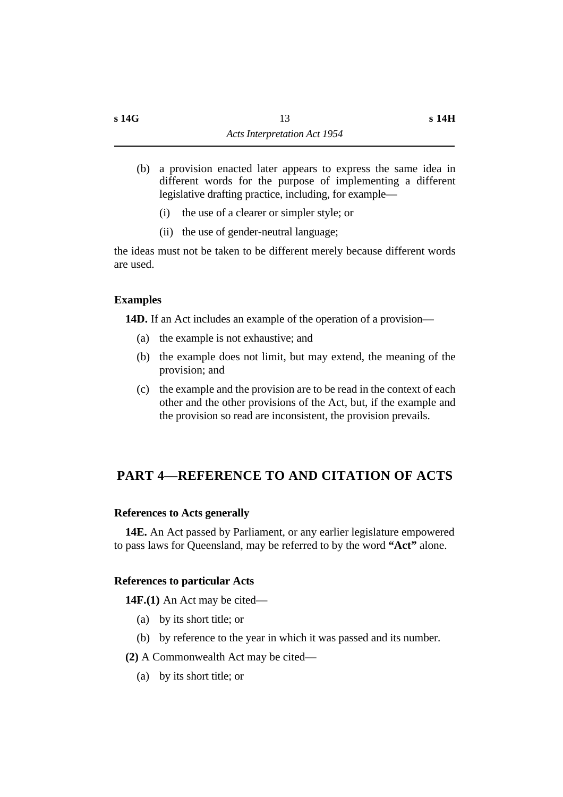- (b) a provision enacted later appears to express the same idea in different words for the purpose of implementing a different legislative drafting practice, including, for example—
	- (i) the use of a clearer or simpler style; or
	- (ii) the use of gender-neutral language;

the ideas must not be taken to be different merely because different words are used.

### **˙Examples**

**14D.** If an Act includes an example of the operation of a provision—

- (a) the example is not exhaustive; and
- (b) the example does not limit, but may extend, the meaning of the provision; and
- (c) the example and the provision are to be read in the context of each other and the other provisions of the Act, but, if the example and the provision so read are inconsistent, the provision prevails.

### **†PART 4—REFERENCE TO AND CITATION OF ACTS**

### **˙References to Acts generally**

**14E.** An Act passed by Parliament, or any earlier legislature empowered to pass laws for Queensland, may be referred to by the word **"Act"** alone.

### **˙References to particular Acts**

**14F.(1)** An Act may be cited—

- (a) by its short title; or
- (b) by reference to the year in which it was passed and its number.
- **(2)** A Commonwealth Act may be cited—
	- (a) by its short title; or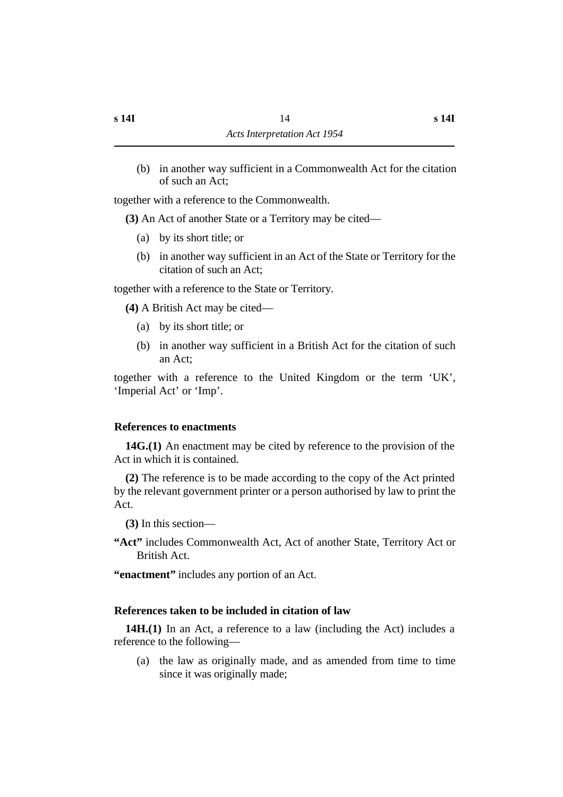(b) in another way sufficient in a Commonwealth Act for the citation of such an Act;

together with a reference to the Commonwealth.

**(3)** An Act of another State or a Territory may be cited—

- (a) by its short title; or
- (b) in another way sufficient in an Act of the State or Territory for the citation of such an Act;

together with a reference to the State or Territory.

**(4)** A British Act may be cited—

- (a) by its short title; or
- (b) in another way sufficient in a British Act for the citation of such an Act;

together with a reference to the United Kingdom or the term 'UK', 'Imperial Act' or 'Imp'.

### **˙References to enactments**

**14G.(1)** An enactment may be cited by reference to the provision of the Act in which it is contained.

**(2)** The reference is to be made according to the copy of the Act printed by the relevant government printer or a person authorised by law to print the Act.

**(3)** In this section—

**"Act"** includes Commonwealth Act, Act of another State, Territory Act or British Act.

**"enactment"** includes any portion of an Act.

### **˙References taken to be included in citation of law**

**14H.(1)** In an Act, a reference to a law (including the Act) includes a reference to the following—

(a) the law as originally made, and as amended from time to time since it was originally made;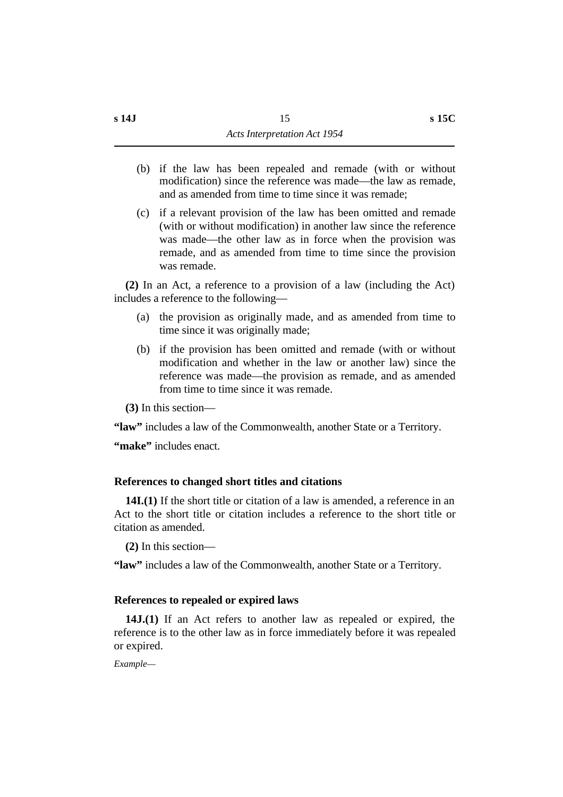(c) if a relevant provision of the law has been omitted and remade (with or without modification) in another law since the reference was made—the other law as in force when the provision was remade, and as amended from time to time since the provision was remade.

**(2)** In an Act, a reference to a provision of a law (including the Act) includes a reference to the following—

- (a) the provision as originally made, and as amended from time to time since it was originally made;
- (b) if the provision has been omitted and remade (with or without modification and whether in the law or another law) since the reference was made—the provision as remade, and as amended from time to time since it was remade.

**(3)** In this section—

**"law"** includes a law of the Commonwealth, another State or a Territory.

"make" includes enact.

### **˙References to changed short titles and citations**

**14I.(1)** If the short title or citation of a law is amended, a reference in an Act to the short title or citation includes a reference to the short title or citation as amended.

**(2)** In this section—

**"law"** includes a law of the Commonwealth, another State or a Territory.

### **˙References to repealed or expired laws**

**14J.(1)** If an Act refers to another law as repealed or expired, the reference is to the other law as in force immediately before it was repealed or expired.

*Example—*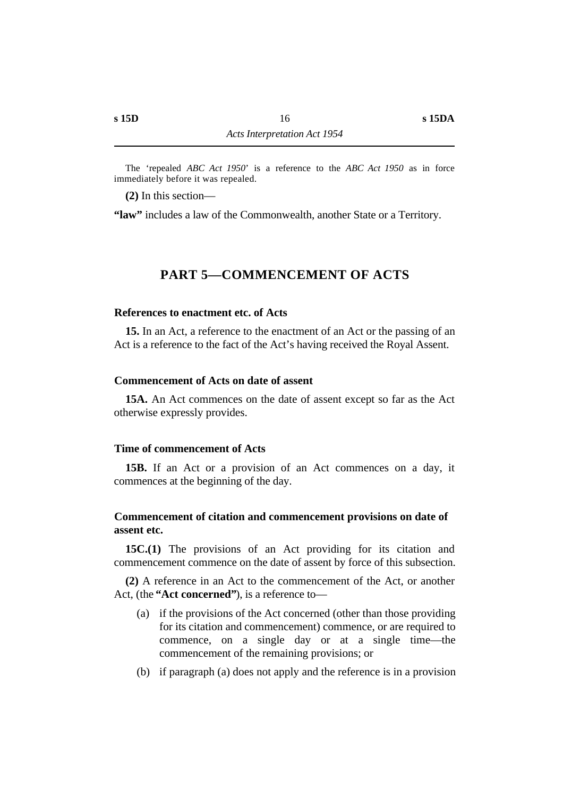The 'repealed *ABC Act 1950*' is a reference to the *ABC Act 1950* as in force immediately before it was repealed.

**(2)** In this section—

**"law"** includes a law of the Commonwealth, another State or a Territory.

### **†PART 5—COMMENCEMENT OF ACTS**

#### **˙References to enactment etc. of Acts**

**15.** In an Act, a reference to the enactment of an Act or the passing of an Act is a reference to the fact of the Act's having received the Royal Assent.

#### **˙Commencement of Acts on date of assent**

**15A.** An Act commences on the date of assent except so far as the Act otherwise expressly provides.

#### **˙Time of commencement of Acts**

**15B.** If an Act or a provision of an Act commences on a day, it commences at the beginning of the day.

#### **˙Commencement of citation and commencement provisions on date of assent etc.**

**15C.(1)** The provisions of an Act providing for its citation and commencement commence on the date of assent by force of this subsection.

**(2)** A reference in an Act to the commencement of the Act, or another Act, (the **"Act concerned"**), is a reference to—

- (a) if the provisions of the Act concerned (other than those providing for its citation and commencement) commence, or are required to commence, on a single day or at a single time—the commencement of the remaining provisions; or
- (b) if paragraph (a) does not apply and the reference is in a provision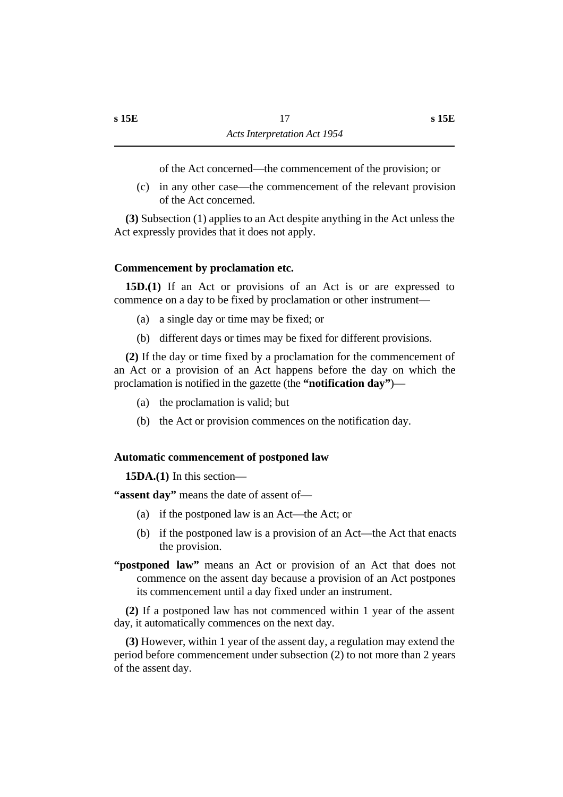of the Act concerned—the commencement of the provision; or

(c) in any other case—the commencement of the relevant provision of the Act concerned.

**(3)** Subsection (1) applies to an Act despite anything in the Act unless the Act expressly provides that it does not apply.

### **˙Commencement by proclamation etc.**

**15D.(1)** If an Act or provisions of an Act is or are expressed to commence on a day to be fixed by proclamation or other instrument—

- (a) a single day or time may be fixed; or
- (b) different days or times may be fixed for different provisions.

**(2)** If the day or time fixed by a proclamation for the commencement of an Act or a provision of an Act happens before the day on which the proclamation is notified in the gazette (the **"notification day"**)—

- (a) the proclamation is valid; but
- (b) the Act or provision commences on the notification day.

#### **˙Automatic commencement of postponed law**

**15DA.(1)** In this section—

**"assent day"** means the date of assent of—

- (a) if the postponed law is an Act—the Act; or
- (b) if the postponed law is a provision of an Act—the Act that enacts the provision.
- **"postponed law"** means an Act or provision of an Act that does not commence on the assent day because a provision of an Act postpones its commencement until a day fixed under an instrument.

**(2)** If a postponed law has not commenced within 1 year of the assent day, it automatically commences on the next day.

**(3)** However, within 1 year of the assent day, a regulation may extend the period before commencement under subsection (2) to not more than 2 years of the assent day.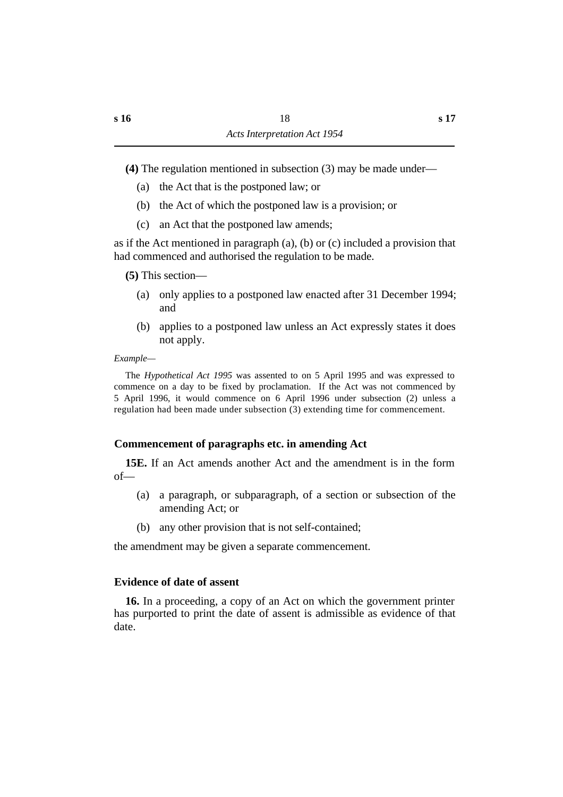**(4)** The regulation mentioned in subsection (3) may be made under—

- (a) the Act that is the postponed law; or
- (b) the Act of which the postponed law is a provision; or
- (c) an Act that the postponed law amends;

as if the Act mentioned in paragraph  $(a)$ ,  $(b)$  or  $(c)$  included a provision that had commenced and authorised the regulation to be made.

**(5)** This section—

- (a) only applies to a postponed law enacted after 31 December 1994; and
- (b) applies to a postponed law unless an Act expressly states it does not apply.

### *Example—*

The *Hypothetical Act 1995* was assented to on 5 April 1995 and was expressed to commence on a day to be fixed by proclamation. If the Act was not commenced by 5 April 1996, it would commence on 6 April 1996 under subsection (2) unless a regulation had been made under subsection (3) extending time for commencement.

### **˙Commencement of paragraphs etc. in amending Act**

**15E.** If an Act amends another Act and the amendment is in the form of—

- (a) a paragraph, or subparagraph, of a section or subsection of the amending Act; or
- (b) any other provision that is not self-contained;

the amendment may be given a separate commencement.

### **˙Evidence of date of assent**

**16.** In a proceeding, a copy of an Act on which the government printer has purported to print the date of assent is admissible as evidence of that date.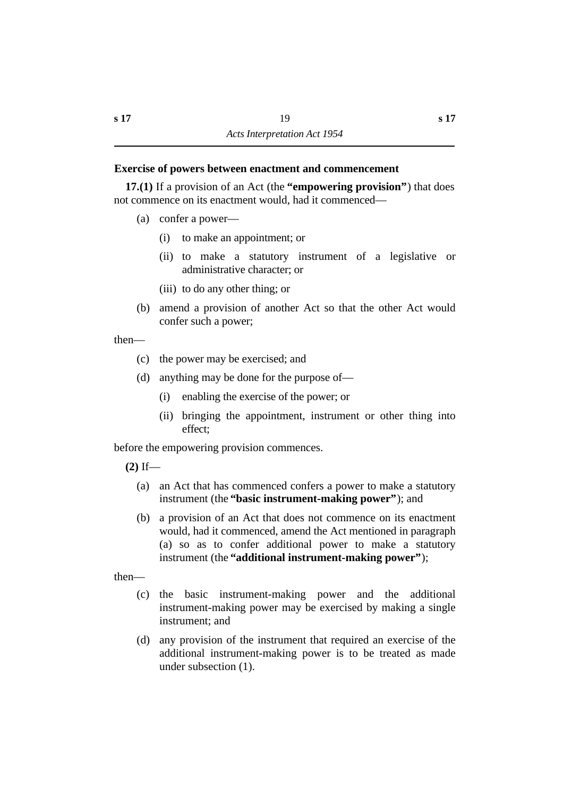#### **˙Exercise of powers between enactment and commencement**

**17.(1)** If a provision of an Act (the **"empowering provision"**) that does not commence on its enactment would, had it commenced—

- (a) confer a power—
	- (i) to make an appointment; or
	- (ii) to make a statutory instrument of a legislative or administrative character; or
	- (iii) to do any other thing; or
- (b) amend a provision of another Act so that the other Act would confer such a power;

then—

- (c) the power may be exercised; and
- (d) anything may be done for the purpose of—
	- (i) enabling the exercise of the power; or
	- (ii) bringing the appointment, instrument or other thing into effect;

before the empowering provision commences.

- **(2)** If—
	- (a) an Act that has commenced confers a power to make a statutory instrument (the **"basic instrument-making power"**); and
	- (b) a provision of an Act that does not commence on its enactment would, had it commenced, amend the Act mentioned in paragraph (a) so as to confer additional power to make a statutory instrument (the **"additional instrument-making power"**);

then—

- (c) the basic instrument-making power and the additional instrument-making power may be exercised by making a single instrument; and
- (d) any provision of the instrument that required an exercise of the additional instrument-making power is to be treated as made under subsection (1).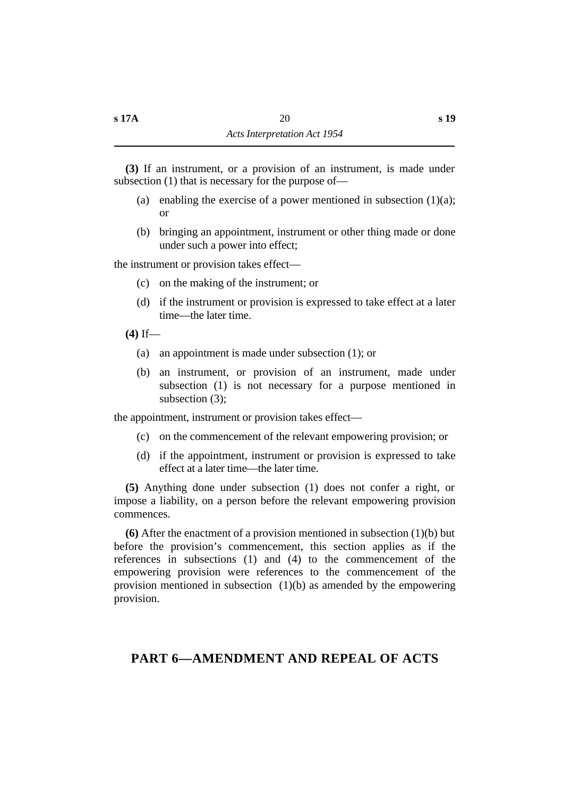**(3)** If an instrument, or a provision of an instrument, is made under subsection (1) that is necessary for the purpose of—

- (a) enabling the exercise of a power mentioned in subsection  $(1)(a)$ ; or
- (b) bringing an appointment, instrument or other thing made or done under such a power into effect;

the instrument or provision takes effect—

- (c) on the making of the instrument; or
- (d) if the instrument or provision is expressed to take effect at a later time—the later time.
- **(4)** If—
	- (a) an appointment is made under subsection (1); or
	- (b) an instrument, or provision of an instrument, made under subsection (1) is not necessary for a purpose mentioned in subsection (3):

the appointment, instrument or provision takes effect—

- (c) on the commencement of the relevant empowering provision; or
- (d) if the appointment, instrument or provision is expressed to take effect at a later time—the later time.

**(5)** Anything done under subsection (1) does not confer a right, or impose a liability, on a person before the relevant empowering provision commences.

**(6)** After the enactment of a provision mentioned in subsection (1)(b) but before the provision's commencement, this section applies as if the references in subsections (1) and (4) to the commencement of the empowering provision were references to the commencement of the provision mentioned in subsection (1)(b) as amended by the empowering provision.

### **†PART 6—AMENDMENT AND REPEAL OF ACTS**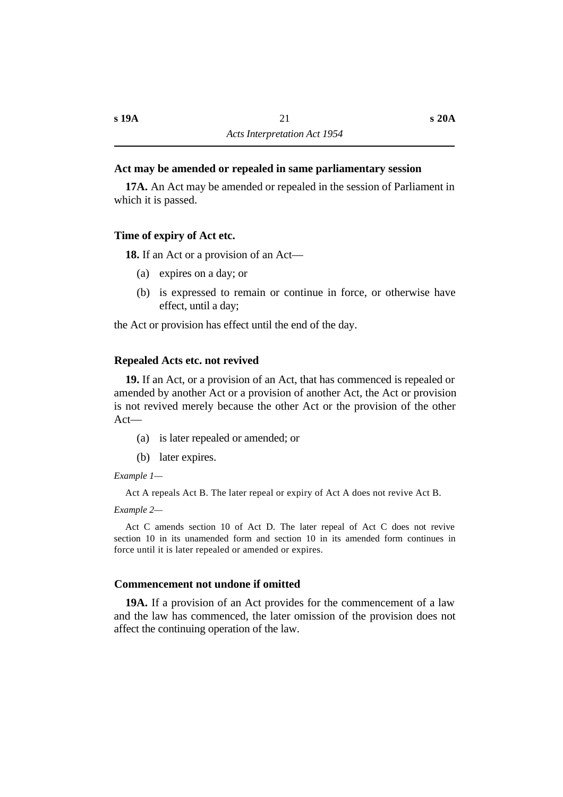#### **˙Act may be amended or repealed in same parliamentary session**

**17A.** An Act may be amended or repealed in the session of Parliament in which it is passed.

#### **˙Time of expiry of Act etc.**

**18.** If an Act or a provision of an Act—

- (a) expires on a day; or
- (b) is expressed to remain or continue in force, or otherwise have effect, until a day;

the Act or provision has effect until the end of the day.

#### **˙Repealed Acts etc. not revived**

**19.** If an Act, or a provision of an Act, that has commenced is repealed or amended by another Act or a provision of another Act, the Act or provision is not revived merely because the other Act or the provision of the other Act—

- (a) is later repealed or amended; or
- (b) later expires.

*Example 1—*

Act A repeals Act B. The later repeal or expiry of Act A does not revive Act B.

*Example 2—*

Act C amends section 10 of Act D. The later repeal of Act C does not revive section 10 in its unamended form and section 10 in its amended form continues in force until it is later repealed or amended or expires.

### **˙Commencement not undone if omitted**

**19A.** If a provision of an Act provides for the commencement of a law and the law has commenced, the later omission of the provision does not affect the continuing operation of the law.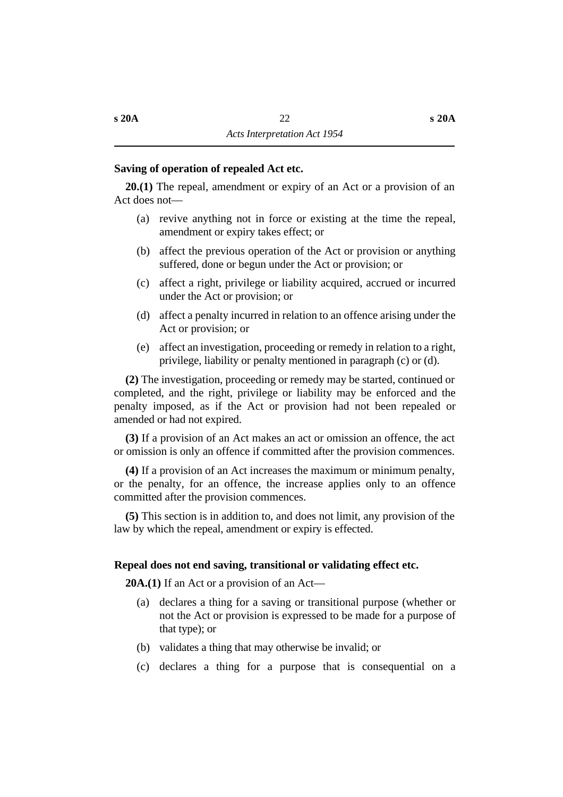#### **˙Saving of operation of repealed Act etc.**

**20.(1)** The repeal, amendment or expiry of an Act or a provision of an Act does not—

- (a) revive anything not in force or existing at the time the repeal, amendment or expiry takes effect; or
- (b) affect the previous operation of the Act or provision or anything suffered, done or begun under the Act or provision; or
- (c) affect a right, privilege or liability acquired, accrued or incurred under the Act or provision; or
- (d) affect a penalty incurred in relation to an offence arising under the Act or provision; or
- (e) affect an investigation, proceeding or remedy in relation to a right, privilege, liability or penalty mentioned in paragraph (c) or (d).

**(2)** The investigation, proceeding or remedy may be started, continued or completed, and the right, privilege or liability may be enforced and the penalty imposed, as if the Act or provision had not been repealed or amended or had not expired.

**(3)** If a provision of an Act makes an act or omission an offence, the act or omission is only an offence if committed after the provision commences.

**(4)** If a provision of an Act increases the maximum or minimum penalty, or the penalty, for an offence, the increase applies only to an offence committed after the provision commences.

**(5)** This section is in addition to, and does not limit, any provision of the law by which the repeal, amendment or expiry is effected.

#### **˙Repeal does not end saving, transitional or validating effect etc.**

**20A.(1)** If an Act or a provision of an Act—

- (a) declares a thing for a saving or transitional purpose (whether or not the Act or provision is expressed to be made for a purpose of that type); or
- (b) validates a thing that may otherwise be invalid; or
- (c) declares a thing for a purpose that is consequential on a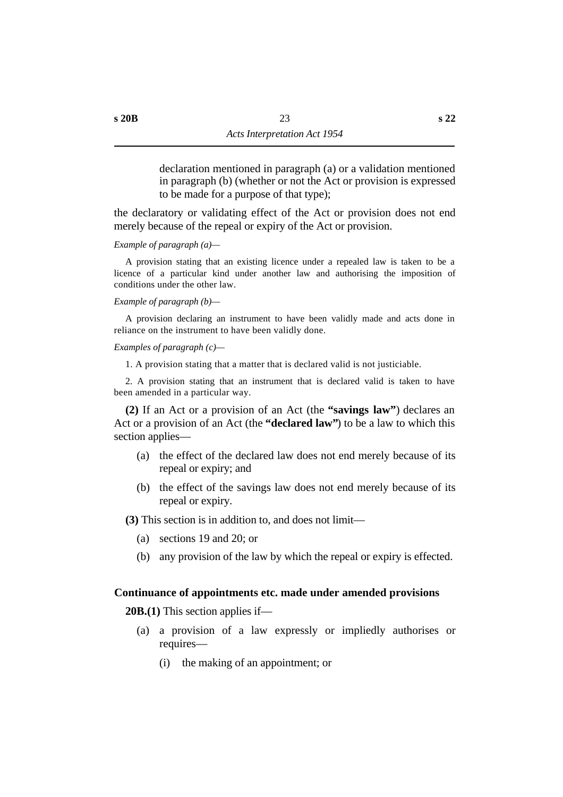declaration mentioned in paragraph (a) or a validation mentioned in paragraph (b) (whether or not the Act or provision is expressed to be made for a purpose of that type);

the declaratory or validating effect of the Act or provision does not end merely because of the repeal or expiry of the Act or provision.

*Example of paragraph (a)—*

A provision stating that an existing licence under a repealed law is taken to be a licence of a particular kind under another law and authorising the imposition of conditions under the other law.

*Example of paragraph (b)—*

A provision declaring an instrument to have been validly made and acts done in reliance on the instrument to have been validly done.

*Examples of paragraph (c)—*

1. A provision stating that a matter that is declared valid is not justiciable.

2. A provision stating that an instrument that is declared valid is taken to have been amended in a particular way.

**(2)** If an Act or a provision of an Act (the **"savings law"**) declares an Act or a provision of an Act (the **"declared law"**) to be a law to which this section applies—

- (a) the effect of the declared law does not end merely because of its repeal or expiry; and
- (b) the effect of the savings law does not end merely because of its repeal or expiry.

**(3)** This section is in addition to, and does not limit—

- (a) sections 19 and 20; or
- (b) any provision of the law by which the repeal or expiry is effected.

#### **˙Continuance of appointments etc. made under amended provisions**

**20B.(1)** This section applies if—

- (a) a provision of a law expressly or impliedly authorises or requires—
	- (i) the making of an appointment; or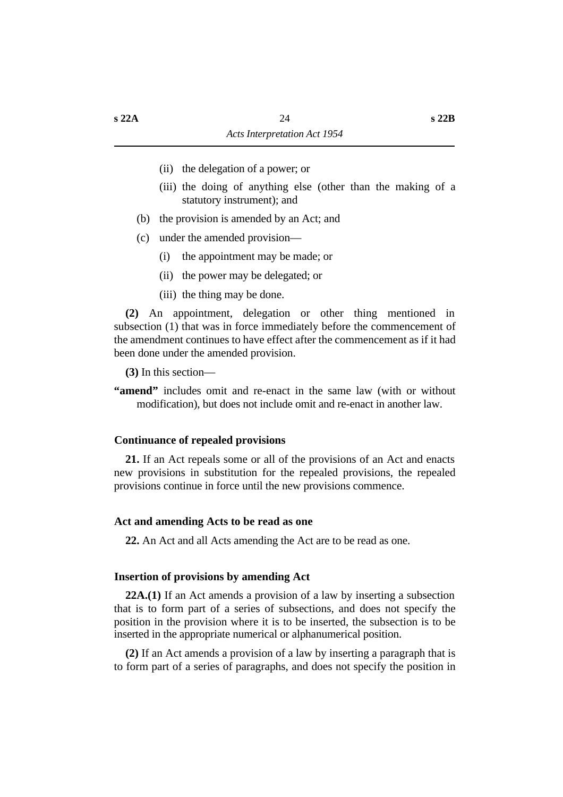- (ii) the delegation of a power; or
- (iii) the doing of anything else (other than the making of a statutory instrument); and
- (b) the provision is amended by an Act; and
- (c) under the amended provision—
	- (i) the appointment may be made; or
	- (ii) the power may be delegated; or
	- (iii) the thing may be done.

**(2)** An appointment, delegation or other thing mentioned in subsection (1) that was in force immediately before the commencement of the amendment continues to have effect after the commencement as if it had been done under the amended provision.

**(3)** In this section—

**"amend"** includes omit and re-enact in the same law (with or without modification), but does not include omit and re-enact in another law.

#### **˙Continuance of repealed provisions**

**21.** If an Act repeals some or all of the provisions of an Act and enacts new provisions in substitution for the repealed provisions, the repealed provisions continue in force until the new provisions commence.

#### **˙Act and amending Acts to be read as one**

**22.** An Act and all Acts amending the Act are to be read as one.

#### **˙Insertion of provisions by amending Act**

**22A.(1)** If an Act amends a provision of a law by inserting a subsection that is to form part of a series of subsections, and does not specify the position in the provision where it is to be inserted, the subsection is to be inserted in the appropriate numerical or alphanumerical position.

**(2)** If an Act amends a provision of a law by inserting a paragraph that is to form part of a series of paragraphs, and does not specify the position in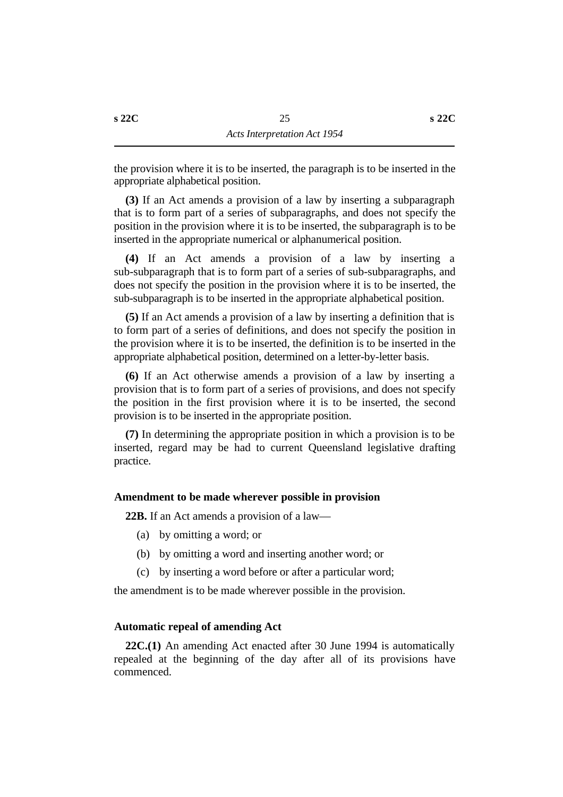the provision where it is to be inserted, the paragraph is to be inserted in the appropriate alphabetical position.

**(3)** If an Act amends a provision of a law by inserting a subparagraph that is to form part of a series of subparagraphs, and does not specify the position in the provision where it is to be inserted, the subparagraph is to be inserted in the appropriate numerical or alphanumerical position.

**(4)** If an Act amends a provision of a law by inserting a sub-subparagraph that is to form part of a series of sub-subparagraphs, and does not specify the position in the provision where it is to be inserted, the sub-subparagraph is to be inserted in the appropriate alphabetical position.

**(5)** If an Act amends a provision of a law by inserting a definition that is to form part of a series of definitions, and does not specify the position in the provision where it is to be inserted, the definition is to be inserted in the appropriate alphabetical position, determined on a letter-by-letter basis.

**(6)** If an Act otherwise amends a provision of a law by inserting a provision that is to form part of a series of provisions, and does not specify the position in the first provision where it is to be inserted, the second provision is to be inserted in the appropriate position.

**(7)** In determining the appropriate position in which a provision is to be inserted, regard may be had to current Queensland legislative drafting practice.

#### **˙Amendment to be made wherever possible in provision**

**22B.** If an Act amends a provision of a law—

- (a) by omitting a word; or
- (b) by omitting a word and inserting another word; or
- (c) by inserting a word before or after a particular word;

the amendment is to be made wherever possible in the provision.

### **˙Automatic repeal of amending Act**

**22C.(1)** An amending Act enacted after 30 June 1994 is automatically repealed at the beginning of the day after all of its provisions have commenced.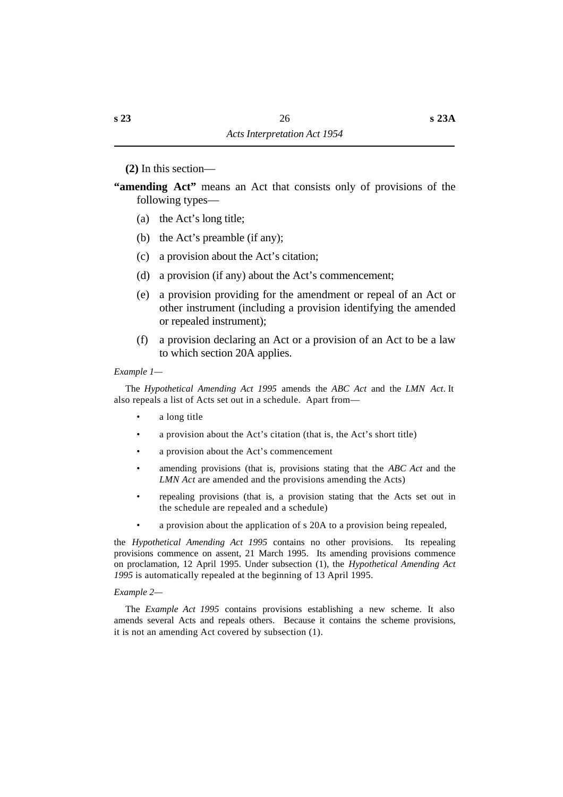**(2)** In this section—

**"amending Act"** means an Act that consists only of provisions of the following types—

- (a) the Act's long title;
- (b) the Act's preamble (if any);
- (c) a provision about the Act's citation;
- (d) a provision (if any) about the Act's commencement;
- (e) a provision providing for the amendment or repeal of an Act or other instrument (including a provision identifying the amended or repealed instrument);
- (f) a provision declaring an Act or a provision of an Act to be a law to which section 20A applies.

#### *Example 1—*

The *Hypothetical Amending Act 1995* amends the *ABC Act* and the *LMN Act*. It also repeals a list of Acts set out in a schedule. Apart from—

- a long title
- a provision about the Act's citation (that is, the Act's short title)
- a provision about the Act's commencement
- amending provisions (that is, provisions stating that the *ABC Act* and the *LMN Act* are amended and the provisions amending the Acts)
- repealing provisions (that is, a provision stating that the Acts set out in the schedule are repealed and a schedule)
- a provision about the application of s 20A to a provision being repealed,

the *Hypothetical Amending Act 1995* contains no other provisions. Its repealing provisions commence on assent, 21 March 1995. Its amending provisions commence on proclamation, 12 April 1995. Under subsection (1), the *Hypothetical Amending Act 1995* is automatically repealed at the beginning of 13 April 1995.

#### *Example 2—*

The *Example Act 1995* contains provisions establishing a new scheme. It also amends several Acts and repeals others. Because it contains the scheme provisions, it is not an amending Act covered by subsection (1).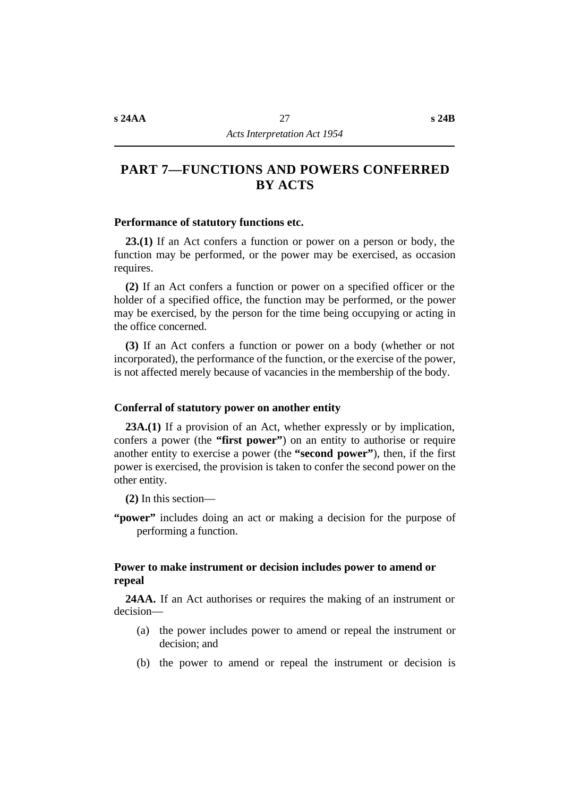#### **˙Performance of statutory functions etc.**

**23.(1)** If an Act confers a function or power on a person or body, the function may be performed, or the power may be exercised, as occasion requires.

**(2)** If an Act confers a function or power on a specified officer or the holder of a specified office, the function may be performed, or the power may be exercised, by the person for the time being occupying or acting in the office concerned.

**(3)** If an Act confers a function or power on a body (whether or not incorporated), the performance of the function, or the exercise of the power, is not affected merely because of vacancies in the membership of the body.

#### **˙Conferral of statutory power on another entity**

**23A.(1)** If a provision of an Act, whether expressly or by implication, confers a power (the **"first power"**) on an entity to authorise or require another entity to exercise a power (the **"second power"**), then, if the first power is exercised, the provision is taken to confer the second power on the other entity.

**(2)** In this section—

**"power"** includes doing an act or making a decision for the purpose of performing a function.

#### **˙Power to make instrument or decision includes power to amend or repeal**

**24AA.** If an Act authorises or requires the making of an instrument or decision—

- (a) the power includes power to amend or repeal the instrument or decision; and
- (b) the power to amend or repeal the instrument or decision is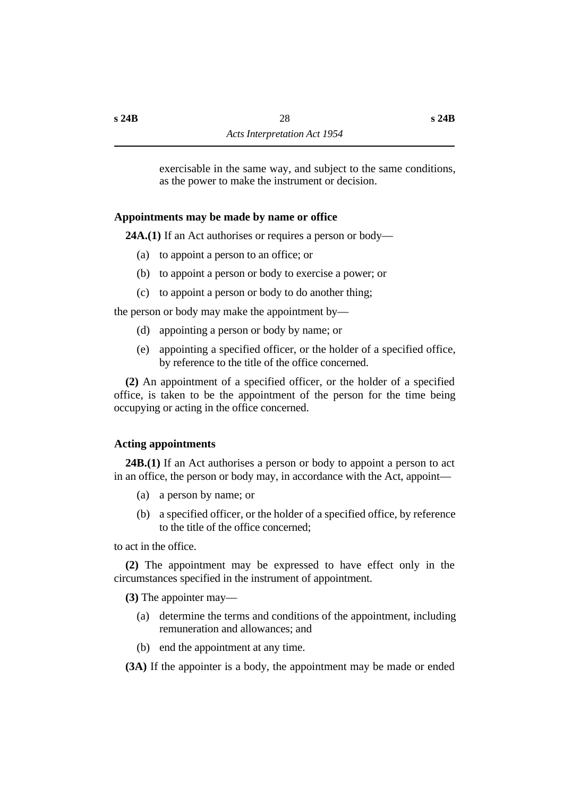exercisable in the same way, and subject to the same conditions, as the power to make the instrument or decision.

### **˙Appointments may be made by name or office**

**24A.(1)** If an Act authorises or requires a person or body—

- (a) to appoint a person to an office; or
- (b) to appoint a person or body to exercise a power; or
- (c) to appoint a person or body to do another thing;

the person or body may make the appointment by—

- (d) appointing a person or body by name; or
- (e) appointing a specified officer, or the holder of a specified office, by reference to the title of the office concerned.

**(2)** An appointment of a specified officer, or the holder of a specified office, is taken to be the appointment of the person for the time being occupying or acting in the office concerned.

### **˙Acting appointments**

**24B.(1)** If an Act authorises a person or body to appoint a person to act in an office, the person or body may, in accordance with the Act, appoint—

- (a) a person by name; or
- (b) a specified officer, or the holder of a specified office, by reference to the title of the office concerned;

to act in the office.

**(2)** The appointment may be expressed to have effect only in the circumstances specified in the instrument of appointment.

**(3)** The appointer may—

- (a) determine the terms and conditions of the appointment, including remuneration and allowances; and
- (b) end the appointment at any time.

**(3A)** If the appointer is a body, the appointment may be made or ended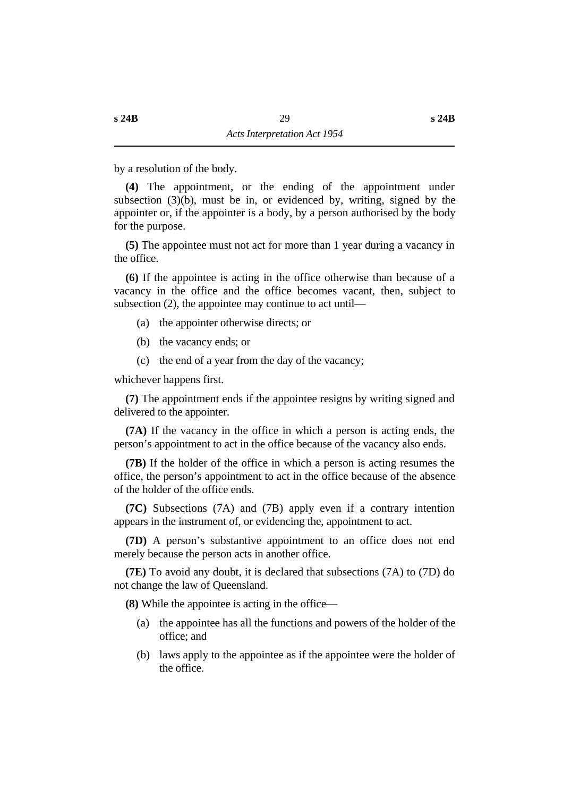by a resolution of the body.

**(4)** The appointment, or the ending of the appointment under subsection  $(3)(b)$ , must be in, or evidenced by, writing, signed by the appointer or, if the appointer is a body, by a person authorised by the body for the purpose.

**(5)** The appointee must not act for more than 1 year during a vacancy in the office.

**(6)** If the appointee is acting in the office otherwise than because of a vacancy in the office and the office becomes vacant, then, subject to subsection (2), the appointee may continue to act until—

- (a) the appointer otherwise directs; or
- (b) the vacancy ends; or
- (c) the end of a year from the day of the vacancy;

whichever happens first.

**(7)** The appointment ends if the appointee resigns by writing signed and delivered to the appointer.

**(7A)** If the vacancy in the office in which a person is acting ends, the person's appointment to act in the office because of the vacancy also ends.

**(7B)** If the holder of the office in which a person is acting resumes the office, the person's appointment to act in the office because of the absence of the holder of the office ends.

**(7C)** Subsections (7A) and (7B) apply even if a contrary intention appears in the instrument of, or evidencing the, appointment to act.

**(7D)** A person's substantive appointment to an office does not end merely because the person acts in another office.

**(7E)** To avoid any doubt, it is declared that subsections (7A) to (7D) do not change the law of Queensland.

**(8)** While the appointee is acting in the office—

- (a) the appointee has all the functions and powers of the holder of the office; and
- (b) laws apply to the appointee as if the appointee were the holder of the office.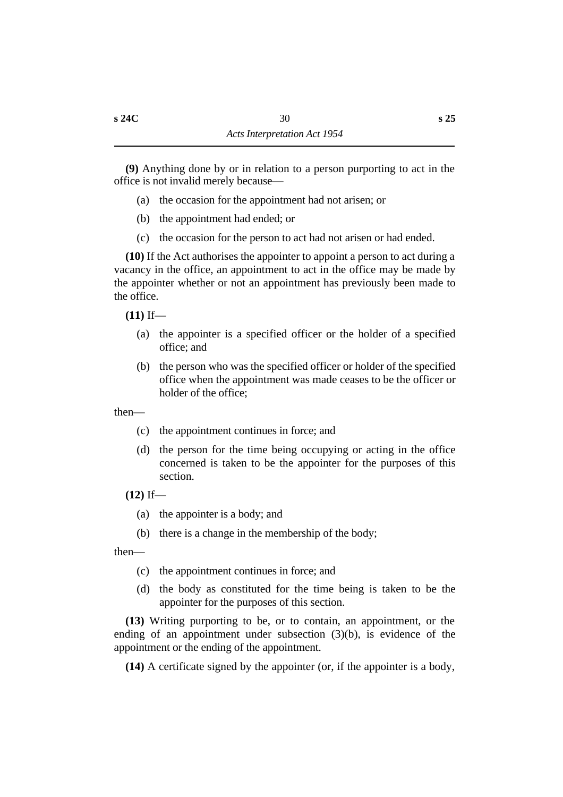**(9)** Anything done by or in relation to a person purporting to act in the office is not invalid merely because—

- (a) the occasion for the appointment had not arisen; or
- (b) the appointment had ended; or
- (c) the occasion for the person to act had not arisen or had ended.

**(10)** If the Act authorises the appointer to appoint a person to act during a vacancy in the office, an appointment to act in the office may be made by the appointer whether or not an appointment has previously been made to the office.

**(11)** If—

- (a) the appointer is a specified officer or the holder of a specified office; and
- (b) the person who was the specified officer or holder of the specified office when the appointment was made ceases to be the officer or holder of the office;

then—

- (c) the appointment continues in force; and
- (d) the person for the time being occupying or acting in the office concerned is taken to be the appointer for the purposes of this section.

**(12)** If—

- (a) the appointer is a body; and
- (b) there is a change in the membership of the body;

then—

- (c) the appointment continues in force; and
- (d) the body as constituted for the time being is taken to be the appointer for the purposes of this section.

**(13)** Writing purporting to be, or to contain, an appointment, or the ending of an appointment under subsection (3)(b), is evidence of the appointment or the ending of the appointment.

**(14)** A certificate signed by the appointer (or, if the appointer is a body,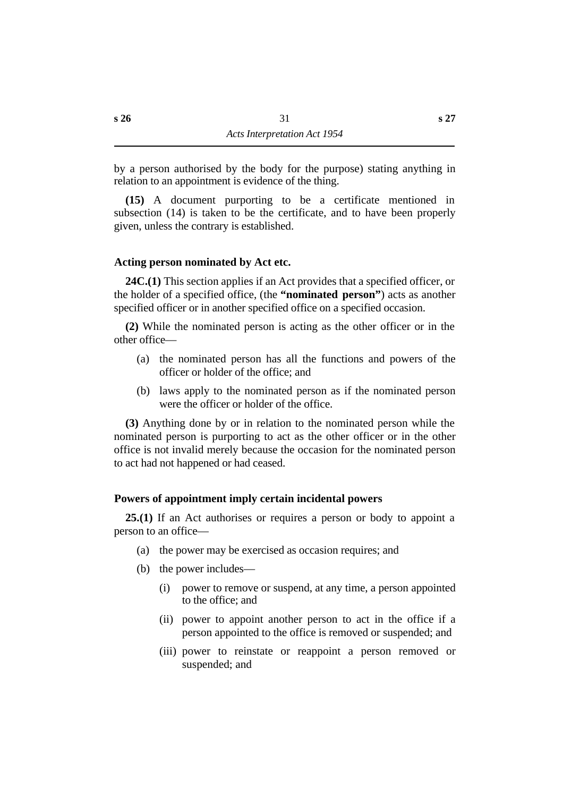by a person authorised by the body for the purpose) stating anything in relation to an appointment is evidence of the thing.

**(15)** A document purporting to be a certificate mentioned in subsection (14) is taken to be the certificate, and to have been properly given, unless the contrary is established.

### **˙Acting person nominated by Act etc.**

**24C.(1)** This section applies if an Act provides that a specified officer, or the holder of a specified office, (the **"nominated person"**) acts as another specified officer or in another specified office on a specified occasion.

**(2)** While the nominated person is acting as the other officer or in the other office—

- (a) the nominated person has all the functions and powers of the officer or holder of the office; and
- (b) laws apply to the nominated person as if the nominated person were the officer or holder of the office.

**(3)** Anything done by or in relation to the nominated person while the nominated person is purporting to act as the other officer or in the other office is not invalid merely because the occasion for the nominated person to act had not happened or had ceased.

### **˙Powers of appointment imply certain incidental powers**

**25.(1)** If an Act authorises or requires a person or body to appoint a person to an office—

- (a) the power may be exercised as occasion requires; and
- (b) the power includes—
	- (i) power to remove or suspend, at any time, a person appointed to the office; and
	- (ii) power to appoint another person to act in the office if a person appointed to the office is removed or suspended; and
	- (iii) power to reinstate or reappoint a person removed or suspended; and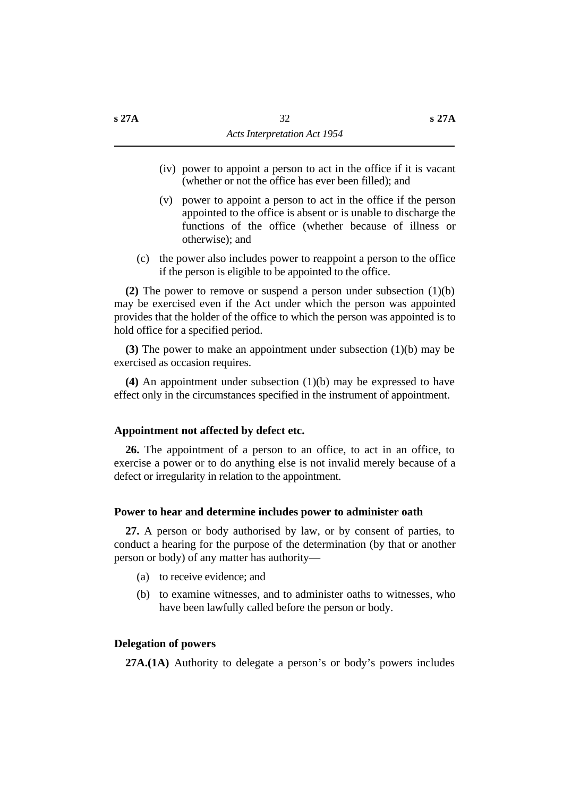- (iv) power to appoint a person to act in the office if it is vacant (whether or not the office has ever been filled); and
- (v) power to appoint a person to act in the office if the person appointed to the office is absent or is unable to discharge the functions of the office (whether because of illness or otherwise); and
- (c) the power also includes power to reappoint a person to the office if the person is eligible to be appointed to the office.

**(2)** The power to remove or suspend a person under subsection (1)(b) may be exercised even if the Act under which the person was appointed provides that the holder of the office to which the person was appointed is to hold office for a specified period.

**(3)** The power to make an appointment under subsection (1)(b) may be exercised as occasion requires.

**(4)** An appointment under subsection (1)(b) may be expressed to have effect only in the circumstances specified in the instrument of appointment.

#### **˙Appointment not affected by defect etc.**

**26.** The appointment of a person to an office, to act in an office, to exercise a power or to do anything else is not invalid merely because of a defect or irregularity in relation to the appointment.

#### **˙Power to hear and determine includes power to administer oath**

**27.** A person or body authorised by law, or by consent of parties, to conduct a hearing for the purpose of the determination (by that or another person or body) of any matter has authority—

- (a) to receive evidence; and
- (b) to examine witnesses, and to administer oaths to witnesses, who have been lawfully called before the person or body.

### **˙Delegation of powers**

**27A.(1A)** Authority to delegate a person's or body's powers includes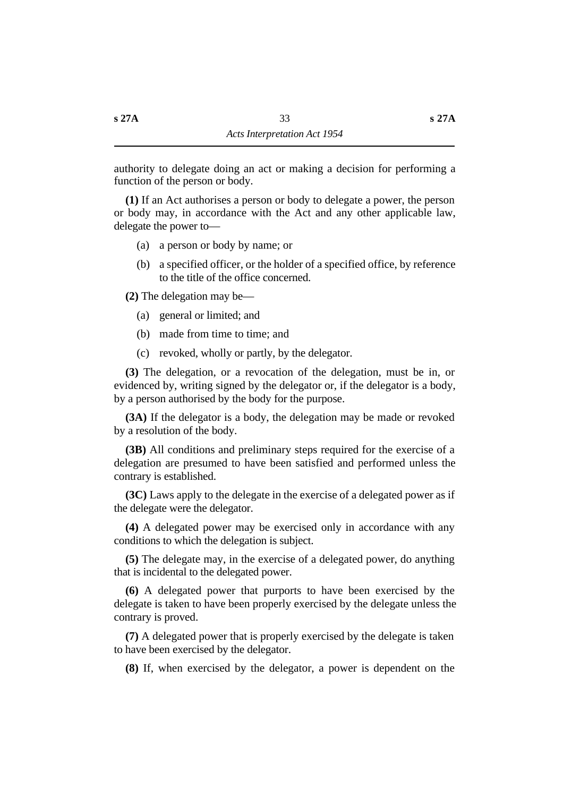authority to delegate doing an act or making a decision for performing a function of the person or body.

**(1)** If an Act authorises a person or body to delegate a power, the person or body may, in accordance with the Act and any other applicable law, delegate the power to—

- (a) a person or body by name; or
- (b) a specified officer, or the holder of a specified office, by reference to the title of the office concerned.

**(2)** The delegation may be—

- (a) general or limited; and
- (b) made from time to time; and
- (c) revoked, wholly or partly, by the delegator.

**(3)** The delegation, or a revocation of the delegation, must be in, or evidenced by, writing signed by the delegator or, if the delegator is a body, by a person authorised by the body for the purpose.

**(3A)** If the delegator is a body, the delegation may be made or revoked by a resolution of the body.

**(3B)** All conditions and preliminary steps required for the exercise of a delegation are presumed to have been satisfied and performed unless the contrary is established.

**(3C)** Laws apply to the delegate in the exercise of a delegated power as if the delegate were the delegator.

**(4)** A delegated power may be exercised only in accordance with any conditions to which the delegation is subject.

**(5)** The delegate may, in the exercise of a delegated power, do anything that is incidental to the delegated power.

**(6)** A delegated power that purports to have been exercised by the delegate is taken to have been properly exercised by the delegate unless the contrary is proved.

**(7)** A delegated power that is properly exercised by the delegate is taken to have been exercised by the delegator.

**(8)** If, when exercised by the delegator, a power is dependent on the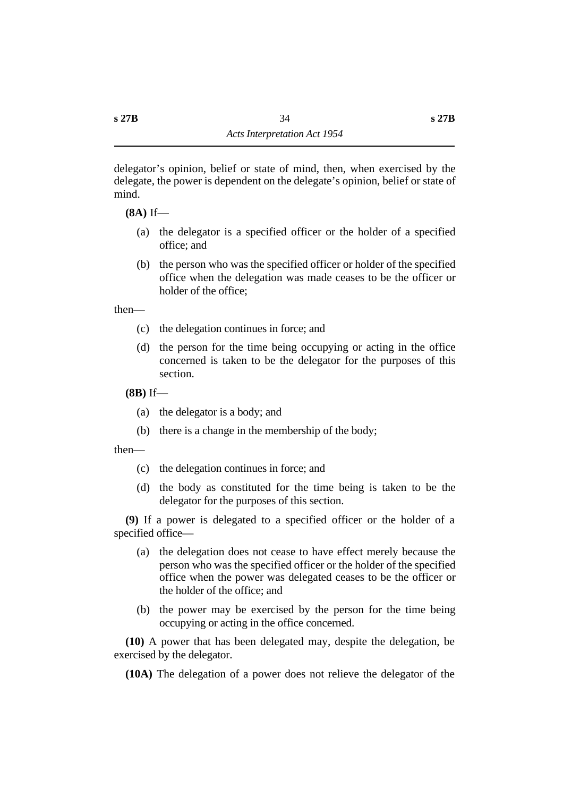**(8A)** If—

- (a) the delegator is a specified officer or the holder of a specified office; and
- (b) the person who was the specified officer or holder of the specified office when the delegation was made ceases to be the officer or holder of the office;

then—

- (c) the delegation continues in force; and
- (d) the person for the time being occupying or acting in the office concerned is taken to be the delegator for the purposes of this section.

**(8B)** If—

- (a) the delegator is a body; and
- (b) there is a change in the membership of the body;

then—

- (c) the delegation continues in force; and
- (d) the body as constituted for the time being is taken to be the delegator for the purposes of this section.

**(9)** If a power is delegated to a specified officer or the holder of a specified office—

- (a) the delegation does not cease to have effect merely because the person who was the specified officer or the holder of the specified office when the power was delegated ceases to be the officer or the holder of the office; and
- (b) the power may be exercised by the person for the time being occupying or acting in the office concerned.

**(10)** A power that has been delegated may, despite the delegation, be exercised by the delegator.

**(10A)** The delegation of a power does not relieve the delegator of the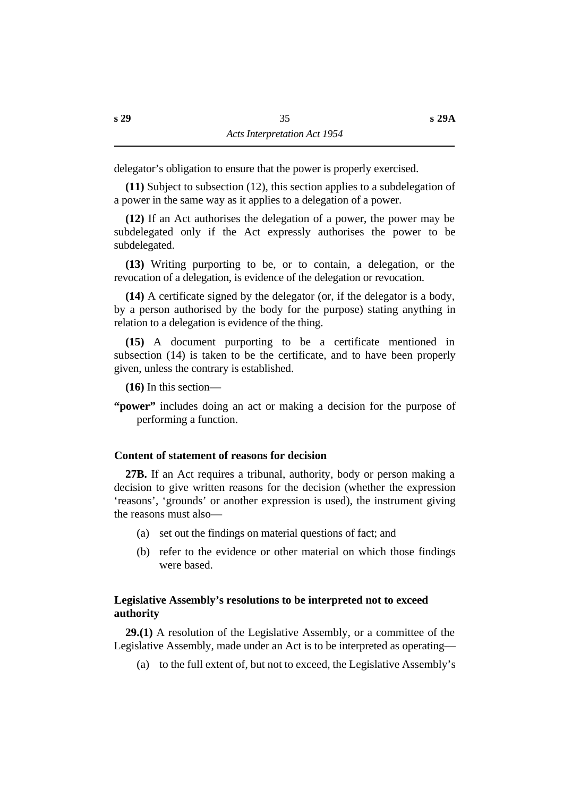delegator's obligation to ensure that the power is properly exercised.

**(11)** Subject to subsection (12), this section applies to a subdelegation of a power in the same way as it applies to a delegation of a power.

**(12)** If an Act authorises the delegation of a power, the power may be subdelegated only if the Act expressly authorises the power to be subdelegated.

**(13)** Writing purporting to be, or to contain, a delegation, or the revocation of a delegation, is evidence of the delegation or revocation.

**(14)** A certificate signed by the delegator (or, if the delegator is a body, by a person authorised by the body for the purpose) stating anything in relation to a delegation is evidence of the thing.

**(15)** A document purporting to be a certificate mentioned in subsection (14) is taken to be the certificate, and to have been properly given, unless the contrary is established.

**(16)** In this section—

**"power"** includes doing an act or making a decision for the purpose of performing a function.

# **˙Content of statement of reasons for decision**

**27B.** If an Act requires a tribunal, authority, body or person making a decision to give written reasons for the decision (whether the expression 'reasons', 'grounds' or another expression is used), the instrument giving the reasons must also—

- (a) set out the findings on material questions of fact; and
- (b) refer to the evidence or other material on which those findings were based.

# **˙Legislative Assembly's resolutions to be interpreted not to exceed authority**

**29.(1)** A resolution of the Legislative Assembly, or a committee of the Legislative Assembly, made under an Act is to be interpreted as operating—

(a) to the full extent of, but not to exceed, the Legislative Assembly's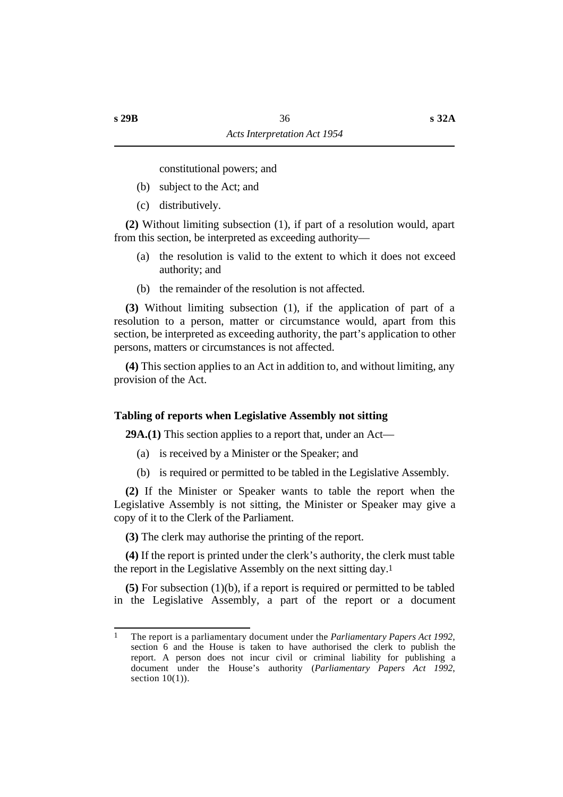constitutional powers; and

- (b) subject to the Act; and
- (c) distributively.

**(2)** Without limiting subsection (1), if part of a resolution would, apart from this section, be interpreted as exceeding authority—

- (a) the resolution is valid to the extent to which it does not exceed authority; and
- (b) the remainder of the resolution is not affected.

**(3)** Without limiting subsection (1), if the application of part of a resolution to a person, matter or circumstance would, apart from this section, be interpreted as exceeding authority, the part's application to other persons, matters or circumstances is not affected.

**(4)** This section applies to an Act in addition to, and without limiting, any provision of the Act.

# **˙Tabling of reports when Legislative Assembly not sitting**

**29A.(1)** This section applies to a report that, under an Act—

- (a) is received by a Minister or the Speaker; and
- (b) is required or permitted to be tabled in the Legislative Assembly.

**(2)** If the Minister or Speaker wants to table the report when the Legislative Assembly is not sitting, the Minister or Speaker may give a copy of it to the Clerk of the Parliament.

**(3)** The clerk may authorise the printing of the report.

**(4)** If the report is printed under the clerk's authority, the clerk must table the report in the Legislative Assembly on the next sitting day.1

**(5)** For subsection (1)(b), if a report is required or permitted to be tabled in the Legislative Assembly, a part of the report or a document

<sup>1</sup> The report is a parliamentary document under the *Parliamentary Papers Act 1992*, section 6 and the House is taken to have authorised the clerk to publish the report. A person does not incur civil or criminal liability for publishing a document under the House's authority (*Parliamentary Papers Act 1992*, section  $10(1)$ ).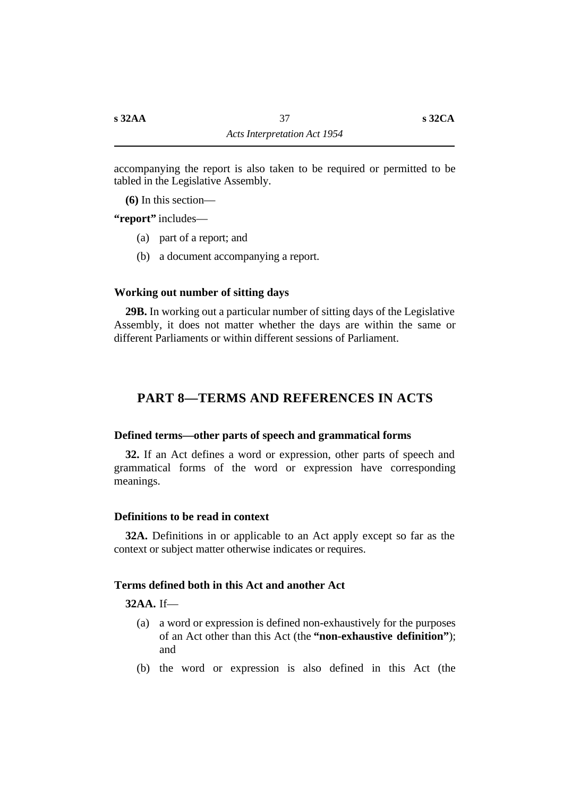accompanying the report is also taken to be required or permitted to be tabled in the Legislative Assembly.

**(6)** In this section—

**"report"** includes—

- (a) part of a report; and
- (b) a document accompanying a report.

### **˙Working out number of sitting days**

**29B.** In working out a particular number of sitting days of the Legislative Assembly, it does not matter whether the days are within the same or different Parliaments or within different sessions of Parliament.

# **†PART 8—TERMS AND REFERENCES IN ACTS**

### **˙Defined terms—other parts of speech and grammatical forms**

**32.** If an Act defines a word or expression, other parts of speech and grammatical forms of the word or expression have corresponding meanings.

### **˙Definitions to be read in context**

**32A.** Definitions in or applicable to an Act apply except so far as the context or subject matter otherwise indicates or requires.

### **˙Terms defined both in this Act and another Act**

# **32AA.** If—

- (a) a word or expression is defined non-exhaustively for the purposes of an Act other than this Act (the **"non-exhaustive definition"**); and
- (b) the word or expression is also defined in this Act (the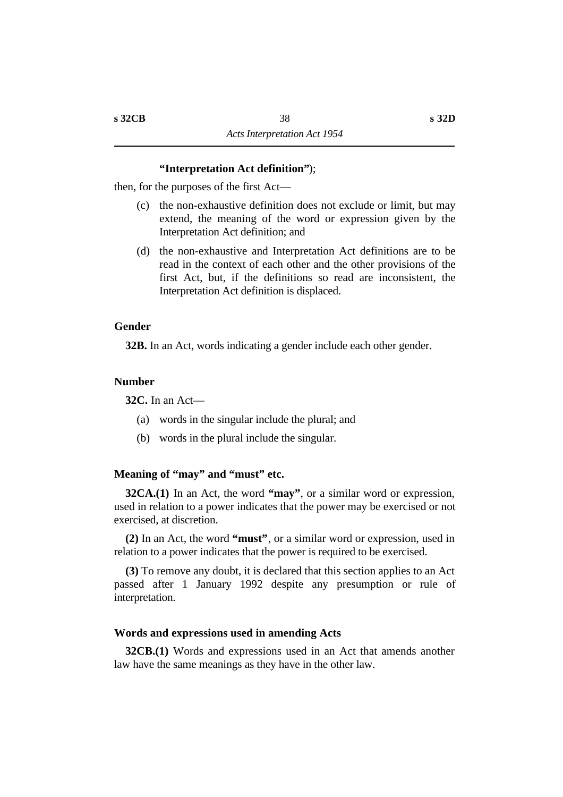### **"Interpretation Act definition"**);

then, for the purposes of the first Act—

- (c) the non-exhaustive definition does not exclude or limit, but may extend, the meaning of the word or expression given by the Interpretation Act definition; and
- (d) the non-exhaustive and Interpretation Act definitions are to be read in the context of each other and the other provisions of the first Act, but, if the definitions so read are inconsistent, the Interpretation Act definition is displaced.

### **˙Gender**

**32B.** In an Act, words indicating a gender include each other gender.

### **˙Number**

**32C.** In an Act—

- (a) words in the singular include the plural; and
- (b) words in the plural include the singular.

### **˙Meaning of "may" and "must" etc.**

**32CA.(1)** In an Act, the word **"may"**, or a similar word or expression, used in relation to a power indicates that the power may be exercised or not exercised, at discretion.

**(2)** In an Act, the word **"must"**, or a similar word or expression, used in relation to a power indicates that the power is required to be exercised.

**(3)** To remove any doubt, it is declared that this section applies to an Act passed after 1 January 1992 despite any presumption or rule of interpretation.

#### **˙Words and expressions used in amending Acts**

**32CB.(1)** Words and expressions used in an Act that amends another law have the same meanings as they have in the other law.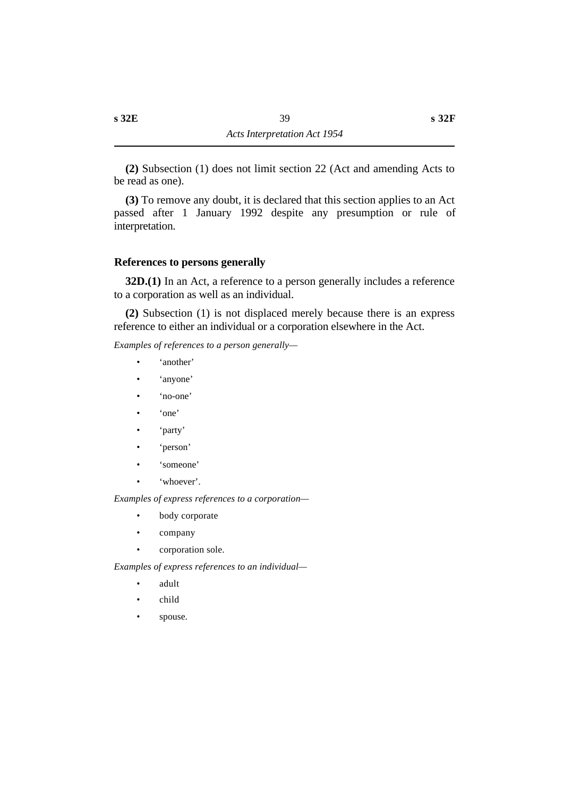**(2)** Subsection (1) does not limit section 22 (Act and amending Acts to be read as one).

**(3)** To remove any doubt, it is declared that this section applies to an Act passed after 1 January 1992 despite any presumption or rule of interpretation.

### **˙References to persons generally**

**32D.(1)** In an Act, a reference to a person generally includes a reference to a corporation as well as an individual.

**(2)** Subsection (1) is not displaced merely because there is an express reference to either an individual or a corporation elsewhere in the Act.

*Examples of references to a person generally—*

- 'another'
- 'anyone'
- 'no-one'
- 'one'
- 'party'
- 'person'
- 'someone'
- 'whoever'.

*Examples of express references to a corporation—*

- body corporate
- company
- corporation sole.

*Examples of express references to an individual—*

- adult
- child
- spouse.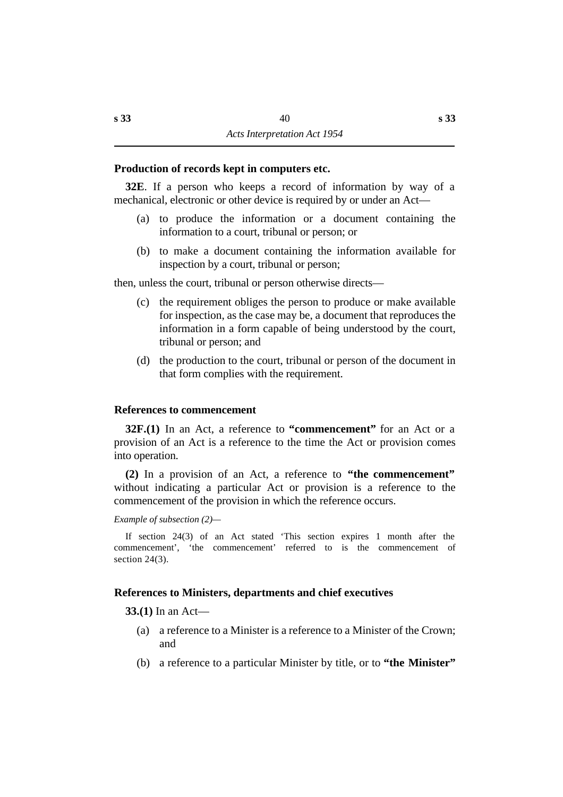# **˙Production of records kept in computers etc.**

**32E**. If a person who keeps a record of information by way of a mechanical, electronic or other device is required by or under an Act—

- (a) to produce the information or a document containing the information to a court, tribunal or person; or
- (b) to make a document containing the information available for inspection by a court, tribunal or person;

then, unless the court, tribunal or person otherwise directs—

- (c) the requirement obliges the person to produce or make available for inspection, as the case may be, a document that reproduces the information in a form capable of being understood by the court, tribunal or person; and
- (d) the production to the court, tribunal or person of the document in that form complies with the requirement.

### **˙References to commencement**

**32F.(1)** In an Act, a reference to **"commencement"** for an Act or a provision of an Act is a reference to the time the Act or provision comes into operation.

**(2)** In a provision of an Act, a reference to **"the commencement"** without indicating a particular Act or provision is a reference to the commencement of the provision in which the reference occurs.

*Example of subsection (2)—*

If section 24(3) of an Act stated 'This section expires 1 month after the commencement', 'the commencement' referred to is the commencement of section 24(3).

### **˙References to Ministers, departments and chief executives**

**33.(1)** In an Act—

- (a) a reference to a Minister is a reference to a Minister of the Crown; and
- (b) a reference to a particular Minister by title, or to **"the Minister"**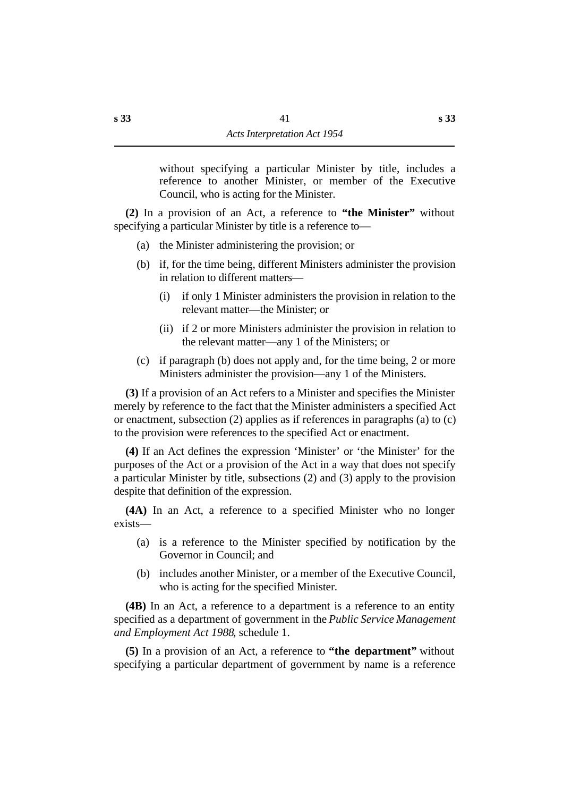without specifying a particular Minister by title, includes a reference to another Minister, or member of the Executive Council, who is acting for the Minister.

**(2)** In a provision of an Act, a reference to **"the Minister"** without specifying a particular Minister by title is a reference to—

- (a) the Minister administering the provision; or
- (b) if, for the time being, different Ministers administer the provision in relation to different matters—
	- (i) if only 1 Minister administers the provision in relation to the relevant matter—the Minister; or
	- (ii) if 2 or more Ministers administer the provision in relation to the relevant matter—any 1 of the Ministers; or
- (c) if paragraph (b) does not apply and, for the time being, 2 or more Ministers administer the provision—any 1 of the Ministers.

**(3)** If a provision of an Act refers to a Minister and specifies the Minister merely by reference to the fact that the Minister administers a specified Act or enactment, subsection (2) applies as if references in paragraphs (a) to (c) to the provision were references to the specified Act or enactment.

**(4)** If an Act defines the expression 'Minister' or 'the Minister' for the purposes of the Act or a provision of the Act in a way that does not specify a particular Minister by title, subsections (2) and (3) apply to the provision despite that definition of the expression.

**(4A)** In an Act, a reference to a specified Minister who no longer exists—

- (a) is a reference to the Minister specified by notification by the Governor in Council; and
- (b) includes another Minister, or a member of the Executive Council, who is acting for the specified Minister.

**(4B)** In an Act, a reference to a department is a reference to an entity specified as a department of government in the *Public Service Management and Employment Act 1988*, schedule 1.

**(5)** In a provision of an Act, a reference to **"the department"** without specifying a particular department of government by name is a reference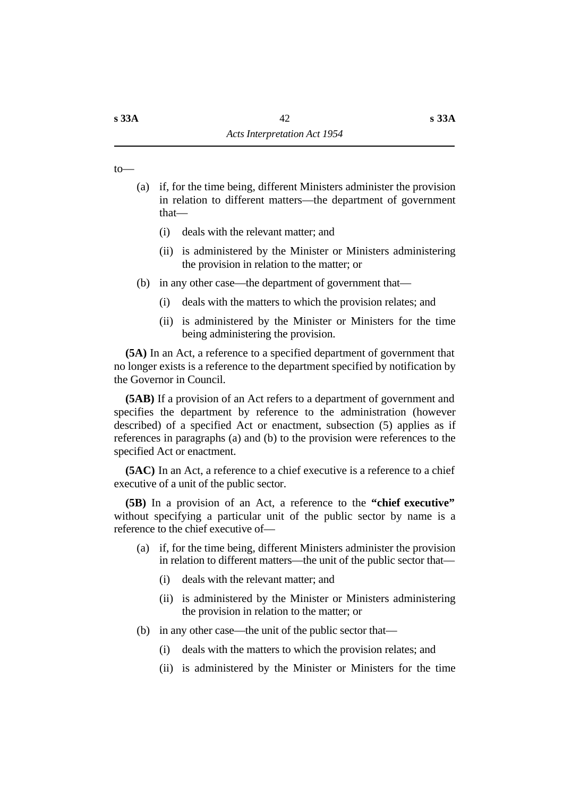to—

- (a) if, for the time being, different Ministers administer the provision in relation to different matters—the department of government that—
	- (i) deals with the relevant matter; and
	- (ii) is administered by the Minister or Ministers administering the provision in relation to the matter; or
- (b) in any other case—the department of government that—
	- (i) deals with the matters to which the provision relates; and
	- (ii) is administered by the Minister or Ministers for the time being administering the provision.

**(5A)** In an Act, a reference to a specified department of government that no longer exists is a reference to the department specified by notification by the Governor in Council.

**(5AB)** If a provision of an Act refers to a department of government and specifies the department by reference to the administration (however described) of a specified Act or enactment, subsection (5) applies as if references in paragraphs (a) and (b) to the provision were references to the specified Act or enactment.

**(5AC)** In an Act, a reference to a chief executive is a reference to a chief executive of a unit of the public sector.

**(5B)** In a provision of an Act, a reference to the **"chief executive"** without specifying a particular unit of the public sector by name is a reference to the chief executive of—

- (a) if, for the time being, different Ministers administer the provision in relation to different matters—the unit of the public sector that—
	- (i) deals with the relevant matter; and
	- (ii) is administered by the Minister or Ministers administering the provision in relation to the matter; or
- (b) in any other case—the unit of the public sector that—
	- (i) deals with the matters to which the provision relates; and
	- (ii) is administered by the Minister or Ministers for the time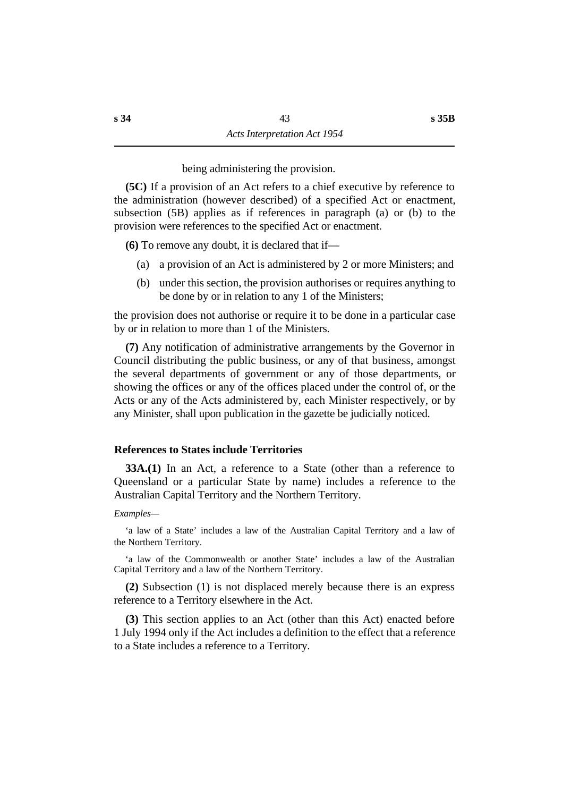being administering the provision.

**(5C)** If a provision of an Act refers to a chief executive by reference to the administration (however described) of a specified Act or enactment, subsection (5B) applies as if references in paragraph (a) or (b) to the provision were references to the specified Act or enactment.

**(6)** To remove any doubt, it is declared that if—

- (a) a provision of an Act is administered by 2 or more Ministers; and
- (b) under this section, the provision authorises or requires anything to be done by or in relation to any 1 of the Ministers;

the provision does not authorise or require it to be done in a particular case by or in relation to more than 1 of the Ministers.

**(7)** Any notification of administrative arrangements by the Governor in Council distributing the public business, or any of that business, amongst the several departments of government or any of those departments, or showing the offices or any of the offices placed under the control of, or the Acts or any of the Acts administered by, each Minister respectively, or by any Minister, shall upon publication in the gazette be judicially noticed.

### **˙References to States include Territories**

**33A.(1)** In an Act, a reference to a State (other than a reference to Queensland or a particular State by name) includes a reference to the Australian Capital Territory and the Northern Territory.

#### *Examples—*

'a law of a State' includes a law of the Australian Capital Territory and a law of the Northern Territory.

'a law of the Commonwealth or another State' includes a law of the Australian Capital Territory and a law of the Northern Territory.

**(2)** Subsection (1) is not displaced merely because there is an express reference to a Territory elsewhere in the Act.

**(3)** This section applies to an Act (other than this Act) enacted before 1 July 1994 only if the Act includes a definition to the effect that a reference to a State includes a reference to a Territory.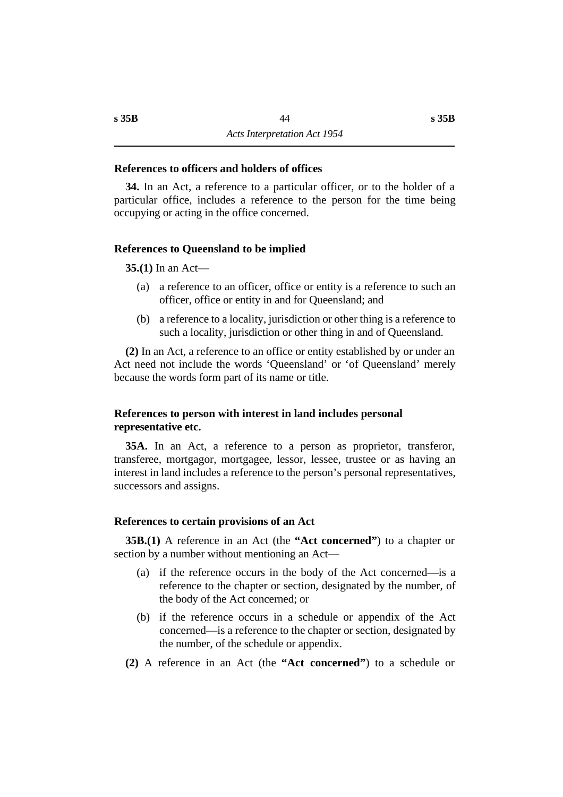### **˙References to officers and holders of offices**

**34.** In an Act, a reference to a particular officer, or to the holder of a particular office, includes a reference to the person for the time being occupying or acting in the office concerned.

#### **˙References to Queensland to be implied**

**35.(1)** In an Act—

- (a) a reference to an officer, office or entity is a reference to such an officer, office or entity in and for Queensland; and
- (b) a reference to a locality, jurisdiction or other thing is a reference to such a locality, jurisdiction or other thing in and of Queensland.

**(2)** In an Act, a reference to an office or entity established by or under an Act need not include the words 'Queensland' or 'of Queensland' merely because the words form part of its name or title.

# **˙References to person with interest in land includes personal representative etc.**

**35A.** In an Act, a reference to a person as proprietor, transferor, transferee, mortgagor, mortgagee, lessor, lessee, trustee or as having an interest in land includes a reference to the person's personal representatives, successors and assigns.

#### **˙References to certain provisions of an Act**

**35B.(1)** A reference in an Act (the **"Act concerned"**) to a chapter or section by a number without mentioning an Act—

- (a) if the reference occurs in the body of the Act concerned—is a reference to the chapter or section, designated by the number, of the body of the Act concerned; or
- (b) if the reference occurs in a schedule or appendix of the Act concerned—is a reference to the chapter or section, designated by the number, of the schedule or appendix.
- **(2)** A reference in an Act (the **"Act concerned"**) to a schedule or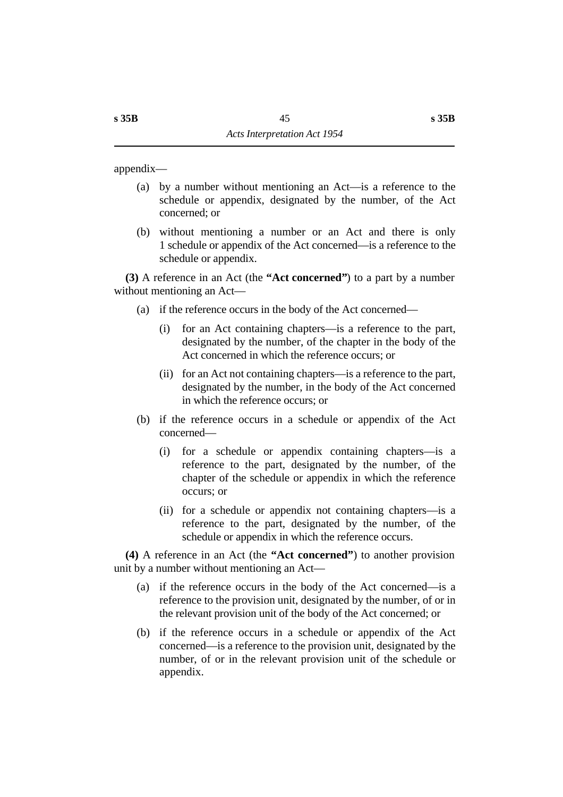appendix—

- (a) by a number without mentioning an Act—is a reference to the schedule or appendix, designated by the number, of the Act concerned; or
- (b) without mentioning a number or an Act and there is only 1 schedule or appendix of the Act concerned—is a reference to the schedule or appendix.

**(3)** A reference in an Act (the **"Act concerned"**) to a part by a number without mentioning an Act—

- (a) if the reference occurs in the body of the Act concerned—
	- (i) for an Act containing chapters—is a reference to the part, designated by the number, of the chapter in the body of the Act concerned in which the reference occurs; or
	- (ii) for an Act not containing chapters—is a reference to the part, designated by the number, in the body of the Act concerned in which the reference occurs; or
- (b) if the reference occurs in a schedule or appendix of the Act concerned—
	- (i) for a schedule or appendix containing chapters—is a reference to the part, designated by the number, of the chapter of the schedule or appendix in which the reference occurs; or
	- (ii) for a schedule or appendix not containing chapters—is a reference to the part, designated by the number, of the schedule or appendix in which the reference occurs.

**(4)** A reference in an Act (the **"Act concerned"**) to another provision unit by a number without mentioning an Act—

- (a) if the reference occurs in the body of the Act concerned—is a reference to the provision unit, designated by the number, of or in the relevant provision unit of the body of the Act concerned; or
- (b) if the reference occurs in a schedule or appendix of the Act concerned—is a reference to the provision unit, designated by the number, of or in the relevant provision unit of the schedule or appendix.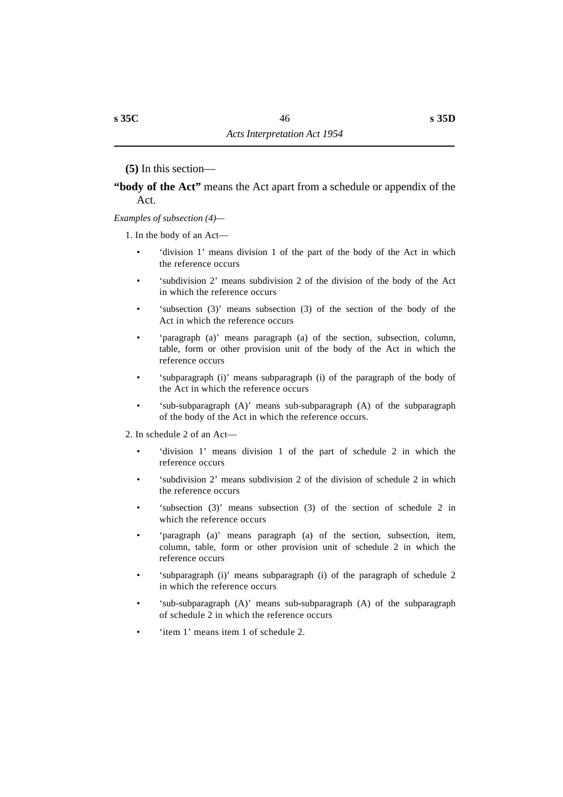**(5)** In this section—

# **"body of the Act"** means the Act apart from a schedule or appendix of the Act.

### *Examples of subsection (4)—*

1. In the body of an Act—

- 'division 1' means division 1 of the part of the body of the Act in which the reference occurs
- 'subdivision 2' means subdivision 2 of the division of the body of the Act in which the reference occurs
- 'subsection (3)' means subsection (3) of the section of the body of the Act in which the reference occurs
- 'paragraph (a)' means paragraph (a) of the section, subsection, column, table, form or other provision unit of the body of the Act in which the reference occurs
- 'subparagraph (i)' means subparagraph (i) of the paragraph of the body of the Act in which the reference occurs
- 'sub-subparagraph (A)' means sub-subparagraph (A) of the subparagraph of the body of the Act in which the reference occurs.
- 2. In schedule 2 of an Act—
	- 'division 1' means division 1 of the part of schedule 2 in which the reference occurs
	- 'subdivision 2' means subdivision 2 of the division of schedule 2 in which the reference occurs
	- 'subsection (3)' means subsection (3) of the section of schedule 2 in which the reference occurs
	- 'paragraph (a)' means paragraph (a) of the section, subsection, item, column, table, form or other provision unit of schedule 2 in which the reference occurs
	- 'subparagraph (i)' means subparagraph (i) of the paragraph of schedule 2 in which the reference occurs
	- 'sub-subparagraph (A)' means sub-subparagraph (A) of the subparagraph of schedule 2 in which the reference occurs
	- 'item 1' means item 1 of schedule 2.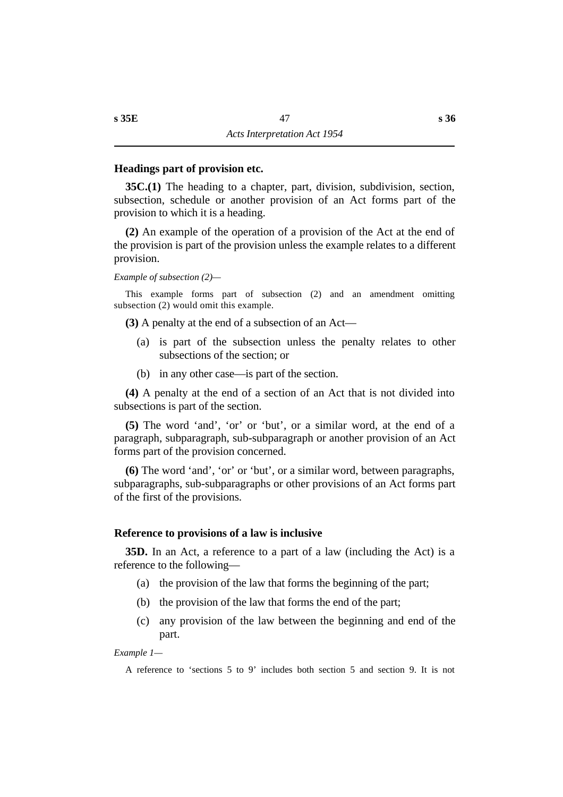### **˙Headings part of provision etc.**

**35C.(1)** The heading to a chapter, part, division, subdivision, section, subsection, schedule or another provision of an Act forms part of the provision to which it is a heading.

**(2)** An example of the operation of a provision of the Act at the end of the provision is part of the provision unless the example relates to a different provision.

#### *Example of subsection (2)—*

This example forms part of subsection (2) and an amendment omitting subsection (2) would omit this example.

**(3)** A penalty at the end of a subsection of an Act—

- (a) is part of the subsection unless the penalty relates to other subsections of the section; or
- (b) in any other case—is part of the section.

**(4)** A penalty at the end of a section of an Act that is not divided into subsections is part of the section.

**(5)** The word 'and', 'or' or 'but', or a similar word, at the end of a paragraph, subparagraph, sub-subparagraph or another provision of an Act forms part of the provision concerned.

**(6)** The word 'and', 'or' or 'but', or a similar word, between paragraphs, subparagraphs, sub-subparagraphs or other provisions of an Act forms part of the first of the provisions.

#### **˙Reference to provisions of a law is inclusive**

**35D.** In an Act, a reference to a part of a law (including the Act) is a reference to the following—

- (a) the provision of the law that forms the beginning of the part;
- (b) the provision of the law that forms the end of the part;
- (c) any provision of the law between the beginning and end of the part.

*Example 1—*

A reference to 'sections 5 to 9' includes both section 5 and section 9. It is not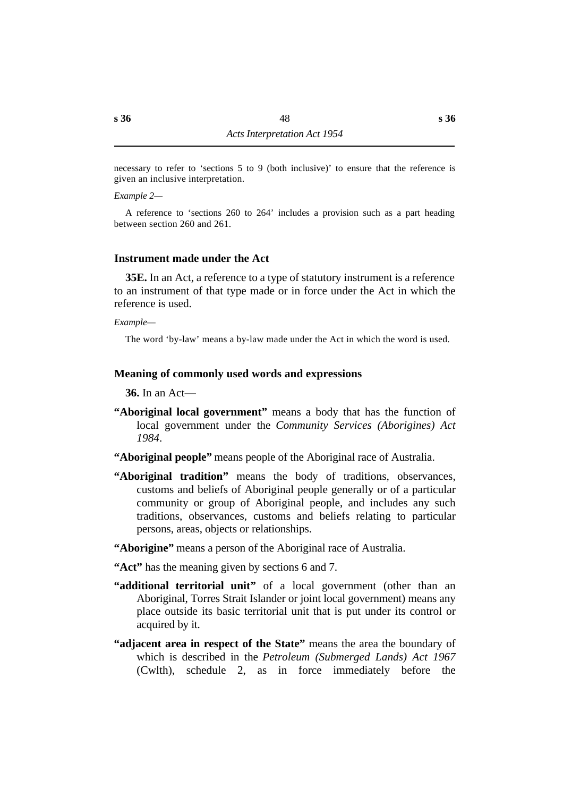necessary to refer to 'sections 5 to 9 (both inclusive)' to ensure that the reference is given an inclusive interpretation.

*Example 2—*

A reference to 'sections 260 to 264' includes a provision such as a part heading between section 260 and 261.

# **˙Instrument made under the Act**

**35E.** In an Act, a reference to a type of statutory instrument is a reference to an instrument of that type made or in force under the Act in which the reference is used.

*Example—*

The word 'by-law' means a by-law made under the Act in which the word is used.

# **˙Meaning of commonly used words and expressions**

**36.** In an Act—

- **"Aboriginal local government"** means a body that has the function of local government under the *Community Services (Aborigines) Act 1984*.
- **"Aboriginal people"** means people of the Aboriginal race of Australia.
- **"Aboriginal tradition"** means the body of traditions, observances, customs and beliefs of Aboriginal people generally or of a particular community or group of Aboriginal people, and includes any such traditions, observances, customs and beliefs relating to particular persons, areas, objects or relationships.
- **"Aborigine"** means a person of the Aboriginal race of Australia.
- **"Act"** has the meaning given by sections 6 and 7.
- **"additional territorial unit"** of a local government (other than an Aboriginal, Torres Strait Islander or joint local government) means any place outside its basic territorial unit that is put under its control or acquired by it.
- **"adjacent area in respect of the State"** means the area the boundary of which is described in the *Petroleum (Submerged Lands) Act 1967* (Cwlth), schedule 2, as in force immediately before the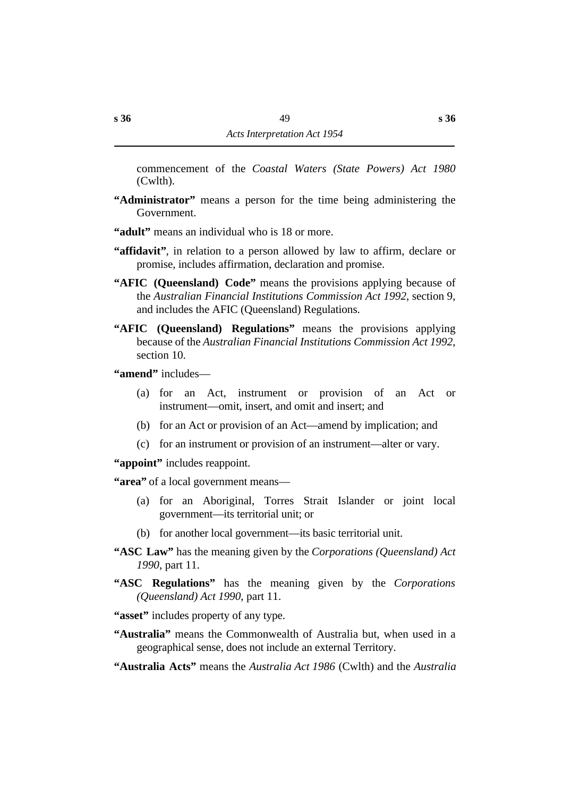commencement of the *Coastal Waters (State Powers) Act 1980* (Cwlth).

- **"Administrator"** means a person for the time being administering the Government.
- **"adult"** means an individual who is 18 or more.
- **"affidavit"**, in relation to a person allowed by law to affirm, declare or promise, includes affirmation, declaration and promise.
- **"AFIC (Queensland) Code"** means the provisions applying because of the *Australian Financial Institutions Commission Act 1992*, section 9, and includes the AFIC (Queensland) Regulations.
- **"AFIC (Queensland) Regulations"** means the provisions applying because of the *Australian Financial Institutions Commission Act 1992*, section 10.

**"amend"** includes—

- (a) for an Act, instrument or provision of an Act or instrument—omit, insert, and omit and insert; and
- (b) for an Act or provision of an Act—amend by implication; and
- (c) for an instrument or provision of an instrument—alter or vary.

**"appoint"** includes reappoint.

**"area"** of a local government means—

- (a) for an Aboriginal, Torres Strait Islander or joint local government—its territorial unit; or
- (b) for another local government—its basic territorial unit.
- **"ASC Law"** has the meaning given by the *Corporations (Queensland) Act 1990*, part 11.
- **"ASC Regulations"** has the meaning given by the *Corporations (Queensland) Act 1990*, part 11.
- **"asset"** includes property of any type.
- **"Australia"** means the Commonwealth of Australia but, when used in a geographical sense, does not include an external Territory.
- **"Australia Acts"** means the *Australia Act 1986* (Cwlth) and the *Australia*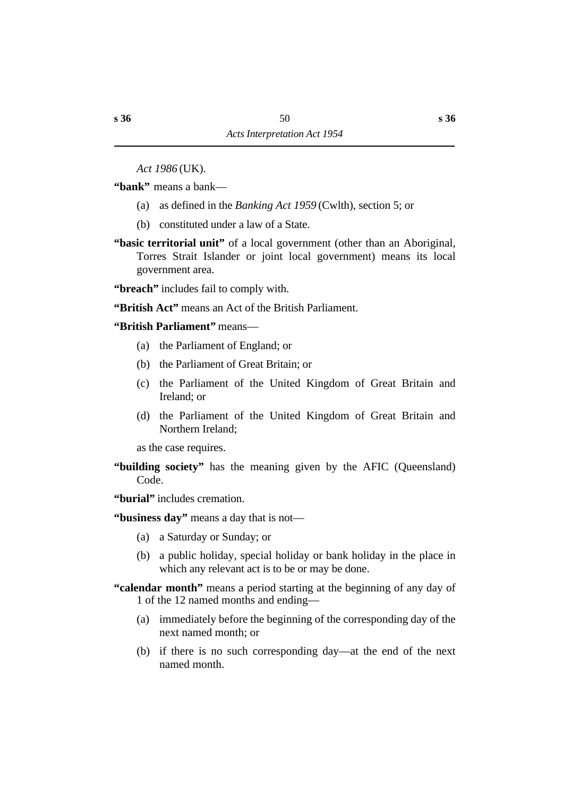*Act 1986* (UK).

**"bank"** means a bank—

- (a) as defined in the *Banking Act 1959* (Cwlth), section 5; or
- (b) constituted under a law of a State.
- **"basic territorial unit"** of a local government (other than an Aboriginal, Torres Strait Islander or joint local government) means its local government area.

**"breach"** includes fail to comply with.

**"British Act"** means an Act of the British Parliament.

**"British Parliament"** means—

- (a) the Parliament of England; or
- (b) the Parliament of Great Britain; or
- (c) the Parliament of the United Kingdom of Great Britain and Ireland; or
- (d) the Parliament of the United Kingdom of Great Britain and Northern Ireland;

as the case requires.

**"building society"** has the meaning given by the AFIC (Queensland) Code.

**"burial"** includes cremation.

**"business day"** means a day that is not—

- (a) a Saturday or Sunday; or
- (b) a public holiday, special holiday or bank holiday in the place in which any relevant act is to be or may be done.
- **"calendar month"** means a period starting at the beginning of any day of 1 of the 12 named months and ending—
	- (a) immediately before the beginning of the corresponding day of the next named month; or
	- (b) if there is no such corresponding day—at the end of the next named month.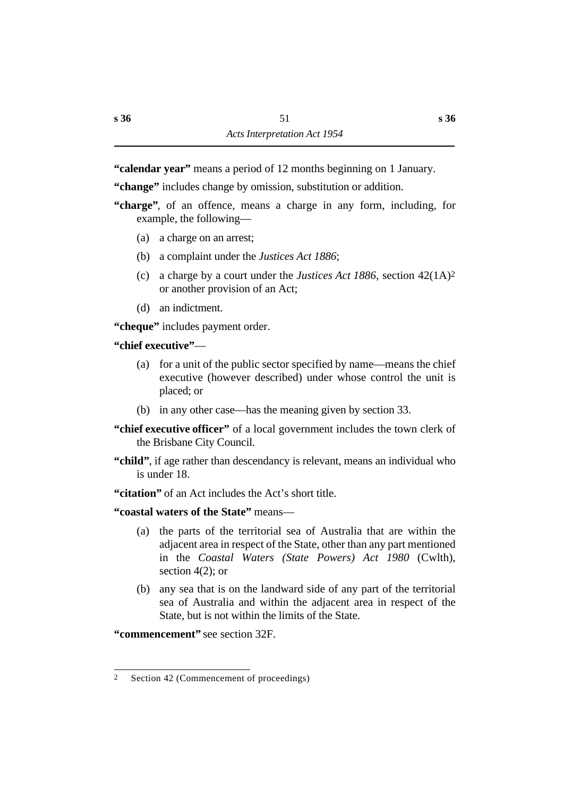**"calendar year"** means a period of 12 months beginning on 1 January.

**"change"** includes change by omission, substitution or addition.

- **"charge"**, of an offence, means a charge in any form, including, for example, the following—
	- (a) a charge on an arrest;
	- (b) a complaint under the *Justices Act 1886*;
	- (c) a charge by a court under the *Justices Act 1886*, section 42(1A)2 or another provision of an Act;
	- (d) an indictment.

**"cheque"** includes payment order.

# **"chief executive"**—

- (a) for a unit of the public sector specified by name—means the chief executive (however described) under whose control the unit is placed; or
- (b) in any other case—has the meaning given by section 33.
- **"chief executive officer"** of a local government includes the town clerk of the Brisbane City Council.
- **"child"**, if age rather than descendancy is relevant, means an individual who is under 18.
- **"citation"** of an Act includes the Act's short title.
- **"coastal waters of the State"** means—
	- (a) the parts of the territorial sea of Australia that are within the adjacent area in respect of the State, other than any part mentioned in the *Coastal Waters (State Powers) Act 1980* (Cwlth), section  $4(2)$ ; or
	- (b) any sea that is on the landward side of any part of the territorial sea of Australia and within the adjacent area in respect of the State, but is not within the limits of the State.

**"commencement"** see section 32F.

<sup>2</sup> Section 42 (Commencement of proceedings)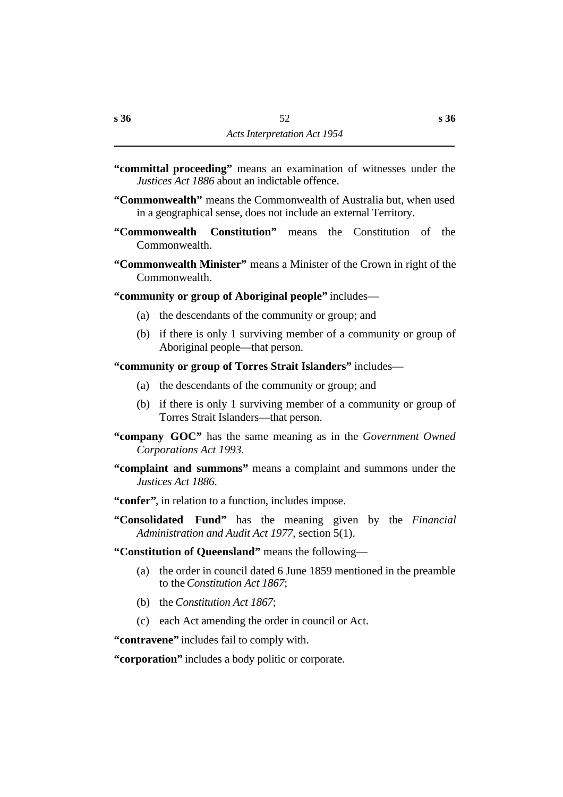- **"committal proceeding"** means an examination of witnesses under the *Justices Act 1886* about an indictable offence.
- **"Commonwealth"** means the Commonwealth of Australia but, when used in a geographical sense, does not include an external Territory.
- **"Commonwealth Constitution"** means the Constitution of the Commonwealth.
- **"Commonwealth Minister"** means a Minister of the Crown in right of the Commonwealth.

**"community or group of Aboriginal people"** includes—

- (a) the descendants of the community or group; and
- (b) if there is only 1 surviving member of a community or group of Aboriginal people—that person.

**"community or group of Torres Strait Islanders"** includes—

- (a) the descendants of the community or group; and
- (b) if there is only 1 surviving member of a community or group of Torres Strait Islanders—that person.
- **"company GOC"** has the same meaning as in the *Government Owned Corporations Act 1993.*
- **"complaint and summons"** means a complaint and summons under the *Justices Act 1886*.
- **"confer"**, in relation to a function, includes impose.
- **"Consolidated Fund"** has the meaning given by the *Financial Administration and Audit Act 1977*, section 5(1).
- **"Constitution of Queensland"** means the following—
	- (a) the order in council dated 6 June 1859 mentioned in the preamble to the *Constitution Act 1867*;
	- (b) the *Constitution Act 1867*;
	- (c) each Act amending the order in council or Act.

**"contravene"** includes fail to comply with.

**"corporation"** includes a body politic or corporate.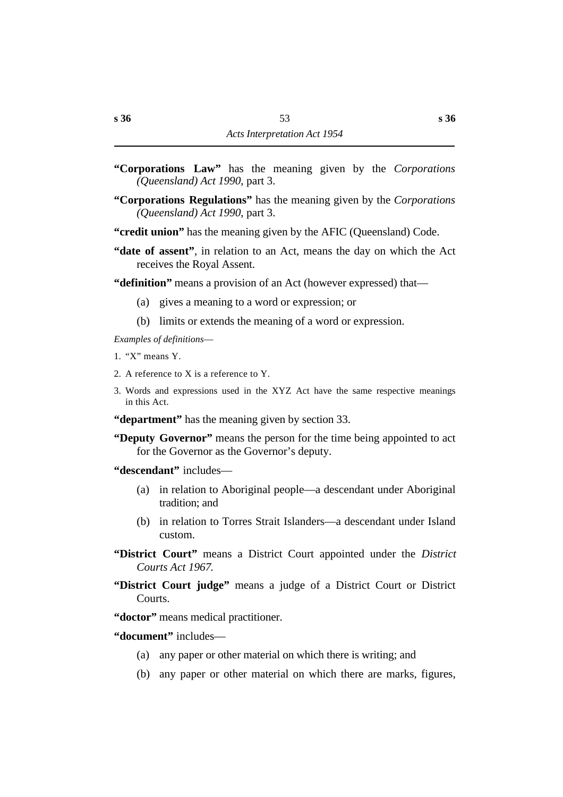- **"Corporations Law"** has the meaning given by the *Corporations (Queensland) Act 1990*, part 3.
- **"Corporations Regulations"** has the meaning given by the *Corporations (Queensland) Act 1990*, part 3.
- **"credit union"** has the meaning given by the AFIC (Queensland) Code.
- **"date of assent"**, in relation to an Act, means the day on which the Act receives the Royal Assent.

**"definition"** means a provision of an Act (however expressed) that—

- (a) gives a meaning to a word or expression; or
- (b) limits or extends the meaning of a word or expression.

*Examples of definitions*—

- 1. "X" means Y.
- 2. A reference to X is a reference to Y.
- 3. Words and expressions used in the XYZ Act have the same respective meanings in this Act.

**"department"** has the meaning given by section 33.

**"Deputy Governor"** means the person for the time being appointed to act for the Governor as the Governor's deputy.

**"descendant"** includes—

- (a) in relation to Aboriginal people—a descendant under Aboriginal tradition; and
- (b) in relation to Torres Strait Islanders—a descendant under Island custom.

**"District Court"** means a District Court appointed under the *District Courts Act 1967*.

**"District Court judge"** means a judge of a District Court or District Courts.

**"doctor"** means medical practitioner.

**"document"** includes—

- (a) any paper or other material on which there is writing; and
- (b) any paper or other material on which there are marks, figures,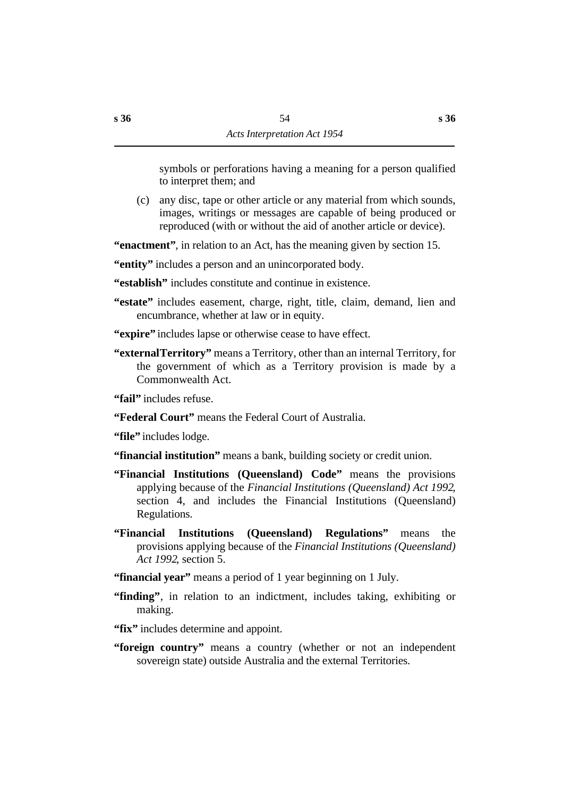symbols or perforations having a meaning for a person qualified to interpret them; and

(c) any disc, tape or other article or any material from which sounds, images, writings or messages are capable of being produced or reproduced (with or without the aid of another article or device).

**"enactment"**, in relation to an Act, has the meaning given by section 15.

**"entity"** includes a person and an unincorporated body.

**"establish"** includes constitute and continue in existence.

- **"estate"** includes easement, charge, right, title, claim, demand, lien and encumbrance, whether at law or in equity.
- **"expire"** includes lapse or otherwise cease to have effect.
- **"external Territory"** means a Territory, other than an internal Territory, for the government of which as a Territory provision is made by a Commonwealth Act.

**"fail"** includes refuse.

**"Federal Court"** means the Federal Court of Australia.

"**file**" includes lodge.

**"financial institution"** means a bank, building society or credit union.

- **"Financial Institutions (Queensland) Code"** means the provisions applying because of the *Financial Institutions (Queensland) Act 1992*, section 4, and includes the Financial Institutions (Queensland) Regulations.
- **"Financial Institutions (Queensland) Regulations"** means the provisions applying because of the *Financial Institutions (Queensland) Act 1992*, section 5.
- **"financial year"** means a period of 1 year beginning on 1 July.
- **"finding"**, in relation to an indictment, includes taking, exhibiting or making.
- **"fix"** includes determine and appoint.
- **"foreign country"** means a country (whether or not an independent sovereign state) outside Australia and the external Territories.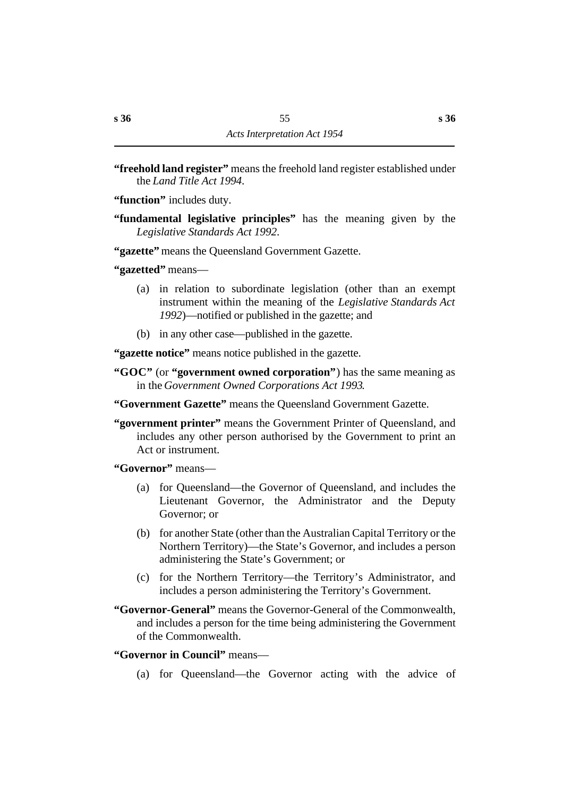**"freehold land register"** means the freehold land register established under the *Land Title Act 1994*.

**"function"** includes duty.

**"fundamental legislative principles"** has the meaning given by the *Legislative Standards Act 1992*.

**"gazette"** means the Queensland Government Gazette.

**"gazetted"** means—

- (a) in relation to subordinate legislation (other than an exempt instrument within the meaning of the *Legislative Standards Act 1992*)—notified or published in the gazette; and
- (b) in any other case—published in the gazette.

**"gazette notice"** means notice published in the gazette.

- **"GOC"** (or **"government owned corporation"**) has the same meaning as in the *Government Owned Corporations Act 1993*.
- **"Government Gazette"** means the Queensland Government Gazette.
- **"government printer"** means the Government Printer of Queensland, and includes any other person authorised by the Government to print an Act or instrument.

**"Governor"** means—

- (a) for Queensland—the Governor of Queensland, and includes the Lieutenant Governor, the Administrator and the Deputy Governor; or
- (b) for another State (other than the Australian Capital Territory or the Northern Territory)—the State's Governor, and includes a person administering the State's Government; or
- (c) for the Northern Territory—the Territory's Administrator, and includes a person administering the Territory's Government.
- **"Governor-General"** means the Governor-General of the Commonwealth, and includes a person for the time being administering the Government of the Commonwealth.

**"Governor in Council"** means—

(a) for Queensland—the Governor acting with the advice of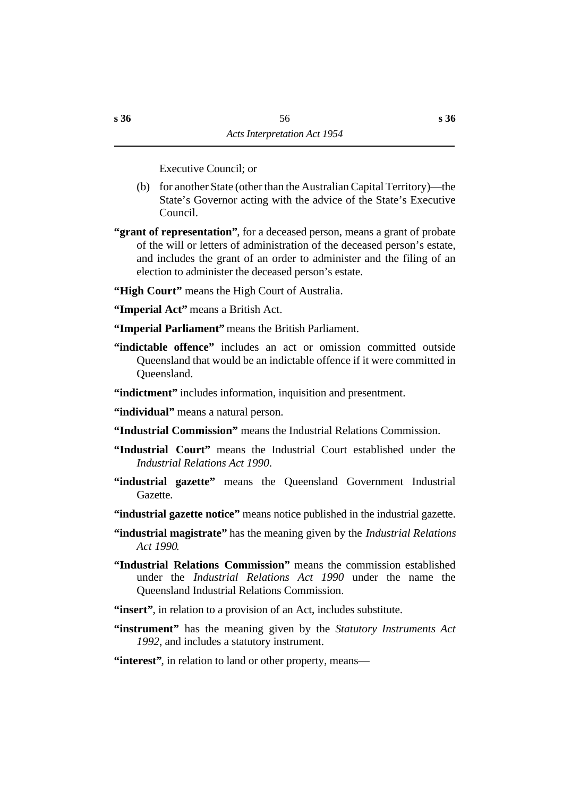Executive Council; or

- (b) for another State (other than the Australian Capital Territory)—the State's Governor acting with the advice of the State's Executive Council.
- **"grant of representation"**, for a deceased person, means a grant of probate of the will or letters of administration of the deceased person's estate, and includes the grant of an order to administer and the filing of an election to administer the deceased person's estate.
- **"High Court"** means the High Court of Australia.
- **"Imperial Act"** means a British Act.
- **"Imperial Parliament"** means the British Parliament.
- **"indictable offence"** includes an act or omission committed outside Queensland that would be an indictable offence if it were committed in Queensland.
- **"indictment"** includes information, inquisition and presentment.
- "**individual**" means a natural person.
- **"Industrial Commission"** means the Industrial Relations Commission.
- **"Industrial Court"** means the Industrial Court established under the *Industrial Relations Act 1990*.
- **"industrial gazette"** means the Queensland Government Industrial Gazette.
- "industrial gazette notice" means notice published in the industrial gazette.
- **"industrial magistrate"** has the meaning given by the *Industrial Relations Act 1990*.
- **"Industrial Relations Commission"** means the commission established under the *Industrial Relations Act 1990* under the name the Queensland Industrial Relations Commission.
- **"insert"**, in relation to a provision of an Act, includes substitute.
- **"instrument"** has the meaning given by the *Statutory Instruments Act 1992*, and includes a statutory instrument.
- **"interest"**, in relation to land or other property, means—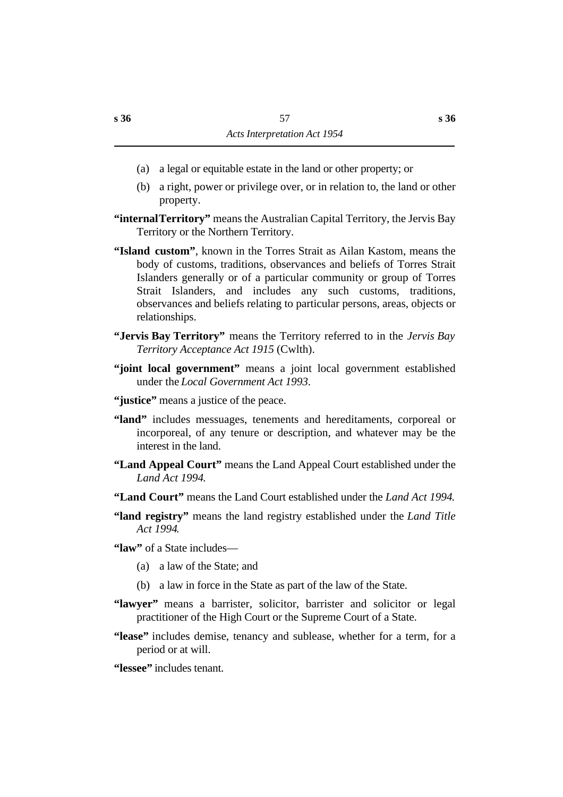- (a) a legal or equitable estate in the land or other property; or
- (b) a right, power or privilege over, or in relation to, the land or other property.
- **"internal Territory"** means the Australian Capital Territory, the Jervis Bay Territory or the Northern Territory.
- **"Island custom"**, known in the Torres Strait as Ailan Kastom, means the body of customs, traditions, observances and beliefs of Torres Strait Islanders generally or of a particular community or group of Torres Strait Islanders, and includes any such customs, traditions, observances and beliefs relating to particular persons, areas, objects or relationships.
- **"Jervis Bay Territory"** means the Territory referred to in the *Jervis Bay Territory Acceptance Act 1915* (Cwlth).
- **"joint local government"** means a joint local government established under the *Local Government Act 1993*.
- "justice" means a justice of the peace.
- **"land"** includes messuages, tenements and hereditaments, corporeal or incorporeal, of any tenure or description, and whatever may be the interest in the land.
- **"Land Appeal Court"** means the Land Appeal Court established under the *Land Act 1994*.
- **"Land Court"** means the Land Court established under the *Land Act 1994*.
- **"land registry"** means the land registry established under the *Land Title Act 1994*.

**"law"** of a State includes—

- (a) a law of the State; and
- (b) a law in force in the State as part of the law of the State.
- **"lawyer"** means a barrister, solicitor, barrister and solicitor or legal practitioner of the High Court or the Supreme Court of a State.
- **"lease"** includes demise, tenancy and sublease, whether for a term, for a period or at will.

**"lessee"** includes tenant.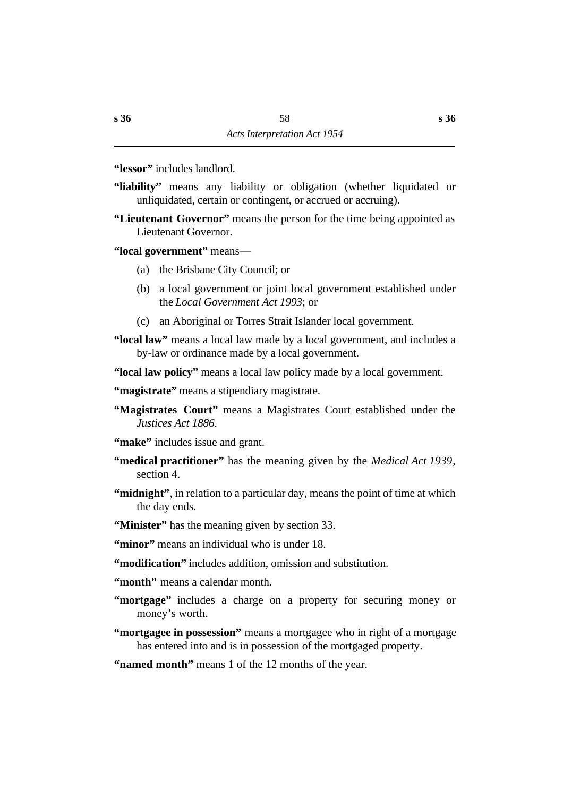**"lessor"** includes landlord.

- **"liability"** means any liability or obligation (whether liquidated or unliquidated, certain or contingent, or accrued or accruing).
- **"Lieutenant Governor"** means the person for the time being appointed as Lieutenant Governor.

**"local government"** means—

- (a) the Brisbane City Council; or
- (b) a local government or joint local government established under the *Local Government Act 1993*; or
- (c) an Aboriginal or Torres Strait Islander local government.

**"local law"** means a local law made by a local government, and includes a by-law or ordinance made by a local government.

**"local law policy"** means a local law policy made by a local government.

**"magistrate"** means a stipendiary magistrate.

**"Magistrates Court"** means a Magistrates Court established under the *Justices Act 1886*.

- **"make"** includes issue and grant.
- **"medical practitioner"** has the meaning given by the *Medical Act 1939*, section 4.
- **"midnight"**, in relation to a particular day, means the point of time at which the day ends.
- **"Minister"** has the meaning given by section 33.

**"minor"** means an individual who is under 18.

**"modification"** includes addition, omission and substitution.

**"month"** means a calendar month.

**"mortgage"** includes a charge on a property for securing money or money's worth.

**"mortgagee in possession"** means a mortgagee who in right of a mortgage has entered into and is in possession of the mortgaged property.

**"named month"** means 1 of the 12 months of the year.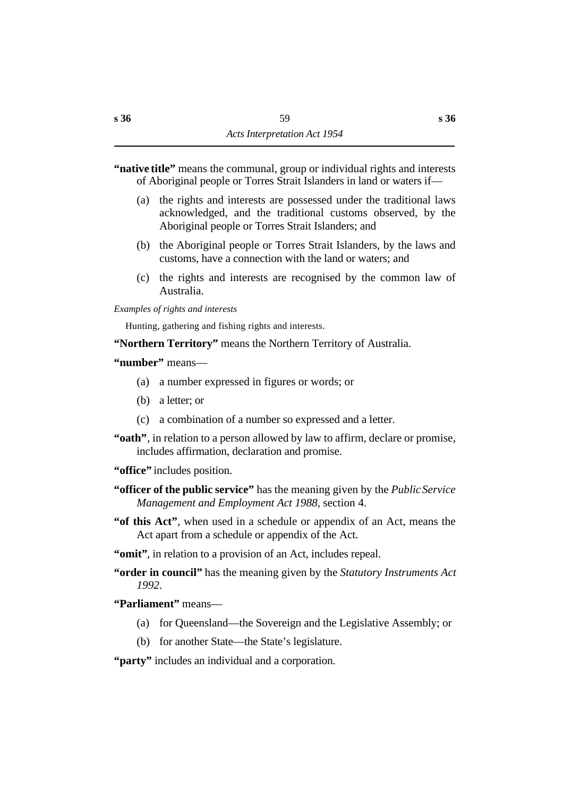# **"native title"** means the communal, group or individual rights and interests of Aboriginal people or Torres Strait Islanders in land or waters if—

- (a) the rights and interests are possessed under the traditional laws acknowledged, and the traditional customs observed, by the Aboriginal people or Torres Strait Islanders; and
- (b) the Aboriginal people or Torres Strait Islanders, by the laws and customs, have a connection with the land or waters; and
- (c) the rights and interests are recognised by the common law of Australia.

*Examples of rights and interests*

Hunting, gathering and fishing rights and interests.

**"Northern Territory"** means the Northern Territory of Australia.

# **"number"** means—

- (a) a number expressed in figures or words; or
- (b) a letter; or
- (c) a combination of a number so expressed and a letter.
- **"oath"**, in relation to a person allowed by law to affirm, declare or promise, includes affirmation, declaration and promise.

**"office"** includes position.

- **"officer of the public service"** has the meaning given by the *Public Service Management and Employment Act 1988*, section 4.
- **"of this Act"**, when used in a schedule or appendix of an Act, means the Act apart from a schedule or appendix of the Act.
- **"omit"**, in relation to a provision of an Act, includes repeal.
- **"order in council"** has the meaning given by the *Statutory Instruments Act 1992*.

# **"Parliament"** means—

- (a) for Queensland—the Sovereign and the Legislative Assembly; or
- (b) for another State—the State's legislature.

**"party"** includes an individual and a corporation.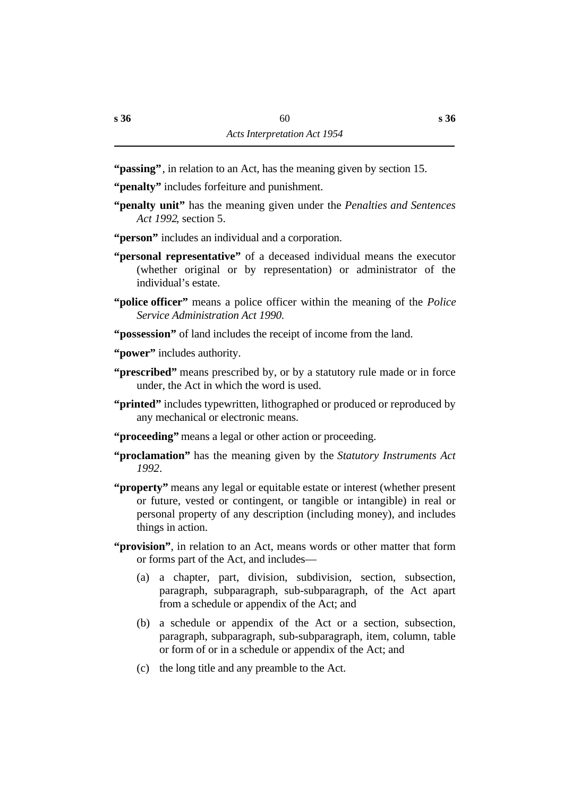**"passing"**, in relation to an Act, has the meaning given by section 15.

- **"penalty"** includes forfeiture and punishment.
- **"penalty unit"** has the meaning given under the *Penalties and Sentences Act 1992*, section 5.
- **"person"** includes an individual and a corporation.
- **"personal representative"** of a deceased individual means the executor (whether original or by representation) or administrator of the individual's estate.
- **"police officer"** means a police officer within the meaning of the *Police Service Administration Act 1990*.
- **"possession"** of land includes the receipt of income from the land.
- **"power"** includes authority.
- **"prescribed"** means prescribed by, or by a statutory rule made or in force under, the Act in which the word is used.
- **"printed"** includes typewritten, lithographed or produced or reproduced by any mechanical or electronic means.
- **"proceeding"** means a legal or other action or proceeding.
- **"proclamation"** has the meaning given by the *Statutory Instruments Act 1992*.
- **"property"** means any legal or equitable estate or interest (whether present or future, vested or contingent, or tangible or intangible) in real or personal property of any description (including money), and includes things in action.
- **"provision"**, in relation to an Act, means words or other matter that form or forms part of the Act, and includes—
	- (a) a chapter, part, division, subdivision, section, subsection, paragraph, subparagraph, sub-subparagraph, of the Act apart from a schedule or appendix of the Act; and
	- (b) a schedule or appendix of the Act or a section, subsection, paragraph, subparagraph, sub-subparagraph, item, column, table or form of or in a schedule or appendix of the Act; and
	- (c) the long title and any preamble to the Act.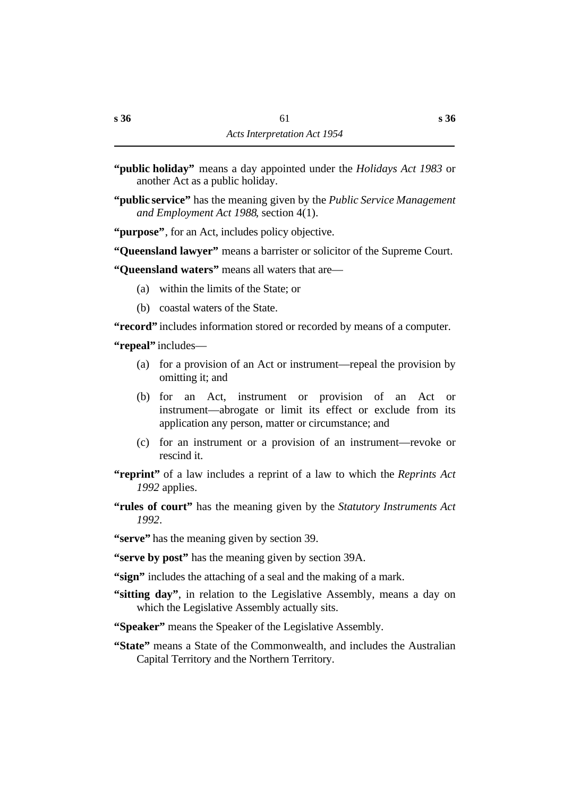- **"public holiday"** means a day appointed under the *Holidays Act 1983* or another Act as a public holiday.
- **"public service"** has the meaning given by the *Public Service Management and Employment Act 1988*, section 4(1).

**"purpose"**, for an Act, includes policy objective.

**"Queensland lawyer"** means a barrister or solicitor of the Supreme Court.

**"Queensland waters"** means all waters that are—

- (a) within the limits of the State; or
- (b) coastal waters of the State.

**"record"** includes information stored or recorded by means of a computer.

**"repeal"** includes—

- (a) for a provision of an Act or instrument—repeal the provision by omitting it; and
- (b) for an Act, instrument or provision of an Act or instrument—abrogate or limit its effect or exclude from its application any person, matter or circumstance; and
- (c) for an instrument or a provision of an instrument—revoke or rescind it.
- **"reprint"** of a law includes a reprint of a law to which the *Reprints Act 1992* applies.
- **"rules of court"** has the meaning given by the *Statutory Instruments Act 1992*.
- **"serve"** has the meaning given by section 39.
- **"serve by post"** has the meaning given by section 39A.
- **"sign"** includes the attaching of a seal and the making of a mark.
- **"sitting day"**, in relation to the Legislative Assembly, means a day on which the Legislative Assembly actually sits.
- **"Speaker"** means the Speaker of the Legislative Assembly.
- **"State"** means a State of the Commonwealth, and includes the Australian Capital Territory and the Northern Territory.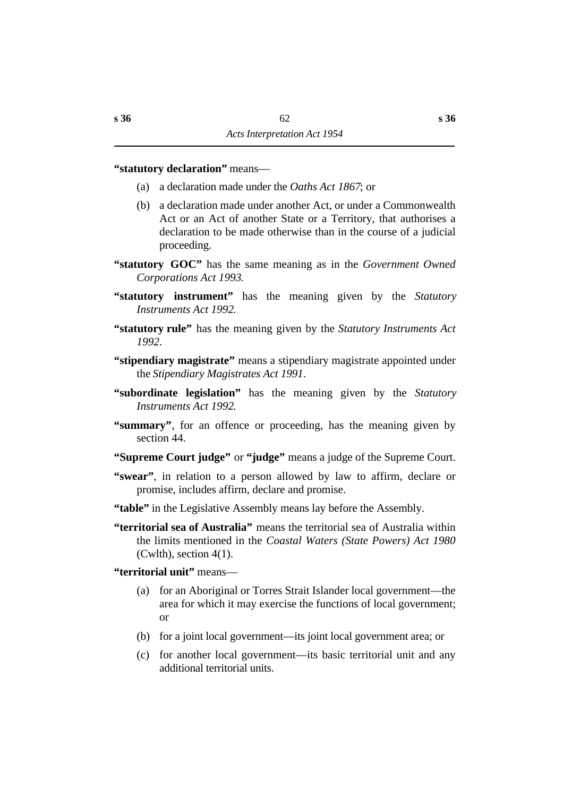### **"statutory declaration"** means—

- (a) a declaration made under the *Oaths Act 1867*; or
- (b) a declaration made under another Act, or under a Commonwealth Act or an Act of another State or a Territory, that authorises a declaration to be made otherwise than in the course of a judicial proceeding.
- **"statutory GOC"** has the same meaning as in the *Government Owned Corporations Act 1993*.
- **"statutory instrument"** has the meaning given by the *Statutory Instruments Act 1992*.
- **"statutory rule"** has the meaning given by the *Statutory Instruments Act 1992*.
- **"stipendiary magistrate"** means a stipendiary magistrate appointed under the *Stipendiary Magistrates Act 1991*.
- **"subordinate legislation"** has the meaning given by the *Statutory Instruments Act 1992*.
- **"summary"**, for an offence or proceeding, has the meaning given by section 44.
- **"Supreme Court judge"** or **"judge"** means a judge of the Supreme Court.
- **"swear"**, in relation to a person allowed by law to affirm, declare or promise, includes affirm, declare and promise.
- **"table"** in the Legislative Assembly means lay before the Assembly.
- **"territorial sea of Australia"** means the territorial sea of Australia within the limits mentioned in the *Coastal Waters (State Powers) Act 1980*  $(Cwlth)$ , section 4(1).

# **"territorial unit"** means—

- (a) for an Aboriginal or Torres Strait Islander local government—the area for which it may exercise the functions of local government; or
- (b) for a joint local government—its joint local government area; or
- (c) for another local government—its basic territorial unit and any additional territorial units.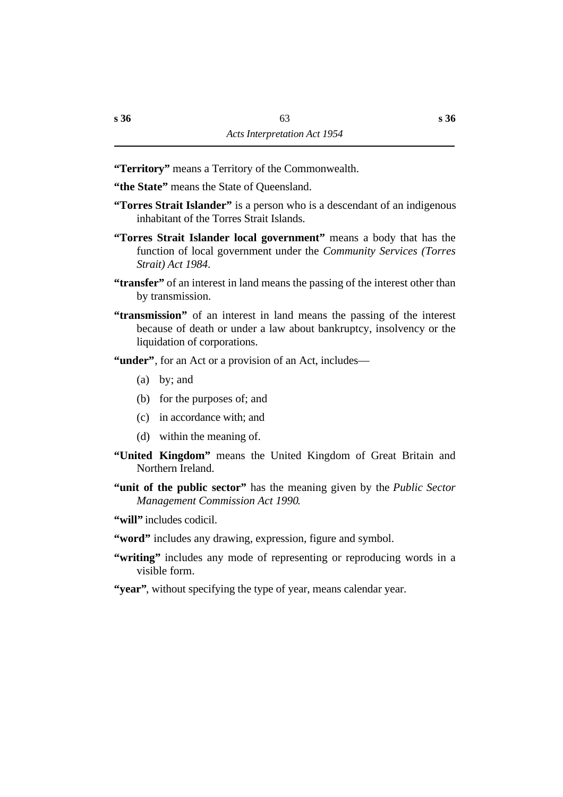**"Territory"** means a Territory of the Commonwealth.

- **"the State"** means the State of Queensland.
- **"Torres Strait Islander"** is a person who is a descendant of an indigenous inhabitant of the Torres Strait Islands.
- **"Torres Strait Islander local government"** means a body that has the function of local government under the *Community Services (Torres Strait) Act 1984*.
- **"transfer"** of an interest in land means the passing of the interest other than by transmission.
- **"transmission"** of an interest in land means the passing of the interest because of death or under a law about bankruptcy, insolvency or the liquidation of corporations.
- **"under"**, for an Act or a provision of an Act, includes—
	- (a) by; and
	- (b) for the purposes of; and
	- (c) in accordance with; and
	- (d) within the meaning of.
- **"United Kingdom"** means the United Kingdom of Great Britain and Northern Ireland.
- **"unit of the public sector"** has the meaning given by the *Public Sector Management Commission Act 1990*.
- **"will"** includes codicil.
- **"word"** includes any drawing, expression, figure and symbol.
- **"writing"** includes any mode of representing or reproducing words in a visible form.
- **"year"**, without specifying the type of year, means calendar year.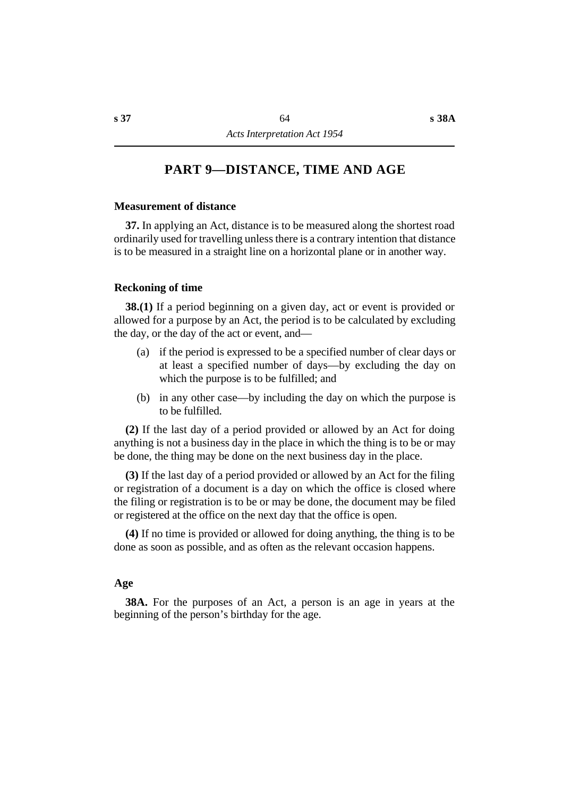# **†PART 9—DISTANCE, TIME AND AGE**

### **˙Measurement of distance**

**37.** In applying an Act, distance is to be measured along the shortest road ordinarily used for travelling unless there is a contrary intention that distance is to be measured in a straight line on a horizontal plane or in another way.

#### **˙Reckoning of time**

**38.(1)** If a period beginning on a given day, act or event is provided or allowed for a purpose by an Act, the period is to be calculated by excluding the day, or the day of the act or event, and—

- (a) if the period is expressed to be a specified number of clear days or at least a specified number of days—by excluding the day on which the purpose is to be fulfilled; and
- (b) in any other case—by including the day on which the purpose is to be fulfilled.

**(2)** If the last day of a period provided or allowed by an Act for doing anything is not a business day in the place in which the thing is to be or may be done, the thing may be done on the next business day in the place.

**(3)** If the last day of a period provided or allowed by an Act for the filing or registration of a document is a day on which the office is closed where the filing or registration is to be or may be done, the document may be filed or registered at the office on the next day that the office is open.

**(4)** If no time is provided or allowed for doing anything, the thing is to be done as soon as possible, and as often as the relevant occasion happens.

#### **˙Age**

**38A.** For the purposes of an Act, a person is an age in years at the beginning of the person's birthday for the age.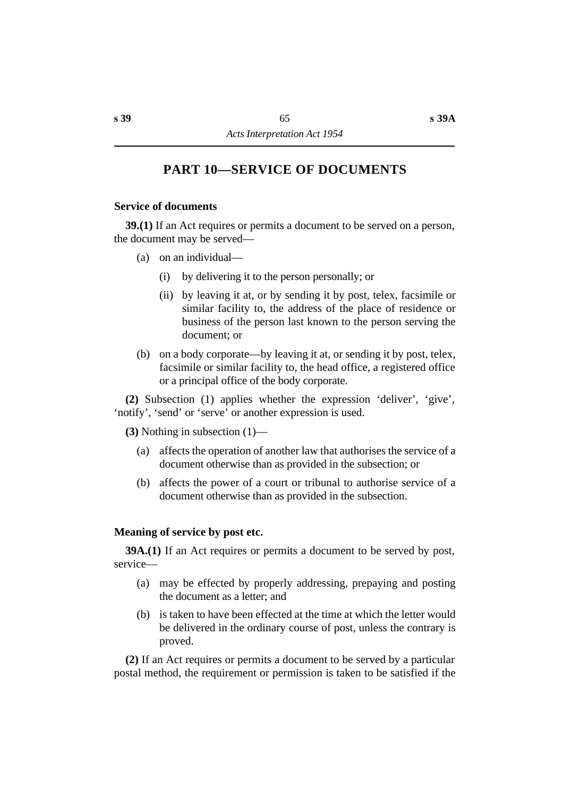# **†PART 10—SERVICE OF DOCUMENTS**

### **˙Service of documents**

**39.(1)** If an Act requires or permits a document to be served on a person, the document may be served—

- (a) on an individual—
	- (i) by delivering it to the person personally; or
	- (ii) by leaving it at, or by sending it by post, telex, facsimile or similar facility to, the address of the place of residence or business of the person last known to the person serving the document; or
- (b) on a body corporate—by leaving it at, or sending it by post, telex, facsimile or similar facility to, the head office, a registered office or a principal office of the body corporate.

**(2)** Subsection (1) applies whether the expression 'deliver', 'give', 'notify', 'send' or 'serve' or another expression is used.

**(3)** Nothing in subsection (1)—

- (a) affects the operation of another law that authorises the service of a document otherwise than as provided in the subsection; or
- (b) affects the power of a court or tribunal to authorise service of a document otherwise than as provided in the subsection.

# **˙Meaning of service by post etc.**

**39A.(1)** If an Act requires or permits a document to be served by post, service—

- (a) may be effected by properly addressing, prepaying and posting the document as a letter; and
- (b) is taken to have been effected at the time at which the letter would be delivered in the ordinary course of post, unless the contrary is proved.

**(2)** If an Act requires or permits a document to be served by a particular postal method, the requirement or permission is taken to be satisfied if the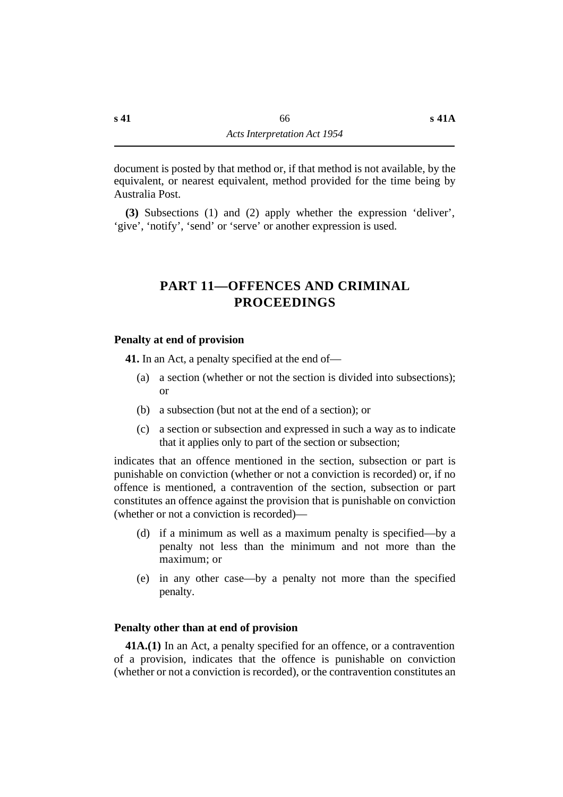document is posted by that method or, if that method is not available, by the equivalent, or nearest equivalent, method provided for the time being by Australia Post.

**(3)** Subsections (1) and (2) apply whether the expression 'deliver', 'give', 'notify', 'send' or 'serve' or another expression is used.

# **†PART 11—OFFENCES AND CRIMINAL PROCEEDINGS**

# **˙Penalty at end of provision**

**41.** In an Act, a penalty specified at the end of—

- (a) a section (whether or not the section is divided into subsections); or
- (b) a subsection (but not at the end of a section); or
- (c) a section or subsection and expressed in such a way as to indicate that it applies only to part of the section or subsection;

indicates that an offence mentioned in the section, subsection or part is punishable on conviction (whether or not a conviction is recorded) or, if no offence is mentioned, a contravention of the section, subsection or part constitutes an offence against the provision that is punishable on conviction (whether or not a conviction is recorded)—

- (d) if a minimum as well as a maximum penalty is specified—by a penalty not less than the minimum and not more than the maximum; or
- (e) in any other case—by a penalty not more than the specified penalty.

# **˙Penalty other than at end of provision**

**41A.(1)** In an Act, a penalty specified for an offence, or a contravention of a provision, indicates that the offence is punishable on conviction (whether or not a conviction is recorded), or the contravention constitutes an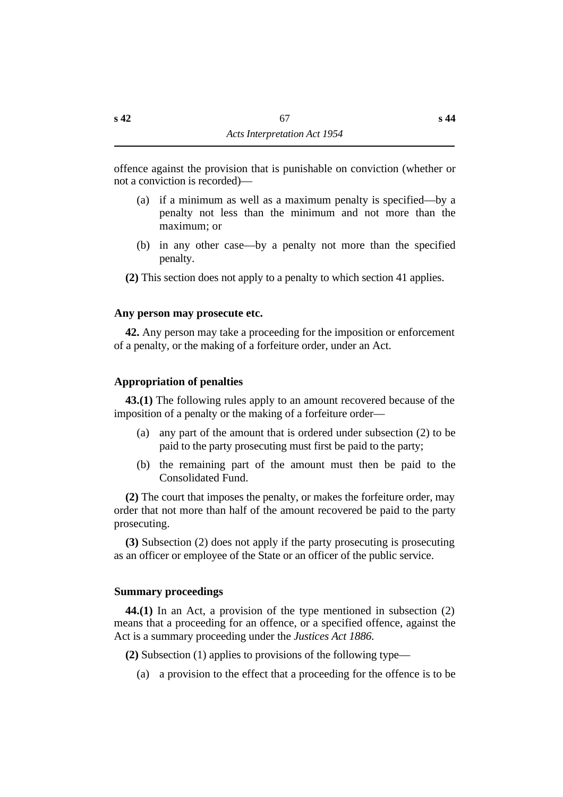offence against the provision that is punishable on conviction (whether or not a conviction is recorded)—

- (a) if a minimum as well as a maximum penalty is specified—by a penalty not less than the minimum and not more than the maximum; or
- (b) in any other case—by a penalty not more than the specified penalty.
- **(2)** This section does not apply to a penalty to which section 41 applies.

# **˙Any person may prosecute etc.**

**42.** Any person may take a proceeding for the imposition or enforcement of a penalty, or the making of a forfeiture order, under an Act.

# **˙Appropriation of penalties**

**43.(1)** The following rules apply to an amount recovered because of the imposition of a penalty or the making of a forfeiture order—

- (a) any part of the amount that is ordered under subsection (2) to be paid to the party prosecuting must first be paid to the party;
- (b) the remaining part of the amount must then be paid to the Consolidated Fund.

**(2)** The court that imposes the penalty, or makes the forfeiture order, may order that not more than half of the amount recovered be paid to the party prosecuting.

**(3)** Subsection (2) does not apply if the party prosecuting is prosecuting as an officer or employee of the State or an officer of the public service.

# **˙Summary proceedings**

**44.(1)** In an Act, a provision of the type mentioned in subsection (2) means that a proceeding for an offence, or a specified offence, against the Act is a summary proceeding under the *Justices Act 1886*.

**(2)** Subsection (1) applies to provisions of the following type—

(a) a provision to the effect that a proceeding for the offence is to be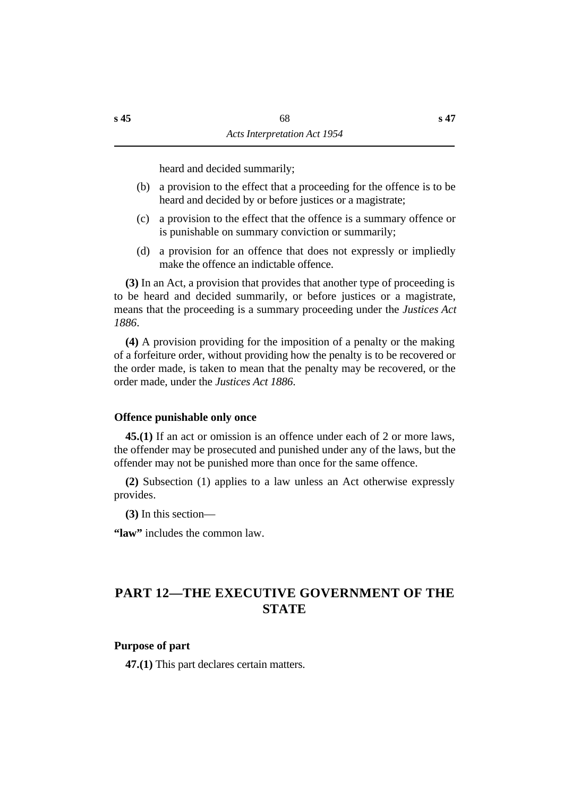heard and decided summarily;

- (b) a provision to the effect that a proceeding for the offence is to be heard and decided by or before justices or a magistrate;
- (c) a provision to the effect that the offence is a summary offence or is punishable on summary conviction or summarily;
- (d) a provision for an offence that does not expressly or impliedly make the offence an indictable offence.

**(3)** In an Act, a provision that provides that another type of proceeding is to be heard and decided summarily, or before justices or a magistrate, means that the proceeding is a summary proceeding under the *Justices Act 1886*.

**(4)** A provision providing for the imposition of a penalty or the making of a forfeiture order, without providing how the penalty is to be recovered or the order made, is taken to mean that the penalty may be recovered, or the order made, under the *Justices Act 1886*.

# **˙Offence punishable only once**

**45.(1)** If an act or omission is an offence under each of 2 or more laws, the offender may be prosecuted and punished under any of the laws, but the offender may not be punished more than once for the same offence.

**(2)** Subsection (1) applies to a law unless an Act otherwise expressly provides.

**(3)** In this section—

**"law"** includes the common law.

# **†PART 12—THE EXECUTIVE GOVERNMENT OF THE STATE**

# **˙Purpose of part**

**47.(1)** This part declares certain matters.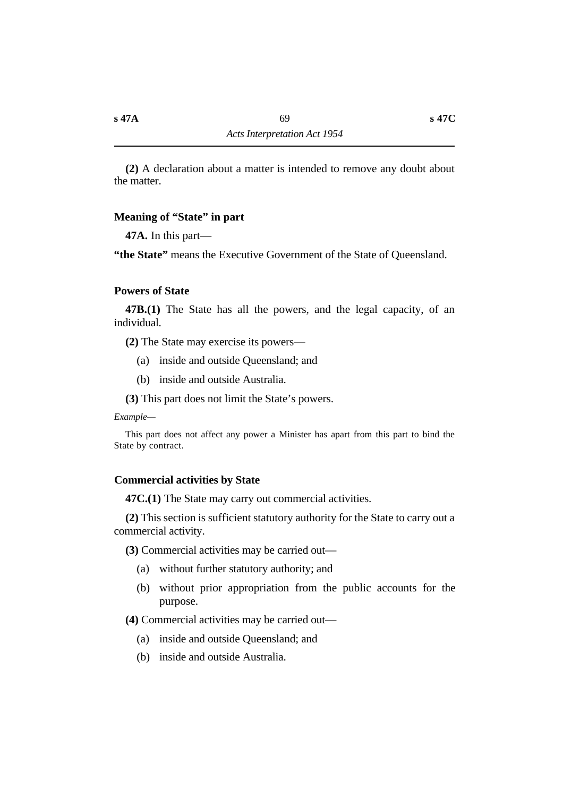**(2)** A declaration about a matter is intended to remove any doubt about the matter.

# **˙Meaning of "State" in part**

**47A.** In this part—

"the State" means the Executive Government of the State of Queensland.

### **˙Powers of State**

**47B.(1)** The State has all the powers, and the legal capacity, of an individual.

**(2)** The State may exercise its powers—

- (a) inside and outside Queensland; and
- (b) inside and outside Australia.
- **(3)** This part does not limit the State's powers.

*Example—*

This part does not affect any power a Minister has apart from this part to bind the State by contract.

# **˙Commercial activities by State**

**47C.(1)** The State may carry out commercial activities.

**(2)** This section is sufficient statutory authority for the State to carry out a commercial activity.

**(3)** Commercial activities may be carried out—

- (a) without further statutory authority; and
- (b) without prior appropriation from the public accounts for the purpose.

**(4)** Commercial activities may be carried out—

- (a) inside and outside Queensland; and
- (b) inside and outside Australia.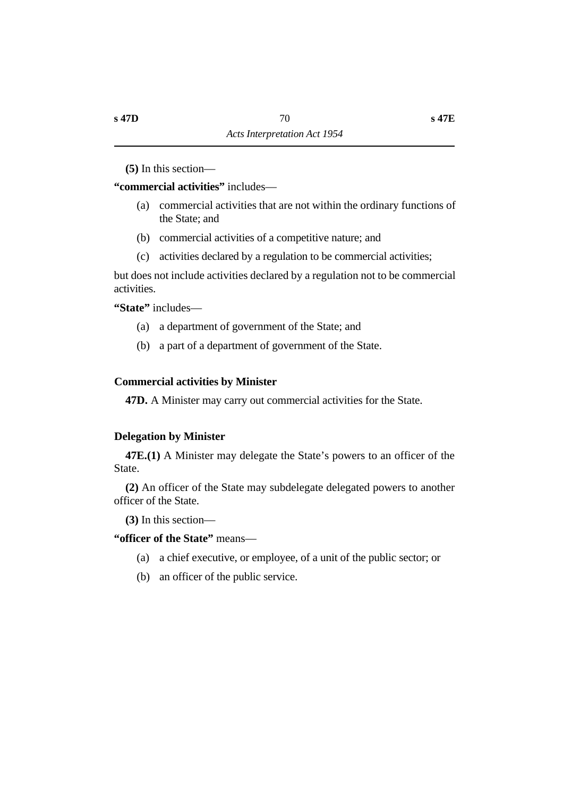**(5)** In this section—

**"commercial activities"** includes—

- (a) commercial activities that are not within the ordinary functions of the State; and
- (b) commercial activities of a competitive nature; and
- (c) activities declared by a regulation to be commercial activities;

but does not include activities declared by a regulation not to be commercial activities.

**"State"** includes—

- (a) a department of government of the State; and
- (b) a part of a department of government of the State.

# **˙Commercial activities by Minister**

**47D.** A Minister may carry out commercial activities for the State.

# **˙Delegation by Minister**

**47E.(1)** A Minister may delegate the State's powers to an officer of the State.

**(2)** An officer of the State may subdelegate delegated powers to another officer of the State.

**(3)** In this section—

**"officer of the State"** means—

- (a) a chief executive, or employee, of a unit of the public sector; or
- (b) an officer of the public service.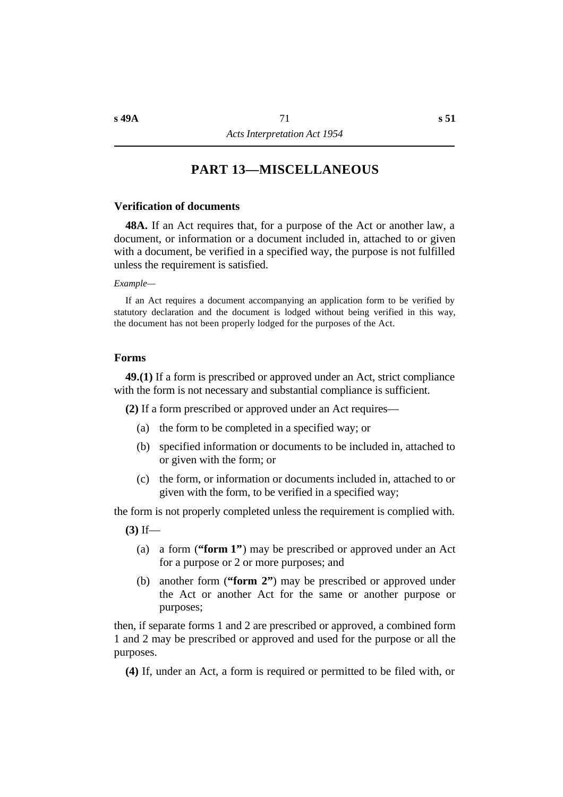## **†PART 13—MISCELLANEOUS**

### **˙Verification of documents**

**48A.** If an Act requires that, for a purpose of the Act or another law, a document, or information or a document included in, attached to or given with a document, be verified in a specified way, the purpose is not fulfilled unless the requirement is satisfied.

#### *Example—*

If an Act requires a document accompanying an application form to be verified by statutory declaration and the document is lodged without being verified in this way, the document has not been properly lodged for the purposes of the Act.

### **˙Forms**

**49.(1)** If a form is prescribed or approved under an Act, strict compliance with the form is not necessary and substantial compliance is sufficient.

**(2)** If a form prescribed or approved under an Act requires—

- (a) the form to be completed in a specified way; or
- (b) specified information or documents to be included in, attached to or given with the form; or
- (c) the form, or information or documents included in, attached to or given with the form, to be verified in a specified way;

the form is not properly completed unless the requirement is complied with.

- **(3)** If—
	- (a) a form (**"form 1"**) may be prescribed or approved under an Act for a purpose or 2 or more purposes; and
	- (b) another form (**"form 2"**) may be prescribed or approved under the Act or another Act for the same or another purpose or purposes;

then, if separate forms 1 and 2 are prescribed or approved, a combined form 1 and 2 may be prescribed or approved and used for the purpose or all the purposes.

**(4)** If, under an Act, a form is required or permitted to be filed with, or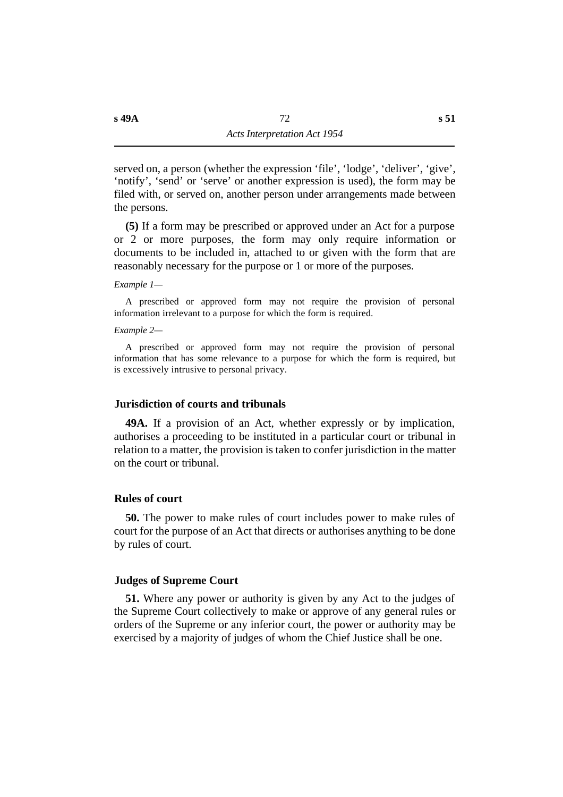served on, a person (whether the expression 'file', 'lodge', 'deliver', 'give', 'notify', 'send' or 'serve' or another expression is used), the form may be filed with, or served on, another person under arrangements made between the persons.

**(5)** If a form may be prescribed or approved under an Act for a purpose or 2 or more purposes, the form may only require information or documents to be included in, attached to or given with the form that are reasonably necessary for the purpose or 1 or more of the purposes.

*Example 1—*

A prescribed or approved form may not require the provision of personal information irrelevant to a purpose for which the form is required.

*Example 2—*

A prescribed or approved form may not require the provision of personal information that has some relevance to a purpose for which the form is required, but is excessively intrusive to personal privacy.

### **˙Jurisdiction of courts and tribunals**

**49A.** If a provision of an Act, whether expressly or by implication, authorises a proceeding to be instituted in a particular court or tribunal in relation to a matter, the provision is taken to confer jurisdiction in the matter on the court or tribunal.

### **˙Rules of court**

**50.** The power to make rules of court includes power to make rules of court for the purpose of an Act that directs or authorises anything to be done by rules of court.

#### **˙Judges of Supreme Court**

**51.** Where any power or authority is given by any Act to the judges of the Supreme Court collectively to make or approve of any general rules or orders of the Supreme or any inferior court, the power or authority may be exercised by a majority of judges of whom the Chief Justice shall be one.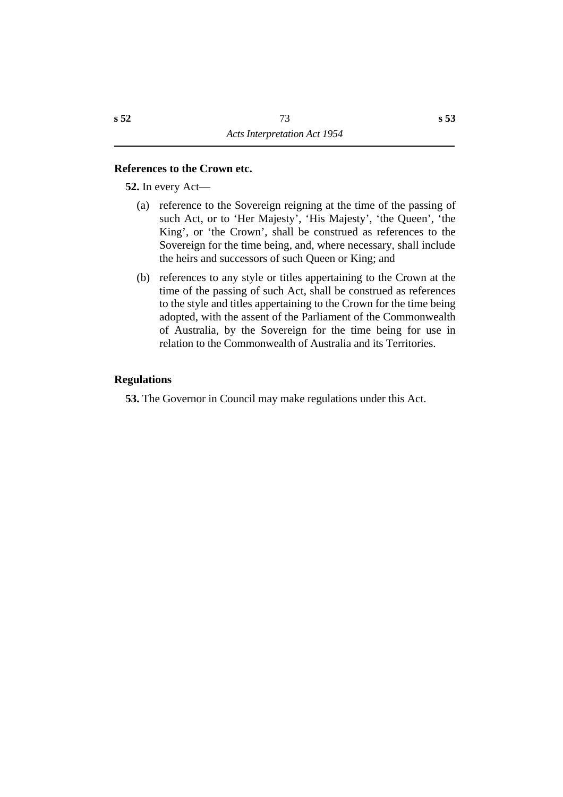### **˙References to the Crown etc.**

**52.** In every Act—

- (a) reference to the Sovereign reigning at the time of the passing of such Act, or to 'Her Majesty', 'His Majesty', 'the Queen', 'the King', or 'the Crown', shall be construed as references to the Sovereign for the time being, and, where necessary, shall include the heirs and successors of such Queen or King; and
- (b) references to any style or titles appertaining to the Crown at the time of the passing of such Act, shall be construed as references to the style and titles appertaining to the Crown for the time being adopted, with the assent of the Parliament of the Commonwealth of Australia, by the Sovereign for the time being for use in relation to the Commonwealth of Australia and its Territories.

### **˙Regulations**

**53.** The Governor in Council may make regulations under this Act.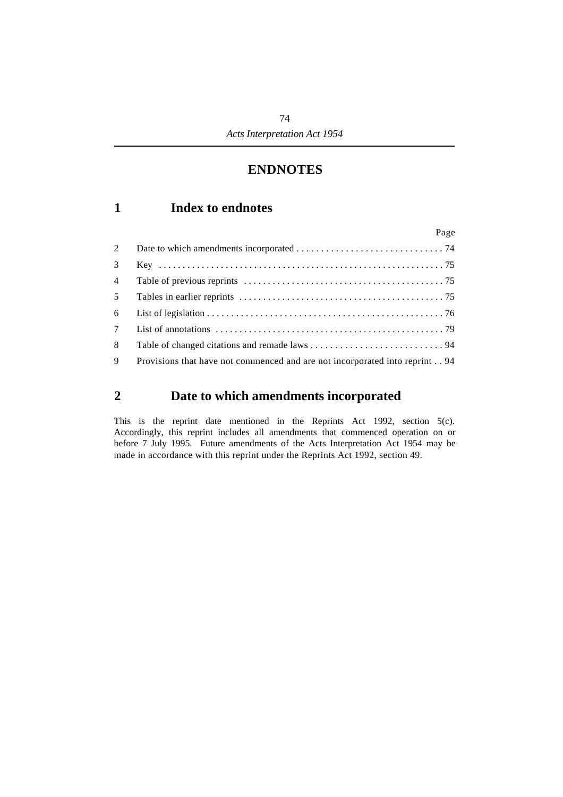## **†ENDNOTES**

## **´1 Index to endnotes**

|                | Page                                                                        |  |
|----------------|-----------------------------------------------------------------------------|--|
| 2              |                                                                             |  |
| 3              |                                                                             |  |
| $\overline{4}$ |                                                                             |  |
| 5 <sup>1</sup> |                                                                             |  |
| 6              |                                                                             |  |
| 7 <sup>7</sup> |                                                                             |  |
| 8              |                                                                             |  |
| 9              | Provisions that have not commenced and are not incorporated into reprint 94 |  |

## **´2 Date to which amendments incorporated**

This is the reprint date mentioned in the Reprints Act 1992, section 5(c). Accordingly, this reprint includes all amendments that commenced operation on or before 7 July 1995. Future amendments of the Acts Interpretation Act 1954 may be made in accordance with this reprint under the Reprints Act 1992, section 49.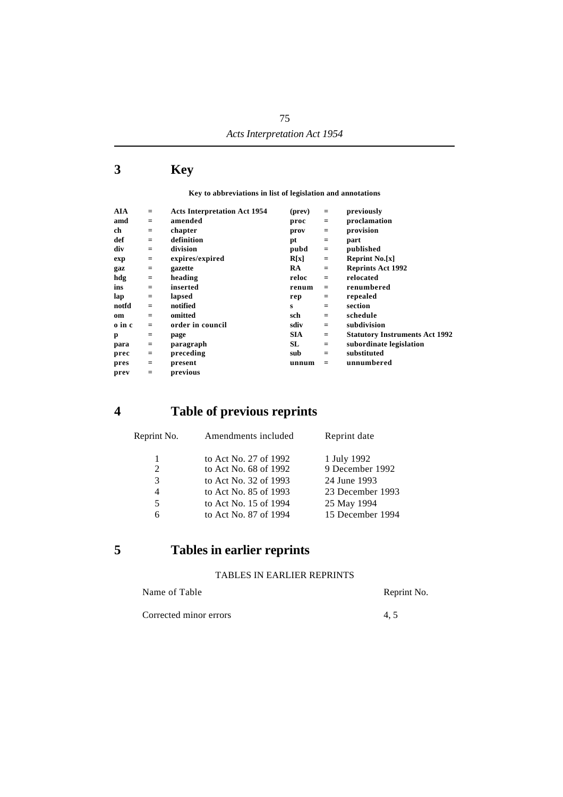## **´3 Key**

**Key to abbreviations in list of legislation and annotations**

|          |                  |                                                |                | previously                            |
|----------|------------------|------------------------------------------------|----------------|---------------------------------------|
|          |                  |                                                |                |                                       |
|          |                  |                                                |                | proclamation                          |
| $=$      | chapter          | prov                                           | $=$            | provision                             |
| $=$      | definition       | pt                                             | $\equiv$       | part                                  |
| $=$      | division         | pubd                                           | $=$            | published                             |
| $=$      | expires/expired  | R[x]                                           | $\equiv$       | <b>Reprint No.[x]</b>                 |
| $\equiv$ | gazette          | <b>RA</b>                                      | $\equiv$       | <b>Reprints Act 1992</b>              |
| $\equiv$ | heading          | reloc                                          | $=$            | relocated                             |
| $=$      | inserted         | renum                                          | $=$            | renumbered                            |
| $=$      | lapsed           | rep                                            | $=$            | repealed                              |
| $=$      | notified         | s                                              | $=$            | section                               |
| $=$      | omitted          | sch                                            | $=$            | schedule                              |
| $=$      | order in council | sdiv                                           | $=$            | subdivision                           |
| $=$      | page             | SIA.                                           | $=$            | <b>Statutory Instruments Act 1992</b> |
| $=$      | paragraph        | SL                                             | $\equiv$       | subordinate legislation               |
| $=$      | preceding        | sub                                            | $=$            | substituted                           |
| $=$      | present          | unnum                                          | $=$            | unnumbered                            |
| $=$      | previous         |                                                |                |                                       |
|          | $=$<br>$=$       | <b>Acts Interpretation Act 1954</b><br>amended | (prev)<br>proc | $=$<br>$\equiv$                       |

## **´4 Table of previous reprints**

| Reprint No. | Amendments included   | Reprint date     |
|-------------|-----------------------|------------------|
| 1           | to Act No. 27 of 1992 | 1 July 1992      |
| 2           | to Act No. 68 of 1992 | 9 December 1992  |
| 3           | to Act No. 32 of 1993 | 24 June 1993     |
| 4           | to Act No. 85 of 1993 | 23 December 1993 |
| 5           | to Act No. 15 of 1994 | 25 May 1994      |
| 6           | to Act No. 87 of 1994 | 15 December 1994 |
|             |                       |                  |

## **´5 Tables in earlier reprints**

#### TABLES IN EARLIER REPRINTS

| Name of Table          | Reprint No. |
|------------------------|-------------|
| Corrected minor errors | 4.5         |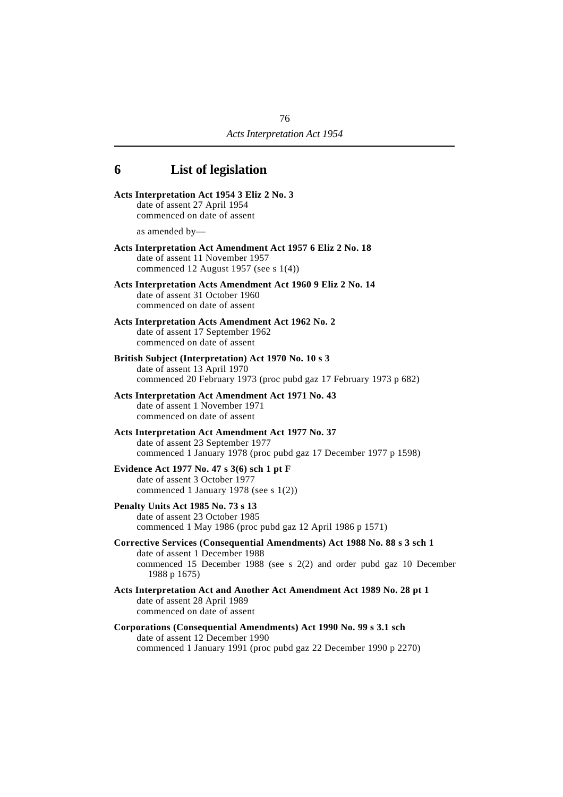# **´6 List of legislation**

| Acts Interpretation Act 1954 3 Eliz 2 No. 3<br>date of assent 27 April 1954<br>commenced on date of assent                                                                                          |
|-----------------------------------------------------------------------------------------------------------------------------------------------------------------------------------------------------|
| as amended $by$ —                                                                                                                                                                                   |
| Acts Interpretation Act Amendment Act 1957 6 Eliz 2 No. 18<br>date of assent 11 November 1957<br>commenced 12 August 1957 (see s $1(4)$ )                                                           |
| Acts Interpretation Acts Amendment Act 1960 9 Eliz 2 No. 14<br>date of assent 31 October 1960<br>commenced on date of assent                                                                        |
| Acts Interpretation Acts Amendment Act 1962 No. 2<br>date of assent 17 September 1962<br>commenced on date of assent                                                                                |
| British Subject (Interpretation) Act 1970 No. 10 s 3<br>date of assent 13 April 1970<br>commenced 20 February 1973 (proc pubd gaz 17 February 1973 p 682)                                           |
| Acts Interpretation Act Amendment Act 1971 No. 43<br>date of assent 1 November 1971<br>commenced on date of assent                                                                                  |
| Acts Interpretation Act Amendment Act 1977 No. 37<br>date of assent 23 September 1977<br>commenced 1 January 1978 (proc pubd gaz 17 December 1977 p 1598)                                           |
| Evidence Act 1977 No. 47 s 3(6) sch 1 pt F<br>date of assent 3 October 1977<br>commenced 1 January 1978 (see s $1(2)$ )                                                                             |
| Penalty Units Act 1985 No. 73 s 13<br>date of assent 23 October 1985<br>commenced 1 May 1986 (proc pubd gaz 12 April 1986 p 1571)                                                                   |
| Corrective Services (Consequential Amendments) Act 1988 No. 88 s 3 sch 1<br>date of assent 1 December 1988<br>commenced 15 December 1988 (see s 2(2) and order pubd gaz 10 December<br>1988 p 1675) |
| Acts Interpretation Act and Another Act Amendment Act 1989 No. 28 pt 1<br>date of assent 28 April 1989<br>commenced on date of assent                                                               |
| Corporations (Consequential Amendments) Act 1990 No. 99 s 3.1 sch<br>date of assent 12 December 1990<br>commenced 1 January 1991 (proc pubd gaz 22 December 1990 p 2270)                            |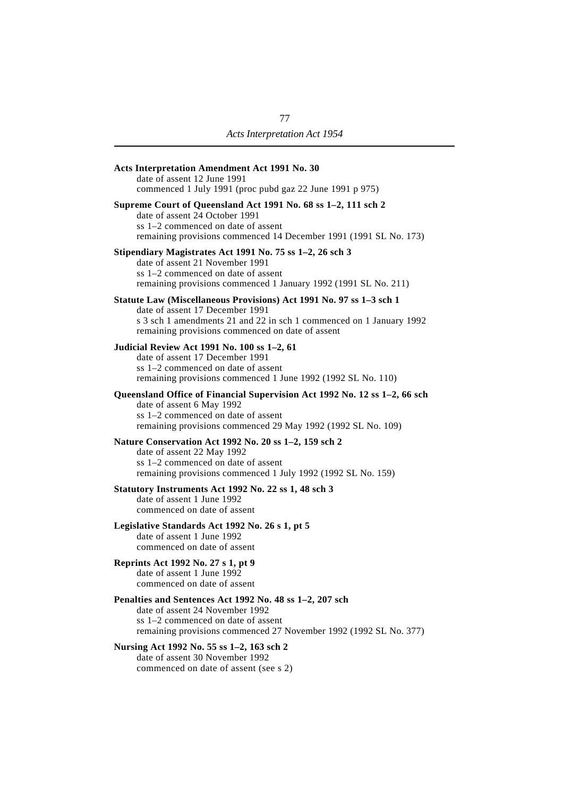| Acts Interpretation Amendment Act 1991 No. 30<br>date of assent 12 June 1991<br>commenced 1 July 1991 (proc pubd gaz 22 June 1991 p 975)                                                                     |
|--------------------------------------------------------------------------------------------------------------------------------------------------------------------------------------------------------------|
| Supreme Court of Queensland Act 1991 No. 68 ss 1-2, 111 sch 2<br>date of assent 24 October 1991<br>ss 1–2 commenced on date of assent<br>remaining provisions commenced 14 December 1991 (1991 SL No. 173)   |
| Stipendiary Magistrates Act 1991 No. 75 ss 1-2, 26 sch 3<br>date of assent 21 November 1991<br>ss 1–2 commenced on date of assent<br>remaining provisions commenced 1 January 1992 (1991 SL No. 211)         |
| Statute Law (Miscellaneous Provisions) Act 1991 No. 97 ss 1-3 sch 1                                                                                                                                          |
| date of assent 17 December 1991<br>s 3 sch 1 amendments 21 and 22 in sch 1 commenced on 1 January 1992<br>remaining provisions commenced on date of assent                                                   |
| Judicial Review Act 1991 No. 100 ss 1-2, 61<br>date of assent 17 December 1991<br>ss 1–2 commenced on date of assent<br>remaining provisions commenced 1 June 1992 (1992 SL No. 110)                         |
| Queensland Office of Financial Supervision Act 1992 No. 12 ss 1-2, 66 sch<br>date of assent 6 May 1992<br>ss 1-2 commenced on date of assent<br>remaining provisions commenced 29 May 1992 (1992 SL No. 109) |
| Nature Conservation Act 1992 No. 20 ss 1-2, 159 sch 2<br>date of assent 22 May 1992<br>ss 1–2 commenced on date of assent<br>remaining provisions commenced 1 July 1992 (1992 SL No. 159)                    |
| Statutory Instruments Act 1992 No. 22 ss 1, 48 sch 3<br>date of assent 1 June 1992<br>commenced on date of assent                                                                                            |
| Legislative Standards Act 1992 No. 26 s 1, pt 5<br>date of assent 1 June 1992<br>commenced on date of assent                                                                                                 |
| Reprints Act 1992 No. 27 s 1, pt 9<br>date of assent 1 June 1992<br>commenced on date of assent                                                                                                              |
| Penalties and Sentences Act 1992 No. 48 ss 1-2, 207 sch<br>date of assent 24 November 1992<br>ss 1–2 commenced on date of assent<br>remaining provisions commenced 27 November 1992 (1992 SL No. 377)        |
| Nursing Act 1992 No. 55 ss 1-2, 163 sch 2                                                                                                                                                                    |

date of assent 30 November 1992 commenced on date of assent (see s 2)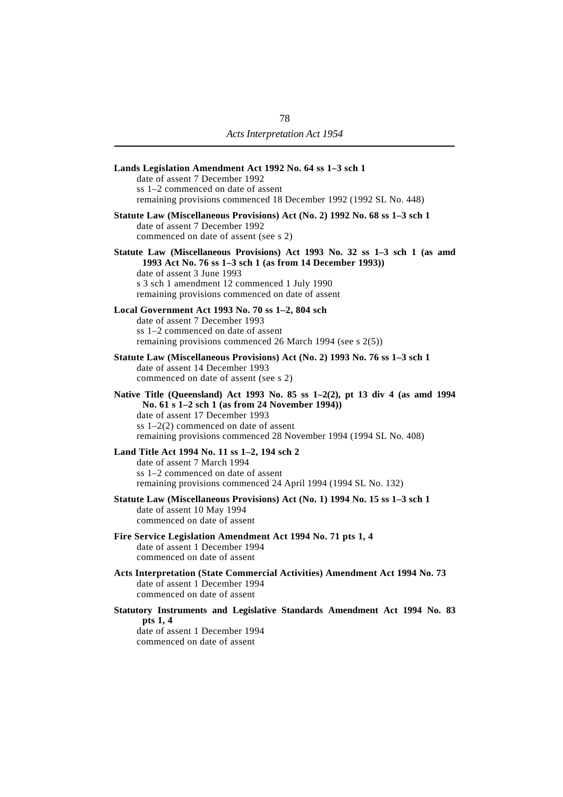| Lands Legislation Amendment Act 1992 No. 64 ss 1-3 sch 1<br>date of assent 7 December 1992<br>ss 1–2 commenced on date of assent<br>remaining provisions commenced 18 December 1992 (1992 SL No. 448)                                                                                |
|--------------------------------------------------------------------------------------------------------------------------------------------------------------------------------------------------------------------------------------------------------------------------------------|
| Statute Law (Miscellaneous Provisions) Act (No. 2) 1992 No. 68 ss 1-3 sch 1<br>date of assent 7 December 1992<br>commenced on date of assent (see s 2)                                                                                                                               |
| Statute Law (Miscellaneous Provisions) Act 1993 No. 32 ss 1-3 sch 1 (as amd<br>1993 Act No. 76 ss 1-3 sch 1 (as from 14 December 1993))<br>date of assent 3 June 1993<br>s 3 sch 1 amendment 12 commenced 1 July 1990<br>remaining provisions commenced on date of assent            |
| Local Government Act 1993 No. 70 ss 1-2, 804 sch<br>date of assent 7 December 1993<br>ss 1–2 commenced on date of assent<br>remaining provisions commenced 26 March 1994 (see s 2(5))                                                                                                |
| Statute Law (Miscellaneous Provisions) Act (No. 2) 1993 No. 76 ss 1-3 sch 1<br>date of assent 14 December 1993<br>commenced on date of assent (see s 2)                                                                                                                              |
| Native Title (Queensland) Act 1993 No. $85$ ss 1-2(2), pt 13 div 4 (as amd 1994<br>No. 61 s 1-2 sch 1 (as from 24 November 1994))<br>date of assent 17 December 1993<br>ss $1-2(2)$ commenced on date of assent<br>remaining provisions commenced 28 November 1994 (1994 SL No. 408) |
| Land Title Act 1994 No. 11 ss 1-2, 194 sch 2<br>date of assent 7 March 1994<br>ss 1–2 commenced on date of assent<br>remaining provisions commenced 24 April 1994 (1994 SL No. 132)                                                                                                  |
| Statute Law (Miscellaneous Provisions) Act (No. 1) 1994 No. 15 ss 1-3 sch 1<br>date of assent 10 May 1994<br>commenced on date of assent                                                                                                                                             |
| Fire Service Legislation Amendment Act 1994 No. 71 pts 1, 4<br>date of assent 1 December 1994<br>commenced on date of assent                                                                                                                                                         |
| Acts Interpretation (State Commercial Activities) Amendment Act 1994 No. 73<br>date of assent 1 December 1994<br>commenced on date of assent                                                                                                                                         |
| Statutory Instruments and Legislative Standards Amendment Act 1994 No. 83<br>pts 1, 4<br>date of assent 1 December 1994<br>commenced on date of assent                                                                                                                               |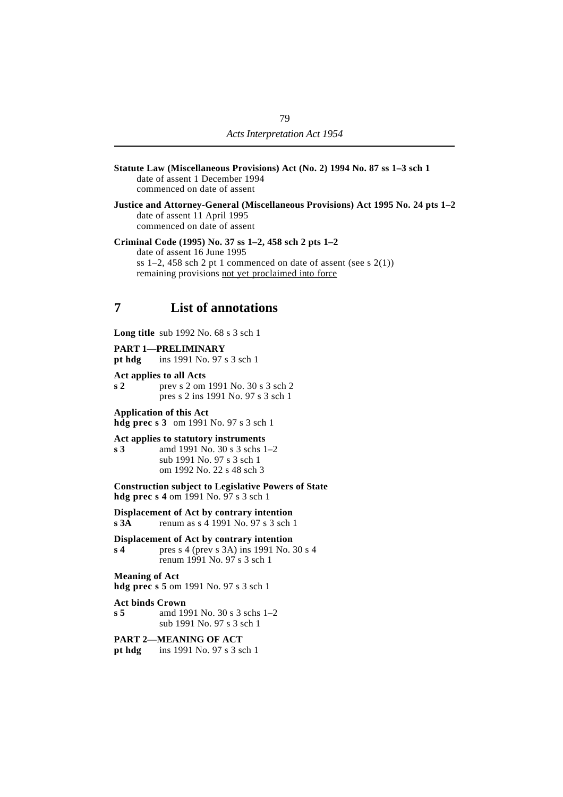- **Statute Law (Miscellaneous Provisions) Act (No. 2) 1994 No. 87 ss 1–3 sch 1** date of assent 1 December 1994 commenced on date of assent
- **Justice and Attorney-General (Miscellaneous Provisions) Act 1995 No. 24 pts 1–2** date of assent 11 April 1995 commenced on date of assent

**Criminal Code (1995) No. 37 ss 1–2, 458 sch 2 pts 1–2** date of assent 16 June 1995 ss  $1-2$ ,  $458$  sch 2 pt 1 commenced on date of assent (see s  $2(1)$ ) remaining provisions not yet proclaimed into force

## **´7 List of annotations**

**Long title** sub 1992 No. 68 s 3 sch 1

**PART 1—PRELIMINARY**

**pt hdg** ins 1991 No. 97 s 3 sch 1

**Act applies to all Acts**

**s 2** prev s 2 om 1991 No. 30 s 3 sch 2 pres s 2 ins 1991 No. 97 s 3 sch 1

**Application of this Act hdg prec s 3** om 1991 No. 97 s 3 sch 1

**Act applies to statutory instruments**

**s 3** amd 1991 No. 30 s 3 schs 1–2 sub 1991 No. 97 s 3 sch 1 om 1992 No. 22 s 48 sch 3

**Construction subject to Legislative Powers of State hdg prec s 4** om 1991 No. 97 s 3 sch 1

**Displacement of Act by contrary intention s 3A** renum as s 4 1991 No. 97 s 3 sch 1

**Displacement of Act by contrary intention s 4** pres s 4 (prev s 3A) ins 1991 No. 30 s 4 renum 1991 No. 97 s 3 sch 1

**Meaning of Act**

**hdg prec s 5** om 1991 No. 97 s 3 sch 1

**Act binds Crown s 5** amd 1991 No. 30 s 3 schs 1–2 sub 1991 No. 97 s 3 sch 1

**PART 2—MEANING OF ACT pt hdg** ins 1991 No. 97 s 3 sch 1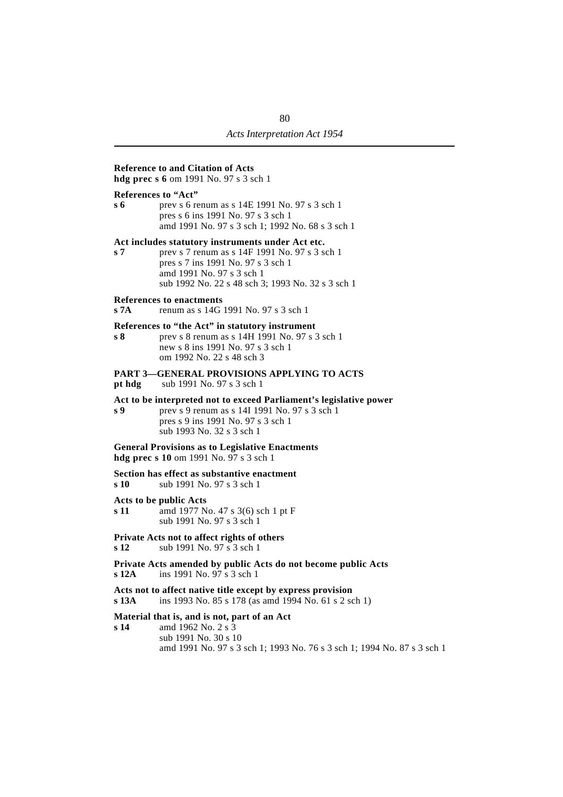#### **Reference to and Citation of Acts**

**hdg prec s 6** om 1991 No. 97 s 3 sch 1

#### **References to "Act"**

**s 6** prev s 6 renum as s 14E 1991 No. 97 s 3 sch 1 pres s 6 ins 1991 No. 97 s 3 sch 1 amd 1991 No. 97 s 3 sch 1; 1992 No. 68 s 3 sch 1

#### **Act includes statutory instruments under Act etc.**

**s 7** prev s 7 renum as s 14F 1991 No. 97 s 3 sch 1 pres s 7 ins 1991 No. 97 s 3 sch 1 amd 1991 No. 97 s 3 sch 1 sub 1992 No. 22 s 48 sch 3; 1993 No. 32 s 3 sch 1

#### **References to enactments**

**s 7A** renum as s 14G 1991 No. 97 s 3 sch 1

#### **References to "the Act" in statutory instrument**

**s 8** prev s 8 renum as s 14H 1991 No. 97 s 3 sch 1 new s 8 ins 1991 No. 97 s 3 sch 1 om 1992 No. 22 s 48 sch 3

#### **PART 3—GENERAL PROVISIONS APPLYING TO ACTS**

**pt hdg** sub 1991 No. 97 s 3 sch 1

#### **Act to be interpreted not to exceed Parliament's legislative power**

**s 9** prev s 9 renum as s 14I 1991 No. 97 s 3 sch 1 pres s 9 ins 1991 No. 97 s 3 sch 1 sub 1993 No. 32 s 3 sch 1

### **General Provisions as to Legislative Enactments**

**hdg prec s 10** om 1991 No. 97 s 3 sch 1

#### **Section has effect as substantive enactment**

**s 10** sub 1991 No. 97 s 3 sch 1

#### **Acts to be public Acts**

**s 11** amd 1977 No. 47 s 3(6) sch 1 pt F sub 1991 No. 97 s 3 sch 1

#### **Private Acts not to affect rights of others**

- **s 12** sub 1991 No. 97 s 3 sch 1
- **Private Acts amended by public Acts do not become public Acts s 12A** ins 1991 No. 97 s 3 sch 1

#### **Acts not to affect native title except by express provision**

**s 13A** ins 1993 No. 85 s 178 (as amd 1994 No. 61 s 2 sch 1)

### **Material that is, and is not, part of an Act**

**s 14** amd 1962 No. 2 s 3 sub 1991 No. 30 s 10 amd 1991 No. 97 s 3 sch 1; 1993 No. 76 s 3 sch 1; 1994 No. 87 s 3 sch 1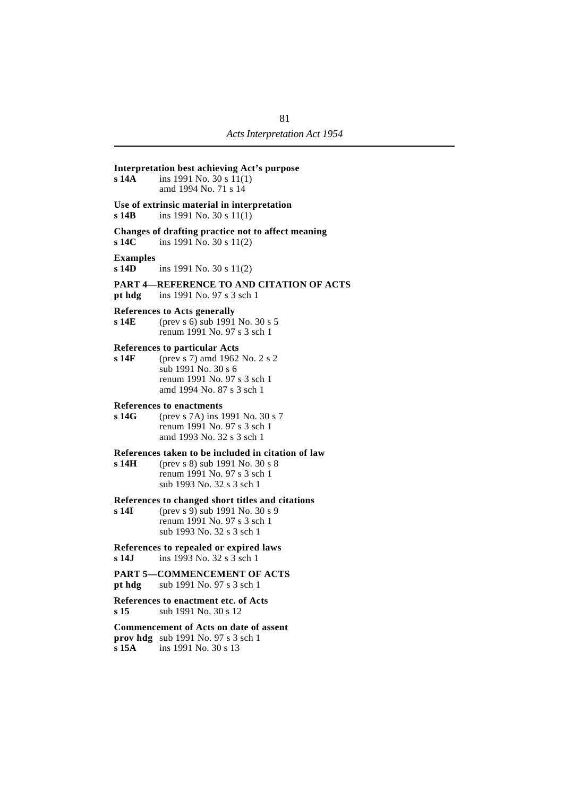| <b>Interpretation best achieving Act's purpose</b><br>s 14A<br>ins 1991 No. 30 s 11(1)<br>amd 1994 No. 71 s 14<br>Use of extrinsic material in interpretation<br>s 14B<br>ins 1991 No. 30 s $11(1)$<br>Changes of drafting practice not to affect meaning<br>s 14C<br>ins 1991 No. 30 s $11(2)$<br><b>Examples</b><br>s 14D<br>ins 1991 No. 30 s $11(2)$<br>PART 4—REFERENCE TO AND CITATION OF ACTS<br>pt hdg ins 1991 No. 97 s $3$ sch 1<br><b>References to Acts generally</b><br>s 14E<br>(prev s 6) sub 1991 No. 30 s 5<br>renum 1991 No. 97 s 3 sch 1<br><b>References to particular Acts</b><br>s 14F<br>(prev s 7) amd 1962 No. 2 s 2<br>sub 1991 No. 30 s 6<br>renum 1991 No. 97 s 3 sch 1<br>amd 1994 No. 87 s 3 sch 1<br><b>References to enactments</b><br>s 14G<br>(prev s 7A) ins 1991 No. 30 s 7<br>renum 1991 No. 97 s 3 sch 1<br>amd 1993 No. 32 s 3 sch 1<br>References taken to be included in citation of law<br>s 14H<br>(prev s 8) sub 1991 No. 30 s 8<br>renum 1991 No. 97 s 3 sch 1<br>sub 1993 No. 32 s 3 sch 1<br>References to changed short titles and citations<br>s 14I<br>(prev s 9) sub 1991 No. 30 s 9<br>renum 1991 No. 97 s 3 sch 1<br>sub 1993 No. 32 s 3 sch 1<br>References to repealed or expired laws<br>s 14J<br>ins 1993 No. 32 s 3 sch 1<br><b>PART 5-COMMENCEMENT OF ACTS</b><br><b>pt hdg</b> sub 1991 No. 97 s 3 sch 1<br>References to enactment etc. of Acts<br>s 15<br>sub 1991 No. 30 s 12<br><b>Commencement of Acts on date of assent</b><br>prov hdg sub 1991 No. 97 s 3 sch 1 |       |                      |
|-------------------------------------------------------------------------------------------------------------------------------------------------------------------------------------------------------------------------------------------------------------------------------------------------------------------------------------------------------------------------------------------------------------------------------------------------------------------------------------------------------------------------------------------------------------------------------------------------------------------------------------------------------------------------------------------------------------------------------------------------------------------------------------------------------------------------------------------------------------------------------------------------------------------------------------------------------------------------------------------------------------------------------------------------------------------------------------------------------------------------------------------------------------------------------------------------------------------------------------------------------------------------------------------------------------------------------------------------------------------------------------------------------------------------------------------------------------------------------------------------------------------------------------|-------|----------------------|
|                                                                                                                                                                                                                                                                                                                                                                                                                                                                                                                                                                                                                                                                                                                                                                                                                                                                                                                                                                                                                                                                                                                                                                                                                                                                                                                                                                                                                                                                                                                                     |       |                      |
|                                                                                                                                                                                                                                                                                                                                                                                                                                                                                                                                                                                                                                                                                                                                                                                                                                                                                                                                                                                                                                                                                                                                                                                                                                                                                                                                                                                                                                                                                                                                     |       |                      |
|                                                                                                                                                                                                                                                                                                                                                                                                                                                                                                                                                                                                                                                                                                                                                                                                                                                                                                                                                                                                                                                                                                                                                                                                                                                                                                                                                                                                                                                                                                                                     |       |                      |
|                                                                                                                                                                                                                                                                                                                                                                                                                                                                                                                                                                                                                                                                                                                                                                                                                                                                                                                                                                                                                                                                                                                                                                                                                                                                                                                                                                                                                                                                                                                                     |       |                      |
|                                                                                                                                                                                                                                                                                                                                                                                                                                                                                                                                                                                                                                                                                                                                                                                                                                                                                                                                                                                                                                                                                                                                                                                                                                                                                                                                                                                                                                                                                                                                     |       |                      |
|                                                                                                                                                                                                                                                                                                                                                                                                                                                                                                                                                                                                                                                                                                                                                                                                                                                                                                                                                                                                                                                                                                                                                                                                                                                                                                                                                                                                                                                                                                                                     |       |                      |
|                                                                                                                                                                                                                                                                                                                                                                                                                                                                                                                                                                                                                                                                                                                                                                                                                                                                                                                                                                                                                                                                                                                                                                                                                                                                                                                                                                                                                                                                                                                                     |       |                      |
|                                                                                                                                                                                                                                                                                                                                                                                                                                                                                                                                                                                                                                                                                                                                                                                                                                                                                                                                                                                                                                                                                                                                                                                                                                                                                                                                                                                                                                                                                                                                     |       |                      |
|                                                                                                                                                                                                                                                                                                                                                                                                                                                                                                                                                                                                                                                                                                                                                                                                                                                                                                                                                                                                                                                                                                                                                                                                                                                                                                                                                                                                                                                                                                                                     |       |                      |
|                                                                                                                                                                                                                                                                                                                                                                                                                                                                                                                                                                                                                                                                                                                                                                                                                                                                                                                                                                                                                                                                                                                                                                                                                                                                                                                                                                                                                                                                                                                                     |       |                      |
|                                                                                                                                                                                                                                                                                                                                                                                                                                                                                                                                                                                                                                                                                                                                                                                                                                                                                                                                                                                                                                                                                                                                                                                                                                                                                                                                                                                                                                                                                                                                     |       |                      |
|                                                                                                                                                                                                                                                                                                                                                                                                                                                                                                                                                                                                                                                                                                                                                                                                                                                                                                                                                                                                                                                                                                                                                                                                                                                                                                                                                                                                                                                                                                                                     |       |                      |
|                                                                                                                                                                                                                                                                                                                                                                                                                                                                                                                                                                                                                                                                                                                                                                                                                                                                                                                                                                                                                                                                                                                                                                                                                                                                                                                                                                                                                                                                                                                                     |       |                      |
|                                                                                                                                                                                                                                                                                                                                                                                                                                                                                                                                                                                                                                                                                                                                                                                                                                                                                                                                                                                                                                                                                                                                                                                                                                                                                                                                                                                                                                                                                                                                     | s 15A | ins 1991 No. 30 s 13 |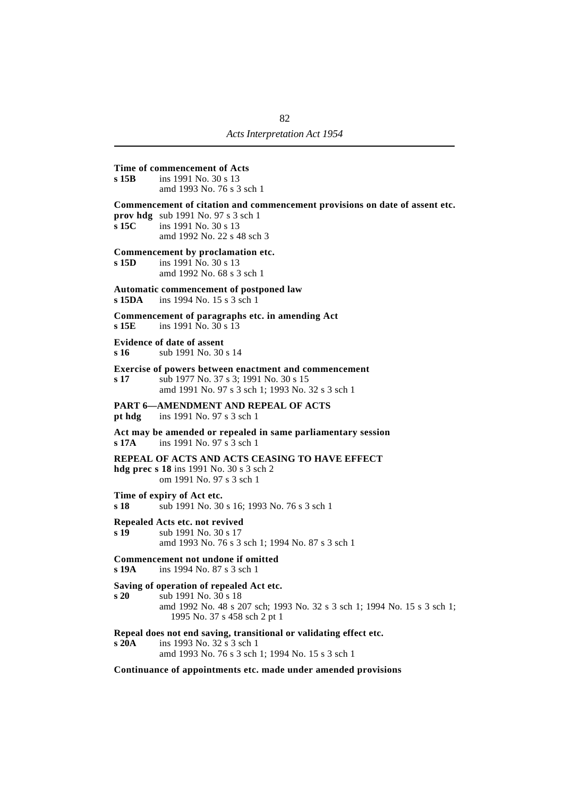#### **Time of commencement of Acts**

**s 15B** ins 1991 No. 30 s 13 amd 1993 No. 76 s 3 sch 1

#### **Commencement of citation and commencement provisions on date of assent etc.**

**prov hdg** sub 1991 No. 97 s 3 sch 1<br>**s 15C** ins 1991 No. 30 s 13 **s 15C** ins 1991 No. 30 s 13 amd 1992 No. 22 s 48 sch 3

# **Commencement by proclamation etc.**<br>s 15D ins 1991 No. 30 s 13

ins 1991 No. 30 s 13 amd 1992 No. 68 s 3 sch 1

#### **Automatic commencement of postponed law**

**s 15DA** ins 1994 No. 15 s 3 sch 1

**Commencement of paragraphs etc. in amending Act s 15E** ins 1991 No. 30 s 13

#### **Evidence of date of assent**

**s 16** sub 1991 No. 30 s 14

#### **Exercise of powers between enactment and commencement**

**s 17** sub 1977 No. 37 s 3; 1991 No. 30 s 15 amd 1991 No. 97 s 3 sch 1; 1993 No. 32 s 3 sch 1

#### **PART 6—AMENDMENT AND REPEAL OF ACTS**

**pt hdg** ins 1991 No. 97 s 3 sch 1

**Act may be amended or repealed in same parliamentary session s 17A** ins 1991 No. 97 s 3 sch 1

#### **REPEAL OF ACTS AND ACTS CEASING TO HAVE EFFECT**

**hdg prec s 18** ins 1991 No. 30 s 3 sch 2 om 1991 No. 97 s 3 sch 1

**Time of expiry of Act etc.**

**s 18** sub 1991 No. 30 s 16; 1993 No. 76 s 3 sch 1

#### **Repealed Acts etc. not revived**

**s 19** sub 1991 No. 30 s 17 amd 1993 No. 76 s 3 sch 1; 1994 No. 87 s 3 sch 1

#### **Commencement not undone if omitted**

**s 19A** ins 1994 No. 87 s 3 sch 1

#### **Saving of operation of repealed Act etc.**

**s 20** sub 1991 No. 30 s 18 amd 1992 No. 48 s 207 sch; 1993 No. 32 s 3 sch 1; 1994 No. 15 s 3 sch 1; 1995 No. 37 s 458 sch 2 pt 1

#### **Repeal does not end saving, transitional or validating effect etc.**

**s 20A** ins 1993 No. 32 s 3 sch 1 amd 1993 No. 76 s 3 sch 1; 1994 No. 15 s 3 sch 1

**Continuance of appointments etc. made under amended provisions**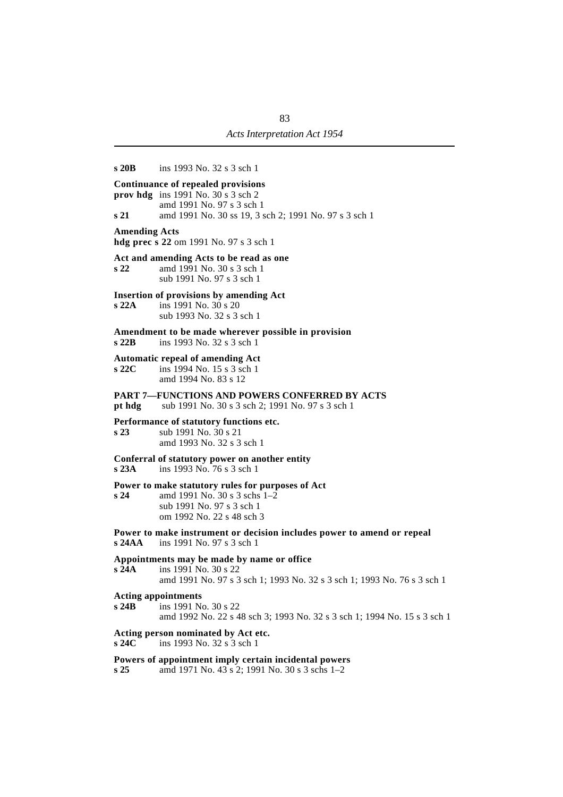| s20B                                                   | ins 1993 No. 32 s 3 sch 1                                                                                                                                        |
|--------------------------------------------------------|------------------------------------------------------------------------------------------------------------------------------------------------------------------|
| s21                                                    | Continuance of repealed provisions<br>prov hdg ins 1991 No. $30 s 3 sch 2$<br>amd 1991 No. 97 s 3 sch 1<br>amd 1991 No. 30 ss 19, 3 sch 2; 1991 No. 97 s 3 sch 1 |
| <b>Amending Acts</b>                                   | hdg prec s 22 om 1991 No. 97 s 3 sch 1                                                                                                                           |
| s <sub>22</sub>                                        | Act and amending Acts to be read as one<br>amd 1991 No. 30 s 3 sch 1<br>sub 1991 No. 97 s 3 sch 1                                                                |
| s22A                                                   | <b>Insertion of provisions by amending Act</b><br>ins 1991 No. 30 s 20<br>sub 1993 No. 32 s 3 sch 1                                                              |
| $\boldsymbol{\mathsf{s}}$ 22B                          | Amendment to be made wherever possible in provision<br>ins 1993 No. 32 s 3 sch 1                                                                                 |
| $\boldsymbol{\mathsf{s}}$ 22 $\boldsymbol{\mathsf{C}}$ | <b>Automatic repeal of amending Act</b><br>ins 1994 No. 15 s 3 sch 1<br>amd 1994 No. 83 s 12                                                                     |
| pt hdg                                                 | <b>PART 7-FUNCTIONS AND POWERS CONFERRED BY ACTS</b><br>sub 1991 No. 30 s 3 sch 2; 1991 No. 97 s 3 sch 1                                                         |
| s <sub>23</sub>                                        | Performance of statutory functions etc.<br>sub 1991 No. 30 s 21<br>amd 1993 No. 32 s 3 sch 1                                                                     |
| s23A                                                   | Conferral of statutory power on another entity<br>ins 1993 No. 76 s 3 sch 1                                                                                      |
| s <sub>24</sub>                                        | Power to make statutory rules for purposes of Act<br>amd 1991 No. 30 s 3 schs 1–2<br>sub 1991 No. 97 s 3 sch 1<br>om 1992 No. 22 s 48 sch 3                      |
| s24AA                                                  | Power to make instrument or decision includes power to amend or repeal<br>ins 1991 No. 97 s 3 sch 1                                                              |
| s24A                                                   | Appointments may be made by name or office<br>ins 1991 No. 30 s 22<br>amd 1991 No. 97 s 3 sch 1; 1993 No. 32 s 3 sch 1; 1993 No. 76 s 3 sch 1                    |
| <b>Acting appointments</b><br>s24B                     | ins 1991 No. 30 s 22<br>amd 1992 No. 22 s 48 sch 3; 1993 No. 32 s 3 sch 1; 1994 No. 15 s 3 sch 1                                                                 |
| s24C                                                   | Acting person nominated by Act etc.<br>ins 1993 No. 32 s 3 sch 1                                                                                                 |
| s <sub>25</sub>                                        | Powers of appointment imply certain incidental powers<br>amd 1971 No. 43 s 2; 1991 No. 30 s 3 schs 1-2                                                           |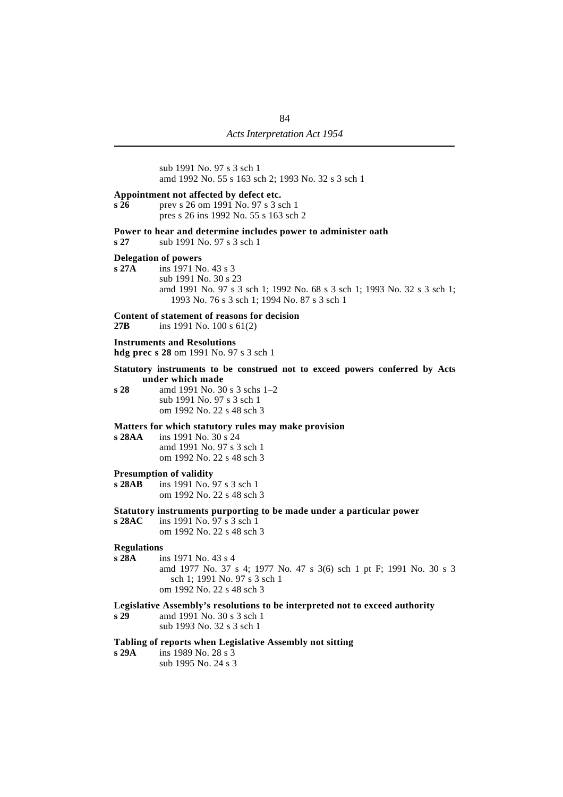sub 1991 No. 97 s 3 sch 1 amd 1992 No. 55 s 163 sch 2; 1993 No. 32 s 3 sch 1

#### **Appointment not affected by defect etc.**

**s 26** prev s 26 om 1991 No. 97 s 3 sch 1 pres s 26 ins 1992 No. 55 s 163 sch 2

#### **Power to hear and determine includes power to administer oath**

**s 27** sub 1991 No. 97 s 3 sch 1

# **Delegation of powers**<br>s 27A ins 1971 No

**s 27A** ins 1971 No. 43 s 3 sub 1991 No. 30 s 23 amd 1991 No. 97 s 3 sch 1; 1992 No. 68 s 3 sch 1; 1993 No. 32 s 3 sch 1; 1993 No. 76 s 3 sch 1; 1994 No. 87 s 3 sch 1

#### **Content of statement of reasons for decision**

**27B** ins 1991 No. 100 s 61(2)

#### **Instruments and Resolutions**

**hdg prec s 28** om 1991 No. 97 s 3 sch 1

#### **Statutory instruments to be construed not to exceed powers conferred by Acts under which made**

**s 28** amd 1991 No. 30 s 3 schs 1–2 sub 1991 No. 97 s 3 sch 1 om 1992 No. 22 s 48 sch 3

#### **Matters for which statutory rules may make provision**

**s 28AA** ins 1991 No. 30 s 24 amd 1991 No. 97 s 3 sch 1 om 1992 No. 22 s 48 sch 3

#### **Presumption of validity**

**s 28AB** ins 1991 No. 97 s 3 sch 1 om 1992 No. 22 s 48 sch 3

#### **Statutory instruments purporting to be made under a particular power**

**s 28AC** ins 1991 No. 97 s 3 sch 1 om 1992 No. 22 s 48 sch 3

# **Regulations**<br>s 28A in

**s 28A** ins 1971 No. 43 s 4 amd 1977 No. 37 s 4; 1977 No. 47 s 3(6) sch 1 pt F; 1991 No. 30 s 3 sch 1; 1991 No. 97 s 3 sch 1 om 1992 No. 22 s 48 sch 3

#### **Legislative Assembly's resolutions to be interpreted not to exceed authority**

**s 29** amd 1991 No. 30 s 3 sch 1 sub 1993 No. 32 s 3 sch 1

#### **Tabling of reports when Legislative Assembly not sitting**

- **s 29A** ins 1989 No. 28 s 3
	- sub 1995 No. 24 s 3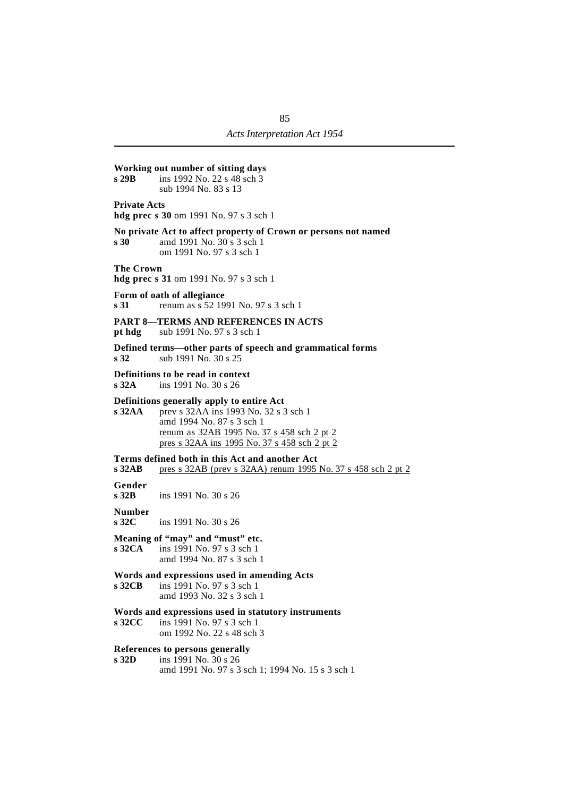## **Working out number of sitting days s 29B** ins 1992 No. 22 s 48 sch 3 sub 1994 No. 83 s 13 **Private Acts hdg prec s 30** om 1991 No. 97 s 3 sch 1 **No private Act to affect property of Crown or persons not named s 30** amd 1991 No. 30 s 3 sch 1 om 1991 No. 97 s 3 sch 1 **The Crown hdg prec s 31** om 1991 No. 97 s 3 sch 1 **Form of oath of allegiance s 31** renum as s 52 1991 No. 97 s 3 sch 1 **PART 8—TERMS AND REFERENCES IN ACTS pt hdg** sub 1991 No. 97 s 3 sch 1 **Defined terms—other parts of speech and grammatical forms s 32** sub 1991 No. 30 s 25 **Definitions to be read in context**<br>s 32A ins 1991 No. 30 s 26 **s 32A** ins 1991 No. 30 s 26 **Definitions generally apply to entire Act s 32AA** prev s 32AA ins 1993 No. 32 s 3 sch 1 amd 1994 No. 87 s 3 sch 1 renum as 32AB 1995 No. 37 s 458 sch 2 pt 2 pres s 32AA ins 1995 No. 37 s 458 sch 2 pt 2 **Terms defined both in this Act and another Act s 32AB** pres s 32AB (prev s 32AA) renum 1995 No. 37 s 458 sch 2 pt 2 **Gender s 32B** ins 1991 No. 30 s 26 **Number s 32C** ins 1991 No. 30 s 26 **Meaning of "may" and "must" etc. s 32CA** ins 1991 No. 97 s 3 sch 1 amd 1994 No. 87 s 3 sch 1 **Words and expressions used in amending Acts s 32CB** ins 1991 No. 97 s 3 sch 1 amd 1993 No. 32 s 3 sch 1 **Words and expressions used in statutory instruments s 32CC** ins 1991 No. 97 s 3 sch 1 om 1992 No. 22 s 48 sch 3 **References to persons generally s 32D** ins 1991 No. 30 s 26 amd 1991 No. 97 s 3 sch 1; 1994 No. 15 s 3 sch 1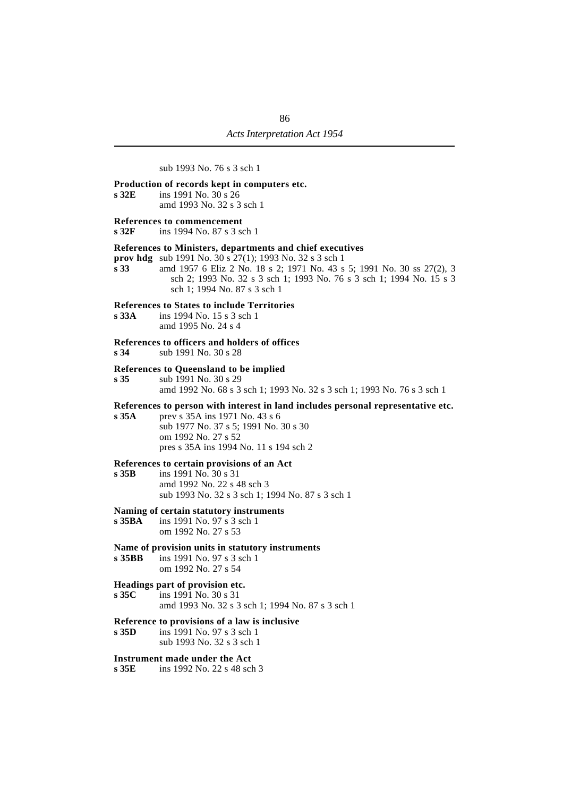sub 1993 No. 76 s 3 sch 1

#### **Production of records kept in computers etc.**

**s 32E** ins 1991 No. 30 s 26 amd 1993 No. 32 s 3 sch 1

#### **References to commencement**

**s 32F** ins 1994 No. 87 s 3 sch 1

#### **References to Ministers, departments and chief executives**

**prov hdg** sub 1991 No. 30 s 27(1); 1993 No. 32 s 3 sch 1

**s 33** amd 1957 6 Eliz 2 No. 18 s 2; 1971 No. 43 s 5; 1991 No. 30 ss 27(2), 3 sch 2; 1993 No. 32 s 3 sch 1; 1993 No. 76 s 3 sch 1; 1994 No. 15 s 3 sch 1; 1994 No. 87 s 3 sch 1

#### **References to States to include Territories**

**s 33A** ins 1994 No. 15 s 3 sch 1 amd 1995 No. 24 s 4

#### **References to officers and holders of offices**

**s 34** sub 1991 No. 30 s 28

#### **References to Queensland to be implied**

**s 35** sub 1991 No. 30 s 29 amd 1992 No. 68 s 3 sch 1; 1993 No. 32 s 3 sch 1; 1993 No. 76 s 3 sch 1

#### **References to person with interest in land includes personal representative etc.**

**s 35A** prev s 35A ins 1971 No. 43 s 6 sub 1977 No. 37 s 5; 1991 No. 30 s 30 om 1992 No. 27 s 52 pres s 35A ins 1994 No. 11 s 194 sch 2

#### **References to certain provisions of an Act**

**s 35B** ins 1991 No. 30 s 31 amd 1992 No. 22 s 48 sch 3 sub 1993 No. 32 s 3 sch 1; 1994 No. 87 s 3 sch 1

#### **Naming of certain statutory instruments**

**s 35BA** ins 1991 No. 97 s 3 sch 1 om 1992 No. 27 s 53

#### **Name of provision units in statutory instruments**

**s 35BB** ins 1991 No. 97 s 3 sch 1 om 1992 No. 27 s 54

# **Headings part of provision etc.**<br>s 35C ins 1991 No. 30 s 31

**s 35C** ins 1991 No. 30 s 31 amd 1993 No. 32 s 3 sch 1; 1994 No. 87 s 3 sch 1

#### **Reference to provisions of a law is inclusive**

**s 35D** ins 1991 No. 97 s 3 sch 1 sub 1993 No. 32 s 3 sch 1

#### **Instrument made under the Act**

**s 35E** ins 1992 No. 22 s 48 sch 3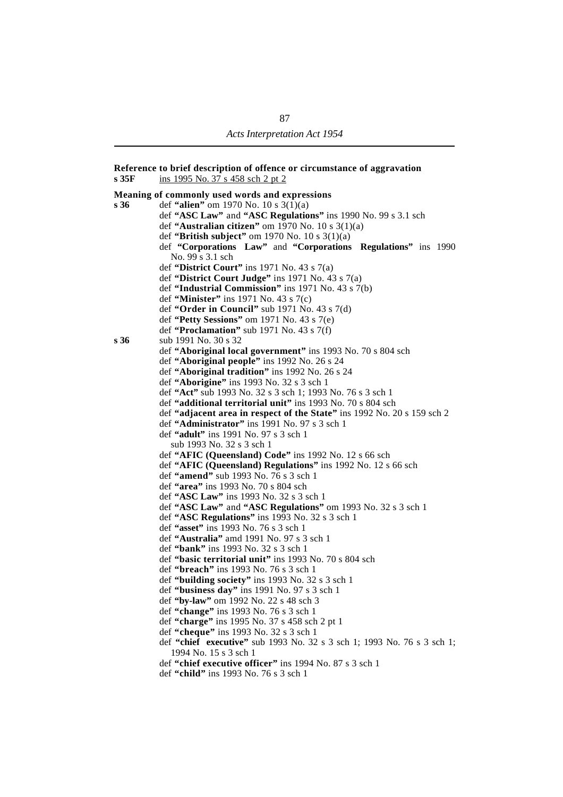**Reference to brief description of offence or circumstance of aggravation s 35F** ins 1995 No. 37 s 458 sch 2 pt 2 **Meaning of commonly used words and expressions s 36** def **"alien"** om 1970 No. 10 s 3(1)(a) def **"ASC Law"** and **"ASC Regulations"** ins 1990 No. 99 s 3.1 sch def **"Australian citizen"** om 1970 No. 10 s 3(1)(a) def **"British subject"** om 1970 No. 10 s 3(1)(a) def **"Corporations Law"** and **"Corporations Regulations"** ins 1990 No. 99 s 3.1 sch def **"District Court"** ins 1971 No. 43 s 7(a) def **"District Court Judge"** ins 1971 No. 43 s 7(a) def **"Industrial Commission"** ins 1971 No. 43 s 7(b) def **"Minister"** ins 1971 No. 43 s 7(c) def **"Order in Council"** sub 1971 No. 43 s 7(d) def **"Petty Sessions"** om 1971 No. 43 s 7(e) def **"Proclamation"** sub 1971 No. 43 s 7(f) **s 36** sub 1991 No. 30 s 32 def **"Aboriginal local government"** ins 1993 No. 70 s 804 sch def **"Aboriginal people"** ins 1992 No. 26 s 24 def **"Aboriginal tradition"** ins 1992 No. 26 s 24 def **"Aborigine"** ins 1993 No. 32 s 3 sch 1 def **"Act"** sub 1993 No. 32 s 3 sch 1; 1993 No. 76 s 3 sch 1 def **"additional territorial unit"** ins 1993 No. 70 s 804 sch def **"adjacent area in respect of the State"** ins 1992 No. 20 s 159 sch 2 def **"Administrator"** ins 1991 No. 97 s 3 sch 1 def **"adult"** ins 1991 No. 97 s 3 sch 1 sub 1993 No. 32 s 3 sch 1 def **"AFIC (Queensland) Code"** ins 1992 No. 12 s 66 sch def **"AFIC (Queensland) Regulations"** ins 1992 No. 12 s 66 sch def **"amend"** sub 1993 No. 76 s 3 sch 1 def **"area"** ins 1993 No. 70 s 804 sch def **"ASC Law"** ins 1993 No. 32 s 3 sch 1 def **"ASC Law"** and **"ASC Regulations"** om 1993 No. 32 s 3 sch 1 def **"ASC Regulations"** ins 1993 No. 32 s 3 sch 1 def **"asset"** ins 1993 No. 76 s 3 sch 1 def **"Australia"** amd 1991 No. 97 s 3 sch 1 def **"bank"** ins 1993 No. 32 s 3 sch 1 def **"basic territorial unit"** ins 1993 No. 70 s 804 sch def **"breach"** ins 1993 No. 76 s 3 sch 1 def **"building society"** ins 1993 No. 32 s 3 sch 1 def **"business day"** ins 1991 No. 97 s 3 sch 1 def **"by-law"** om 1992 No. 22 s 48 sch 3 def **"change"** ins 1993 No. 76 s 3 sch 1 def **"charge"** ins 1995 No. 37 s 458 sch 2 pt 1 def **"cheque"** ins 1993 No. 32 s 3 sch 1 def **"chief executive"** sub 1993 No. 32 s 3 sch 1; 1993 No. 76 s 3 sch 1; 1994 No. 15 s 3 sch 1 def **"chief executive officer"** ins 1994 No. 87 s 3 sch 1 def **"child"** ins 1993 No. 76 s 3 sch 1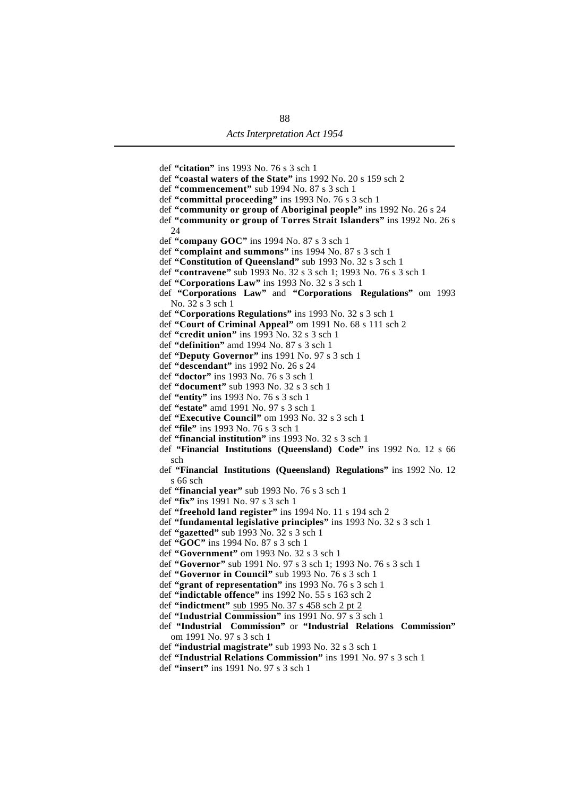def **"citation"** ins 1993 No. 76 s 3 sch 1 def **"coastal waters of the State"** ins 1992 No. 20 s 159 sch 2 def **"commencement"** sub 1994 No. 87 s 3 sch 1 def **"committal proceeding"** ins 1993 No. 76 s 3 sch 1 def **"community or group of Aboriginal people"** ins 1992 No. 26 s 24 def **"community or group of Torres Strait Islanders"** ins 1992 No. 26 s 24 def **"company GOC"** ins 1994 No. 87 s 3 sch 1 def **"complaint and summons"** ins 1994 No. 87 s 3 sch 1 def **"Constitution of Queensland"** sub 1993 No. 32 s 3 sch 1 def **"contravene"** sub 1993 No. 32 s 3 sch 1; 1993 No. 76 s 3 sch 1 def **"Corporations Law"** ins 1993 No. 32 s 3 sch 1 def **"Corporations Law"** and **"Corporations Regulations"** om 1993 No. 32 s 3 sch 1 def **"Corporations Regulations"** ins 1993 No. 32 s 3 sch 1 def **"Court of Criminal Appeal"** om 1991 No. 68 s 111 sch 2 def **"credit union"** ins 1993 No. 32 s 3 sch 1 def **"definition"** amd 1994 No. 87 s 3 sch 1 def **"Deputy Governor"** ins 1991 No. 97 s 3 sch 1 def **"descendant"** ins 1992 No. 26 s 24 def **"doctor"** ins 1993 No. 76 s 3 sch 1 def **"document"** sub 1993 No. 32 s 3 sch 1 def **"entity"** ins 1993 No. 76 s 3 sch 1 def **"estate"** amd 1991 No. 97 s 3 sch 1 def **"Executive Council"** om 1993 No. 32 s 3 sch 1 def **"file"** ins 1993 No. 76 s 3 sch 1 def **"financial institution"** ins 1993 No. 32 s 3 sch 1 def **"Financial Institutions (Queensland) Code"** ins 1992 No. 12 s 66 sch def **"Financial Institutions (Queensland) Regulations"** ins 1992 No. 12 s 66 sch def **"financial year"** sub 1993 No. 76 s 3 sch 1 def **"fix"** ins 1991 No. 97 s 3 sch 1 def **"freehold land register"** ins 1994 No. 11 s 194 sch 2 def **"fundamental legislative principles"** ins 1993 No. 32 s 3 sch 1 def **"gazetted"** sub 1993 No. 32 s 3 sch 1 def **"GOC"** ins 1994 No. 87 s 3 sch 1 def **"Government"** om 1993 No. 32 s 3 sch 1 def **"Governor"** sub 1991 No. 97 s 3 sch 1; 1993 No. 76 s 3 sch 1 def **"Governor in Council"** sub 1993 No. 76 s 3 sch 1 def **"grant of representation"** ins 1993 No. 76 s 3 sch 1 def **"indictable offence"** ins 1992 No. 55 s 163 sch 2 def **"indictment"** sub 1995 No. 37 s 458 sch 2 pt 2 def **"Industrial Commission"** ins 1991 No. 97 s 3 sch 1 def **"Industrial Commission"** or **"Industrial Relations Commission"** om 1991 No. 97 s 3 sch 1 def **"industrial magistrate"** sub 1993 No. 32 s 3 sch 1 def **"Industrial Relations Commission"** ins 1991 No. 97 s 3 sch 1 def **"insert"** ins 1991 No. 97 s 3 sch 1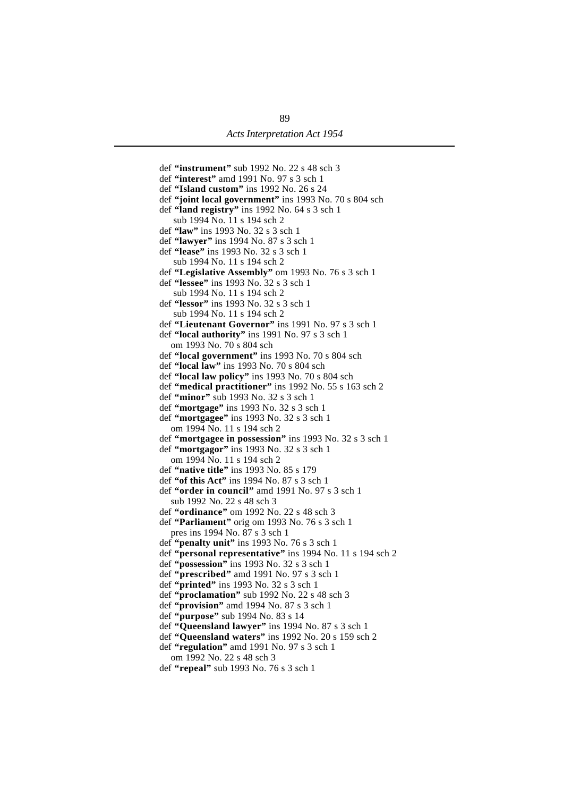def **"instrument"** sub 1992 No. 22 s 48 sch 3 def **"interest"** amd 1991 No. 97 s 3 sch 1 def **"Island custom"** ins 1992 No. 26 s 24 def **"joint local government"** ins 1993 No. 70 s 804 sch def **"land registry"** ins 1992 No. 64 s 3 sch 1 sub 1994 No. 11 s 194 sch 2 def **"law"** ins 1993 No. 32 s 3 sch 1 def **"lawyer"** ins 1994 No. 87 s 3 sch 1 def **"lease"** ins 1993 No. 32 s 3 sch 1 sub 1994 No. 11 s 194 sch 2 def **"Legislative Assembly"** om 1993 No. 76 s 3 sch 1 def **"lessee"** ins 1993 No. 32 s 3 sch 1 sub 1994 No. 11 s 194 sch 2 def **"lessor"** ins 1993 No. 32 s 3 sch 1 sub 1994 No. 11 s 194 sch 2 def **"Lieutenant Governor"** ins 1991 No. 97 s 3 sch 1 def **"local authority"** ins 1991 No. 97 s 3 sch 1 om 1993 No. 70 s 804 sch def **"local government"** ins 1993 No. 70 s 804 sch def **"local law"** ins 1993 No. 70 s 804 sch def **"local law policy"** ins 1993 No. 70 s 804 sch def **"medical practitioner"** ins 1992 No. 55 s 163 sch 2 def **"minor"** sub 1993 No. 32 s 3 sch 1 def **"mortgage"** ins 1993 No. 32 s 3 sch 1 def **"mortgagee"** ins 1993 No. 32 s 3 sch 1 om 1994 No. 11 s 194 sch 2 def **"mortgagee in possession"** ins 1993 No. 32 s 3 sch 1 def **"mortgagor"** ins 1993 No. 32 s 3 sch 1 om 1994 No. 11 s 194 sch 2 def **"native title"** ins 1993 No. 85 s 179 def **"of this Act"** ins 1994 No. 87 s 3 sch 1 def **"order in council"** amd 1991 No. 97 s 3 sch 1 sub 1992 No. 22 s 48 sch 3 def **"ordinance"** om 1992 No. 22 s 48 sch 3 def **"Parliament"** orig om 1993 No. 76 s 3 sch 1 pres ins 1994 No. 87 s 3 sch 1 def **"penalty unit"** ins 1993 No. 76 s 3 sch 1 def **"personal representative"** ins 1994 No. 11 s 194 sch 2 def **"possession"** ins 1993 No. 32 s 3 sch 1 def **"prescribed"** amd 1991 No. 97 s 3 sch 1 def **"printed"** ins 1993 No. 32 s 3 sch 1 def **"proclamation"** sub 1992 No. 22 s 48 sch 3 def **"provision"** amd 1994 No. 87 s 3 sch 1 def **"purpose"** sub 1994 No. 83 s 14 def **"Queensland lawyer"** ins 1994 No. 87 s 3 sch 1 def **"Queensland waters"** ins 1992 No. 20 s 159 sch 2 def **"regulation"** amd 1991 No. 97 s 3 sch 1 om 1992 No. 22 s 48 sch 3 def **"repeal"** sub 1993 No. 76 s 3 sch 1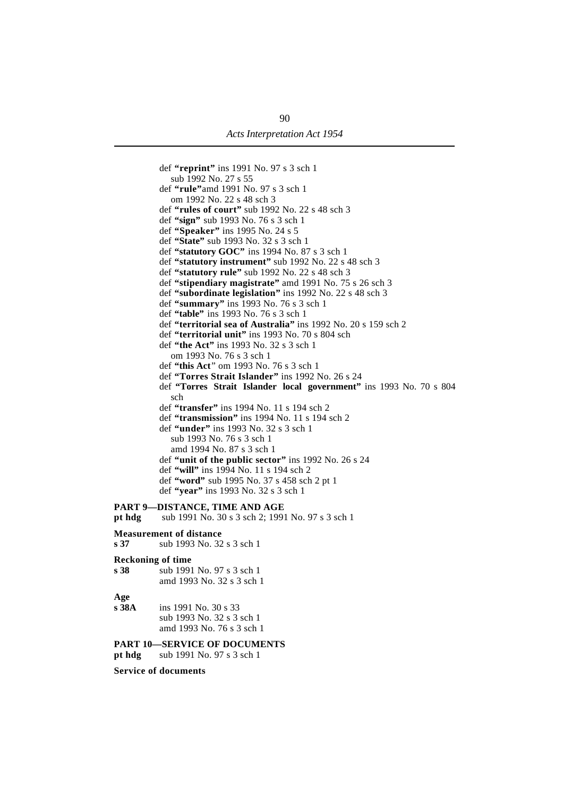def **"reprint"** ins 1991 No. 97 s 3 sch 1 sub 1992 No. 27 s 55 def **"rule"**amd 1991 No. 97 s 3 sch 1 om 1992 No. 22 s 48 sch 3 def **"rules of court"** sub 1992 No. 22 s 48 sch 3 def **"sign"** sub 1993 No. 76 s 3 sch 1 def **"Speaker"** ins 1995 No. 24 s 5 def **"State"** sub 1993 No. 32 s 3 sch 1 def **"statutory GOC"** ins 1994 No. 87 s 3 sch 1 def **"statutory instrument"** sub 1992 No. 22 s 48 sch 3 def **"statutory rule"** sub 1992 No. 22 s 48 sch 3 def **"stipendiary magistrate"** amd 1991 No. 75 s 26 sch 3 def **"subordinate legislation"** ins 1992 No. 22 s 48 sch 3 def **"summary"** ins 1993 No. 76 s 3 sch 1 def **"table"** ins 1993 No. 76 s 3 sch 1 def **"territorial sea of Australia"** ins 1992 No. 20 s 159 sch 2 def **"territorial unit"** ins 1993 No. 70 s 804 sch def **"the Act"** ins 1993 No. 32 s 3 sch 1 om 1993 No. 76 s 3 sch 1 def **"this Act**" om 1993 No. 76 s 3 sch 1 def **"Torres Strait Islander"** ins 1992 No. 26 s 24 def **"Torres Strait Islander local government"** ins 1993 No. 70 s 804 sch def **"transfer"** ins 1994 No. 11 s 194 sch 2 def **"transmission"** ins 1994 No. 11 s 194 sch 2 def **"under"** ins 1993 No. 32 s 3 sch 1 sub 1993 No. 76 s 3 sch 1 amd 1994 No. 87 s 3 sch 1 def **"unit of the public sector"** ins 1992 No. 26 s 24 def **"will"** ins 1994 No. 11 s 194 sch 2 def **"word"** sub 1995 No. 37 s 458 sch 2 pt 1 def **"year"** ins 1993 No. 32 s 3 sch 1 **PART 9—DISTANCE, TIME AND AGE pt hdg** sub 1991 No. 30 s 3 sch 2; 1991 No. 97 s 3 sch 1 **Measurement of distance s 37** sub 1993 No. 32 s 3 sch 1 **Reckoning of time s 38** sub 1991 No. 97 s 3 sch 1 amd 1993 No. 32 s 3 sch 1

- **Age**
- **s 38A** ins 1991 No. 30 s 33 sub 1993 No. 32 s 3 sch 1 amd 1993 No. 76 s 3 sch 1

**PART 10—SERVICE OF DOCUMENTS**

**pt hdg** sub 1991 No. 97 s 3 sch 1

**Service of documents**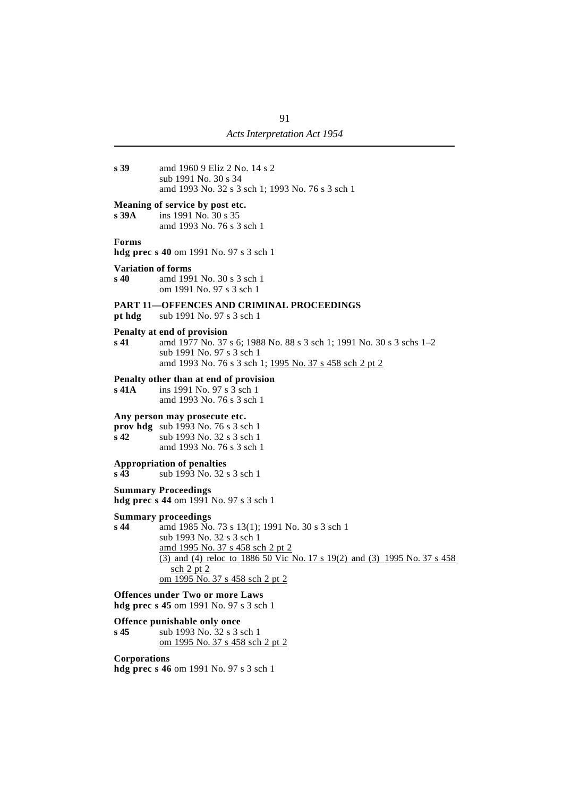**s 39** amd 1960 9 Eliz 2 No. 14 s 2 sub 1991 No. 30 s 34 amd 1993 No. 32 s 3 sch 1; 1993 No. 76 s 3 sch 1

# **Meaning of service by post etc.**<br>**s** 39A ins 1991 No. 30 s 35

**s 39A** ins 1991 No. 30 s 35 amd 1993 No. 76 s 3 sch 1

#### **Forms**

**hdg prec s 40** om 1991 No. 97 s 3 sch 1

#### **Variation of forms**

**s 40** amd 1991 No. 30 s 3 sch 1 om 1991 No. 97 s 3 sch 1

#### **PART 11—OFFENCES AND CRIMINAL PROCEEDINGS**

**pt hdg** sub 1991 No. 97 s 3 sch 1

#### **Penalty at end of provision**

**s 41** amd 1977 No. 37 s 6; 1988 No. 88 s 3 sch 1; 1991 No. 30 s 3 schs 1–2 sub 1991 No. 97 s 3 sch 1 amd 1993 No. 76 s 3 sch 1; 1995 No. 37 s 458 sch 2 pt 2

#### **Penalty other than at end of provision**

**s 41A** ins 1991 No. 97 s 3 sch 1 amd 1993 No. 76 s 3 sch 1

#### **Any person may prosecute etc.**

**prov hdg** sub 1993 No. 76 s 3 sch 1 **s 42** sub 1993 No. 32 s 3 sch 1 amd 1993 No. 76 s 3 sch 1

#### **Appropriation of penalties**

**s 43** sub 1993 No. 32 s 3 sch 1

#### **Summary Proceedings**

**hdg prec s 44** om 1991 No. 97 s 3 sch 1

## **Summary proceedings**<br>**s 44** amd 1985 No

amd 1985 No. 73 s 13(1); 1991 No. 30 s 3 sch 1 sub 1993 No. 32 s 3 sch 1 amd 1995 No. 37 s 458 sch 2 pt 2 (3) and (4) reloc to 1886 50 Vic No. 17 s 19(2) and (3) 1995 No. 37 s 458 sch 2 pt 2 om 1995 No. 37 s 458 sch 2 pt 2

**Offences under Two or more Laws hdg prec s 45** om 1991 No. 97 s 3 sch 1

#### **Offence punishable only once**

**s 45** sub 1993 No. 32 s 3 sch 1 om 1995 No. 37 s 458 sch 2 pt 2

#### **Corporations**

**hdg prec s 46** om 1991 No. 97 s 3 sch 1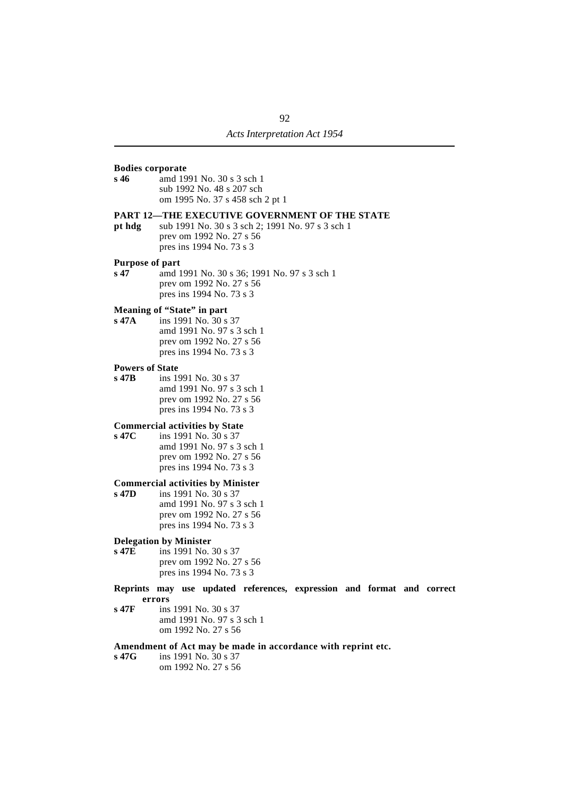#### **Bodies corporate s 46** amd 1991 No. 30 s 3 sch 1

sub 1992 No. 48 s 207 sch om 1995 No. 37 s 458 sch 2 pt 1

#### **PART 12—THE EXECUTIVE GOVERNMENT OF THE STATE**

**pt hdg** sub 1991 No. 30 s 3 sch 2; 1991 No. 97 s 3 sch 1 prev om 1992 No. 27 s 56 pres ins 1994 No. 73 s 3

#### **Purpose of part**

**s 47** amd 1991 No. 30 s 36; 1991 No. 97 s 3 sch 1 prev om 1992 No. 27 s 56 pres ins 1994 No. 73 s 3

# **Meaning of "State" in part**<br>**s 47A** ins 1991 No. 30 s

**s 47A** ins 1991 No. 30 s 37 amd 1991 No. 97 s 3 sch 1 prev om 1992 No. 27 s 56 pres ins 1994 No. 73 s 3

#### **Powers of State**

**s 47B** ins 1991 No. 30 s 37 amd 1991 No. 97 s 3 sch 1 prev om 1992 No. 27 s 56 pres ins 1994 No. 73 s 3

#### **Commercial activities by State**

**s 47C** ins 1991 No. 30 s 37 amd 1991 No. 97 s 3 sch 1 prev om 1992 No. 27 s 56 pres ins 1994 No. 73 s 3

## **Commercial activities by Minister**<br>**s** 47D ins 1991 No. 30 s 37

ins 1991 No. 30 s 37 amd 1991 No. 97 s 3 sch 1 prev om 1992 No. 27 s 56 pres ins 1994 No. 73 s 3

#### **Delegation by Minister**

- **s 47E** ins 1991 No. 30 s 37 prev om 1992 No. 27 s 56 pres ins 1994 No. 73 s 3
- **Reprints may use updated references, expression and format and correct errors**
- **s 47F** ins 1991 No. 30 s 37 amd 1991 No. 97 s 3 sch 1 om 1992 No. 27 s 56

#### **Amendment of Act may be made in accordance with reprint etc.**

**s 47G** ins 1991 No. 30 s 37 om 1992 No. 27 s 56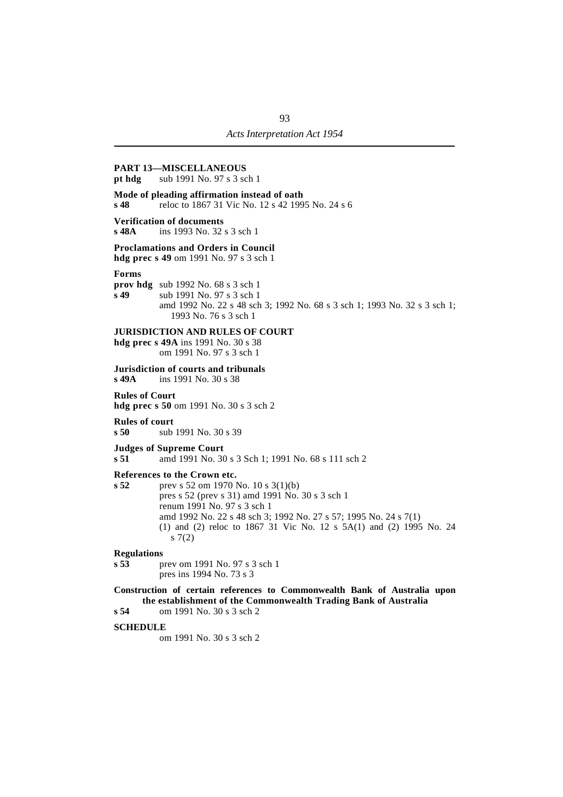#### **PART 13—MISCELLANEOUS**

**pt hdg** sub 1991 No. 97 s 3 sch 1

#### **Mode of pleading affirmation instead of oath**

**s 48** reloc to 1867 31 Vic No. 12 s 42 1995 No. 24 s 6

#### **Verification of documents**

**s 48A** ins 1993 No. 32 s 3 sch 1

**Proclamations and Orders in Council**

**hdg prec s 49** om 1991 No. 97 s 3 sch 1

#### **Forms**

**prov hdg** sub 1992 No. 68 s 3 sch 1

**s 49** sub 1991 No. 97 s 3 sch 1 amd 1992 No. 22 s 48 sch 3; 1992 No. 68 s 3 sch 1; 1993 No. 32 s 3 sch 1; 1993 No. 76 s 3 sch 1

#### **JURISDICTION AND RULES OF COURT**

**hdg prec s 49A** ins 1991 No. 30 s 38 om 1991 No. 97 s 3 sch 1

# **Jurisdiction of courts and tribunals**<br>s 49A ins 1991 No. 30 s 38

**s 49A** ins 1991 No. 30 s 38

#### **Rules of Court**

**hdg prec s 50** om 1991 No. 30 s 3 sch 2

#### **Rules of court**

**s 50** sub 1991 No. 30 s 39

#### **Judges of Supreme Court**

**s 51** amd 1991 No. 30 s 3 Sch 1; 1991 No. 68 s 111 sch 2

#### **References to the Crown etc.**

**s 52** prev s 52 om 1970 No. 10 s 3(1)(b) pres s 52 (prev s 31) amd 1991 No. 30 s 3 sch 1 renum 1991 No. 97 s 3 sch 1 amd 1992 No. 22 s 48 sch 3; 1992 No. 27 s 57; 1995 No. 24 s 7(1) (1) and (2) reloc to 1867 31 Vic No. 12 s 5A(1) and (2) 1995 No. 24  $s \; 7(2)$ 

#### **Regulations**

**s 53** prev om 1991 No. 97 s 3 sch 1 pres ins 1994 No. 73 s 3

#### **Construction of certain references to Commonwealth Bank of Australia upon the establishment of the Commonwealth Trading Bank of Australia**

**s 54** om 1991 No. 30 s 3 sch 2

#### **SCHEDULE**

om 1991 No. 30 s 3 sch 2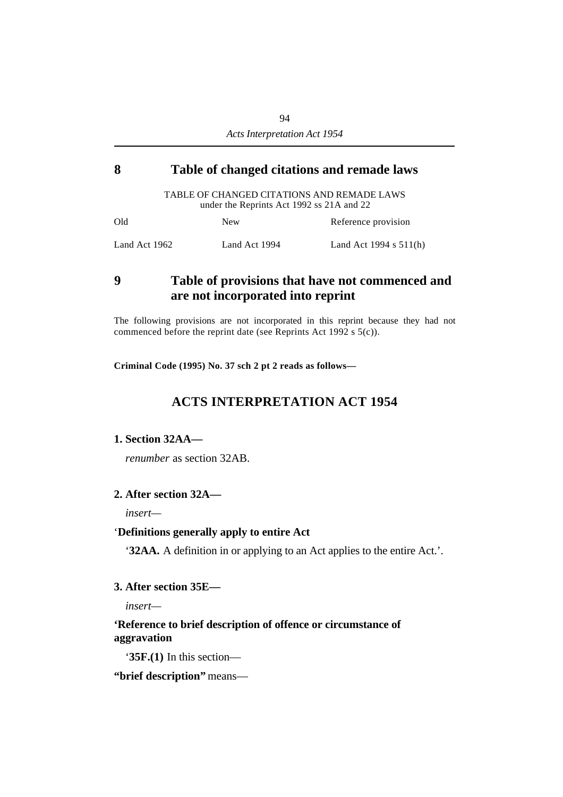## **´8 Table of changed citations and remade laws**

TABLE OF CHANGED CITATIONS AND REMADE LAWS under the Reprints Act 1992 ss 21A and 22

| Old           | <b>New</b>    | Reference provision      |
|---------------|---------------|--------------------------|
| Land Act 1962 | Land Act 1994 | Land Act 1994 s $511(h)$ |

## **´9 Table of provisions that have not commenced and are not incorporated into reprint**

The following provisions are not incorporated in this reprint because they had not commenced before the reprint date (see Reprints Act 1992 s 5(c)).

**Criminal Code (1995) No. 37 sch 2 pt 2 reads as follows—**

## **ACTS INTERPRETATION ACT 1954**

## **1. Section 32AA—**

*renumber* as section 32AB.

## **2. After section 32A—**

*insert—*

## '**Definitions generally apply to entire Act**

'**32AA.** A definition in or applying to an Act applies to the entire Act.'.

## **3. After section 35E—**

*insert—*

## **'Reference to brief description of offence or circumstance of aggravation**

'**35F.(1)** In this section—

**"brief description"** means—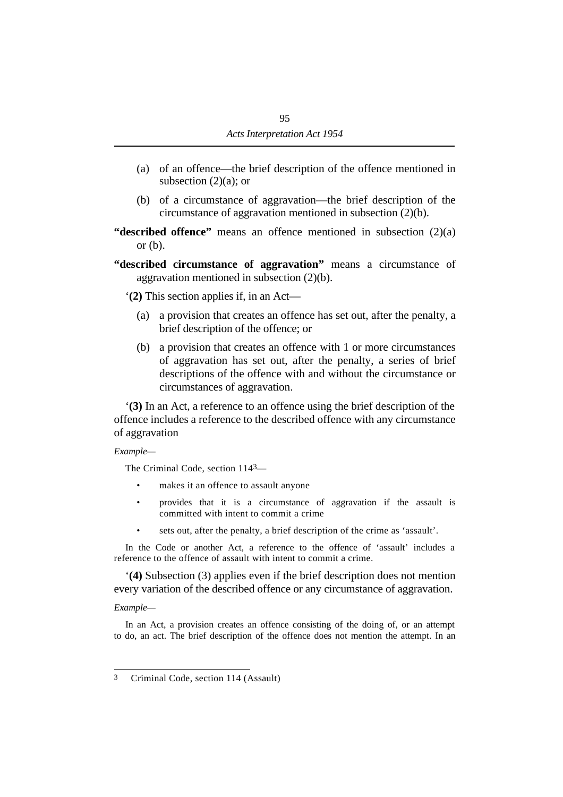- (a) of an offence—the brief description of the offence mentioned in subsection  $(2)(a)$ ; or
- (b) of a circumstance of aggravation—the brief description of the circumstance of aggravation mentioned in subsection (2)(b).

**"described offence"** means an offence mentioned in subsection (2)(a) or (b).

**"described circumstance of aggravation"** means a circumstance of aggravation mentioned in subsection (2)(b).

'**(2)** This section applies if, in an Act—

- (a) a provision that creates an offence has set out, after the penalty, a brief description of the offence; or
- (b) a provision that creates an offence with 1 or more circumstances of aggravation has set out, after the penalty, a series of brief descriptions of the offence with and without the circumstance or circumstances of aggravation.

'**(3)** In an Act, a reference to an offence using the brief description of the offence includes a reference to the described offence with any circumstance of aggravation

## *Example—*

The Criminal Code, section 1143—

- makes it an offence to assault anyone
- provides that it is a circumstance of aggravation if the assault is committed with intent to commit a crime
- sets out, after the penalty, a brief description of the crime as 'assault'.

In the Code or another Act, a reference to the offence of 'assault' includes a reference to the offence of assault with intent to commit a crime.

'**(4)** Subsection (3) applies even if the brief description does not mention every variation of the described offence or any circumstance of aggravation.

## *Example—*

In an Act, a provision creates an offence consisting of the doing of, or an attempt to do, an act. The brief description of the offence does not mention the attempt. In an

<sup>3</sup> Criminal Code, section 114 (Assault)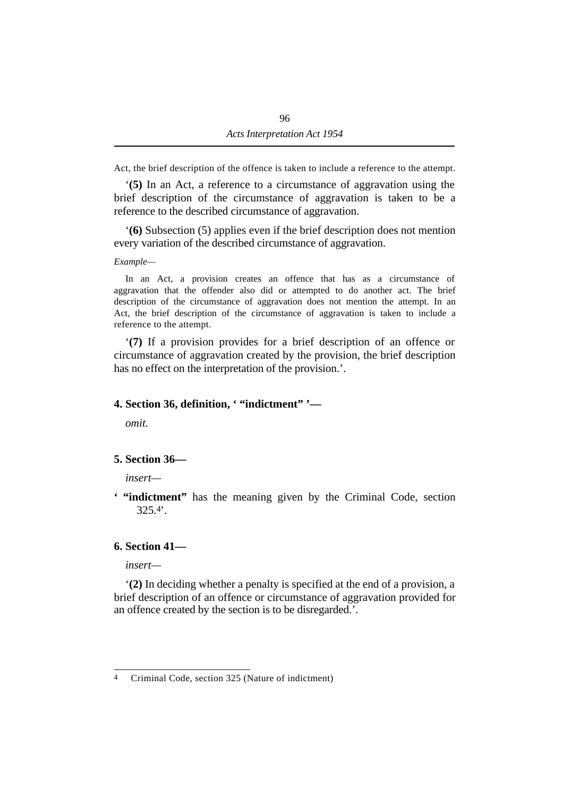Act, the brief description of the offence is taken to include a reference to the attempt.

'**(5)** In an Act, a reference to a circumstance of aggravation using the brief description of the circumstance of aggravation is taken to be a reference to the described circumstance of aggravation.

'**(6)** Subsection (5) applies even if the brief description does not mention every variation of the described circumstance of aggravation.

*Example—*

In an Act, a provision creates an offence that has as a circumstance of aggravation that the offender also did or attempted to do another act. The brief description of the circumstance of aggravation does not mention the attempt. In an Act, the brief description of the circumstance of aggravation is taken to include a reference to the attempt.

'**(7)** If a provision provides for a brief description of an offence or circumstance of aggravation created by the provision, the brief description has no effect on the interpretation of the provision.'.

## **4. Section 36, definition, ' "indictment" '—**

*omit.*

## **5. Section 36—**

*insert—*

**' "indictment"** has the meaning given by the Criminal Code, section 325.4'.

## **6. Section 41—**

*insert—*

'**(2)** In deciding whether a penalty is specified at the end of a provision, a brief description of an offence or circumstance of aggravation provided for an offence created by the section is to be disregarded.'.

<sup>4</sup> Criminal Code, section 325 (Nature of indictment)